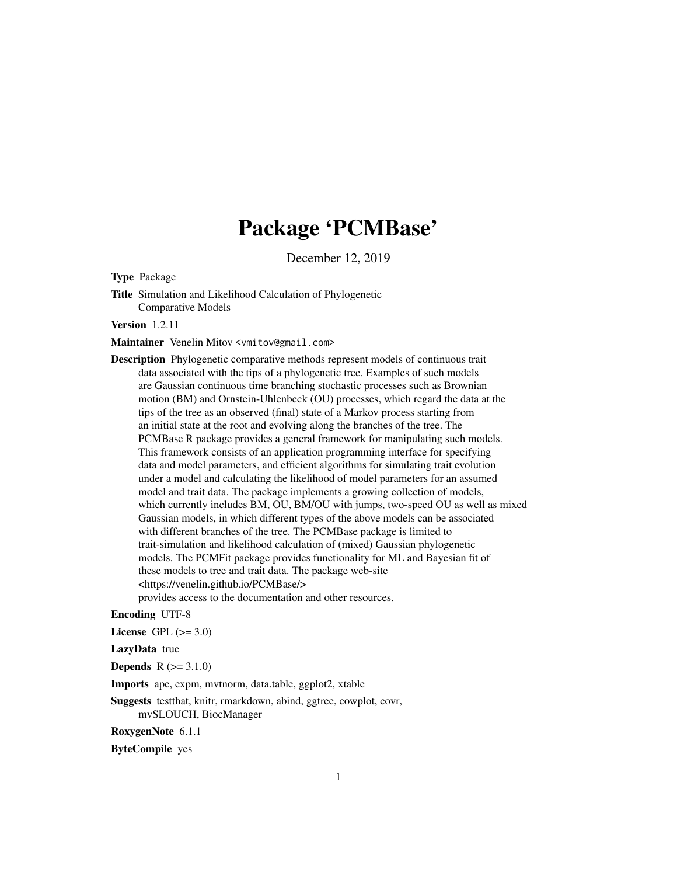# Package 'PCMBase'

December 12, 2019

<span id="page-0-0"></span>Type Package

Title Simulation and Likelihood Calculation of Phylogenetic Comparative Models

Version 1.2.11

Maintainer Venelin Mitov <vmitov@gmail.com>

Description Phylogenetic comparative methods represent models of continuous trait data associated with the tips of a phylogenetic tree. Examples of such models are Gaussian continuous time branching stochastic processes such as Brownian motion (BM) and Ornstein-Uhlenbeck (OU) processes, which regard the data at the tips of the tree as an observed (final) state of a Markov process starting from an initial state at the root and evolving along the branches of the tree. The PCMBase R package provides a general framework for manipulating such models. This framework consists of an application programming interface for specifying data and model parameters, and efficient algorithms for simulating trait evolution under a model and calculating the likelihood of model parameters for an assumed model and trait data. The package implements a growing collection of models, which currently includes BM, OU, BM/OU with jumps, two-speed OU as well as mixed Gaussian models, in which different types of the above models can be associated with different branches of the tree. The PCMBase package is limited to trait-simulation and likelihood calculation of (mixed) Gaussian phylogenetic models. The PCMFit package provides functionality for ML and Bayesian fit of these models to tree and trait data. The package web-site <https://venelin.github.io/PCMBase/> provides access to the documentation and other resources.

### Encoding UTF-8

License GPL  $(>= 3.0)$ 

LazyData true

**Depends**  $R (= 3.1.0)$ 

Imports ape, expm, mvtnorm, data.table, ggplot2, xtable

Suggests testthat, knitr, rmarkdown, abind, ggtree, cowplot, covr, mvSLOUCH, BiocManager

RoxygenNote 6.1.1

ByteCompile yes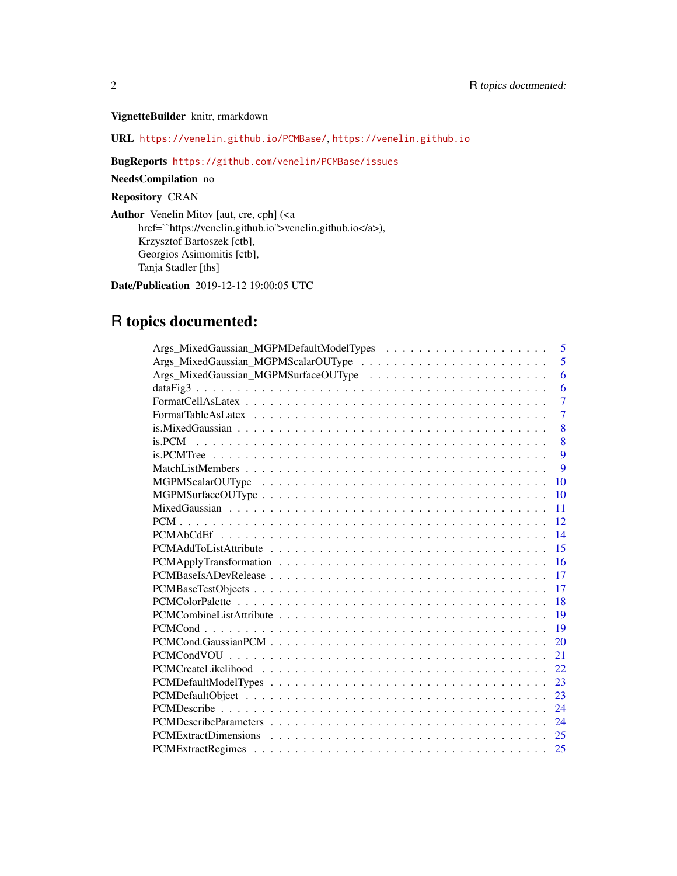## VignetteBuilder knitr, rmarkdown

URL <https://venelin.github.io/PCMBase/>, <https://venelin.github.io>

### BugReports <https://github.com/venelin/PCMBase/issues>

NeedsCompilation no

# Repository CRAN

Author Venelin Mitov [aut, cre, cph] (<a href=``https://venelin.github.io''>venelin.github.io</a>), Krzysztof Bartoszek [ctb], Georgios Asimomitis [ctb], Tanja Stadler [ths]

Date/Publication 2019-12-12 19:00:05 UTC

# R topics documented:

| 5              |
|----------------|
| 5              |
| 6              |
| 6              |
| $\overline{7}$ |
| $\overline{7}$ |
| 8              |
| 8              |
| $\mathbf Q$    |
| 9              |
| 10             |
| 10             |
| 11             |
| 12             |
| 14             |
| 15             |
| 16             |
| 17             |
| 17             |
| 18             |
| 19             |
| 19             |
| 20             |
| 21             |
| 22             |
| -23            |
| 23             |
| 24             |
| 24             |
| 25             |
| 25             |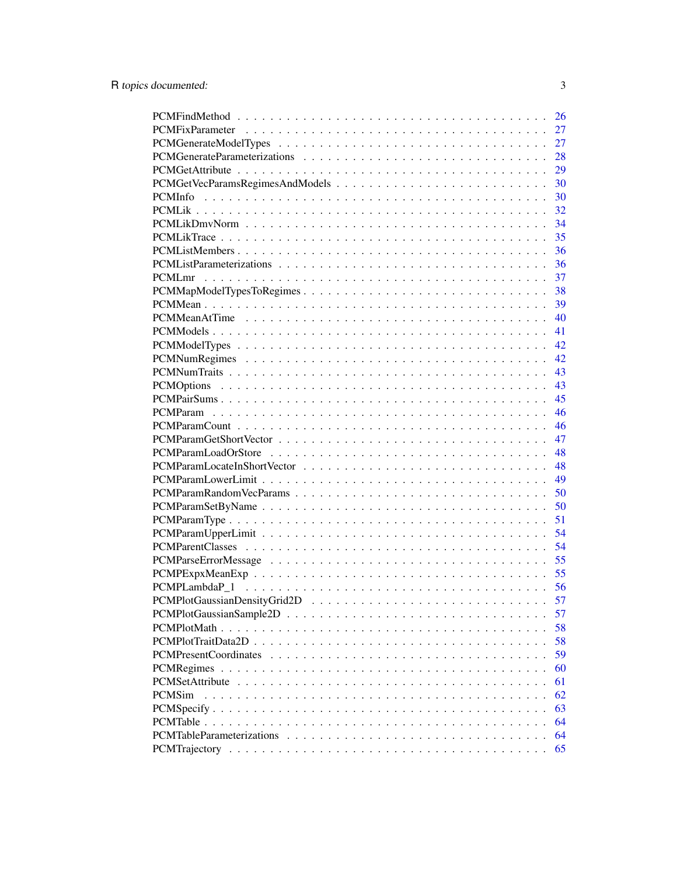|                           | 26 |
|---------------------------|----|
|                           | 27 |
|                           | 27 |
|                           | 28 |
|                           | 29 |
|                           | 30 |
|                           | 30 |
|                           | 32 |
|                           | 34 |
|                           | 35 |
|                           | 36 |
|                           | 36 |
| PCMLmr                    | 37 |
| PCMMapModelTypesToRegimes | 38 |
|                           | 39 |
|                           | 40 |
|                           | 41 |
|                           | 42 |
|                           | 42 |
|                           | 43 |
|                           |    |
|                           | 43 |
|                           | 45 |
|                           | 46 |
|                           | 46 |
|                           | 47 |
|                           | 48 |
|                           | 48 |
|                           | 49 |
|                           | 50 |
|                           | 50 |
|                           | 51 |
|                           | 54 |
|                           | 54 |
|                           | 55 |
|                           | 55 |
|                           | 56 |
|                           | 57 |
|                           | 57 |
|                           | 58 |
|                           | 58 |
|                           | 59 |
|                           | 60 |
| PCMSetAttribute           | 61 |
| <b>PCMS</b> im            | 62 |
|                           | 63 |
|                           | 64 |
|                           | 64 |
|                           | 65 |
|                           |    |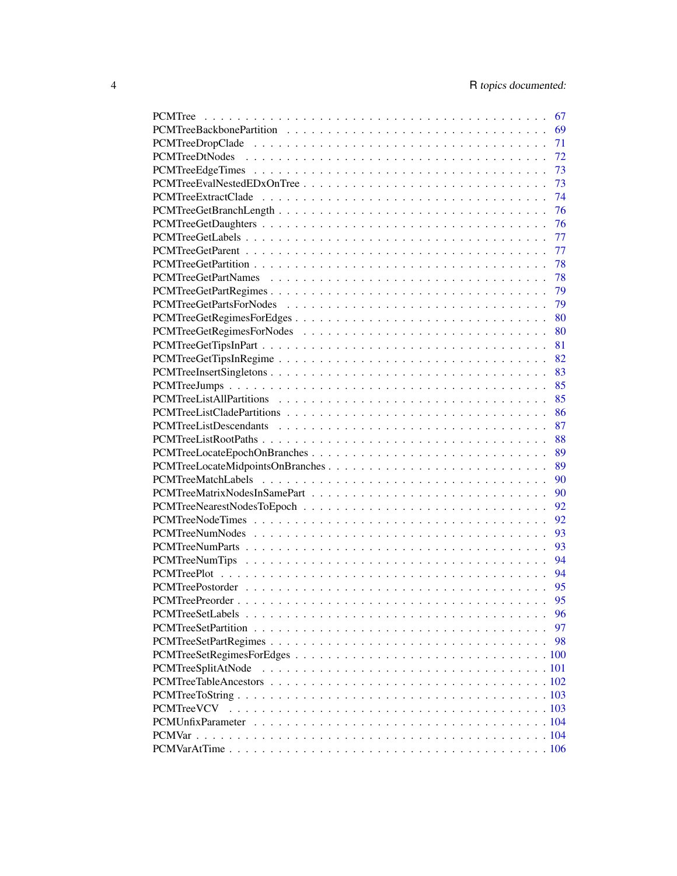|                                  | 67 |
|----------------------------------|----|
|                                  | 69 |
|                                  | 71 |
|                                  | 72 |
|                                  | 73 |
|                                  | 73 |
|                                  | 74 |
|                                  | 76 |
|                                  | 76 |
|                                  | 77 |
|                                  | 77 |
|                                  | 78 |
|                                  | 78 |
|                                  | 79 |
|                                  | 79 |
| PCMTreeGetRegimesForEdges        | 80 |
|                                  | 80 |
|                                  |    |
|                                  | 81 |
|                                  | 82 |
|                                  | 83 |
|                                  | 85 |
|                                  | 85 |
|                                  | 86 |
|                                  | 87 |
|                                  | 88 |
| PCMTreeLocateEpochOnBranches     | 89 |
| PCMTreeLocateMidpointsOnBranches | 89 |
|                                  | 90 |
|                                  | 90 |
|                                  | 92 |
|                                  | 92 |
|                                  | 93 |
|                                  | 93 |
|                                  | 94 |
|                                  | 94 |
|                                  | 95 |
|                                  | 95 |
|                                  | 96 |
|                                  | 97 |
|                                  | 98 |
|                                  |    |
| PCMTreeSplitAtNode               |    |
|                                  |    |
|                                  |    |
| <b>PCMTreeVCV</b>                |    |
|                                  |    |
|                                  |    |
|                                  |    |
|                                  |    |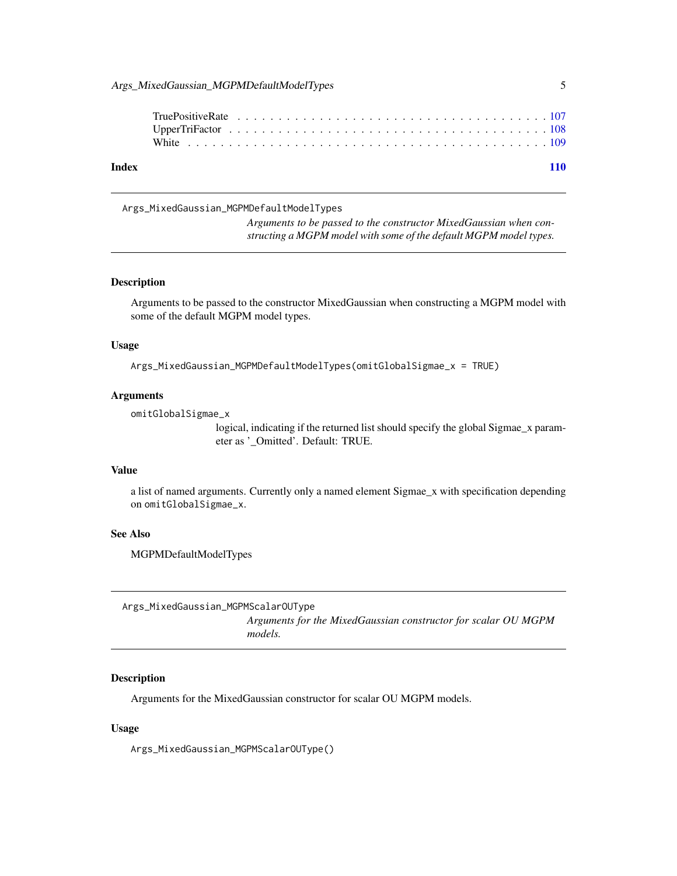<span id="page-4-0"></span>

|  |  |  |  |  |  |  |  |  |  |  |  |  |  |  |  |  | 110 |
|--|--|--|--|--|--|--|--|--|--|--|--|--|--|--|--|--|-----|
|  |  |  |  |  |  |  |  |  |  |  |  |  |  |  |  |  |     |
|  |  |  |  |  |  |  |  |  |  |  |  |  |  |  |  |  |     |
|  |  |  |  |  |  |  |  |  |  |  |  |  |  |  |  |  |     |
|  |  |  |  |  |  |  |  |  |  |  |  |  |  |  |  |  |     |

Args\_MixedGaussian\_MGPMDefaultModelTypes

*Arguments to be passed to the constructor MixedGaussian when constructing a MGPM model with some of the default MGPM model types.*

#### Description

Arguments to be passed to the constructor MixedGaussian when constructing a MGPM model with some of the default MGPM model types.

#### Usage

Args\_MixedGaussian\_MGPMDefaultModelTypes(omitGlobalSigmae\_x = TRUE)

#### Arguments

omitGlobalSigmae\_x

logical, indicating if the returned list should specify the global Sigmae\_x parameter as '\_Omitted'. Default: TRUE.

#### Value

a list of named arguments. Currently only a named element Sigmae\_x with specification depending on omitGlobalSigmae\_x.

#### See Also

MGPMDefaultModelTypes

Args\_MixedGaussian\_MGPMScalarOUType

*Arguments for the MixedGaussian constructor for scalar OU MGPM models.*

#### Description

Arguments for the MixedGaussian constructor for scalar OU MGPM models.

#### Usage

Args\_MixedGaussian\_MGPMScalarOUType()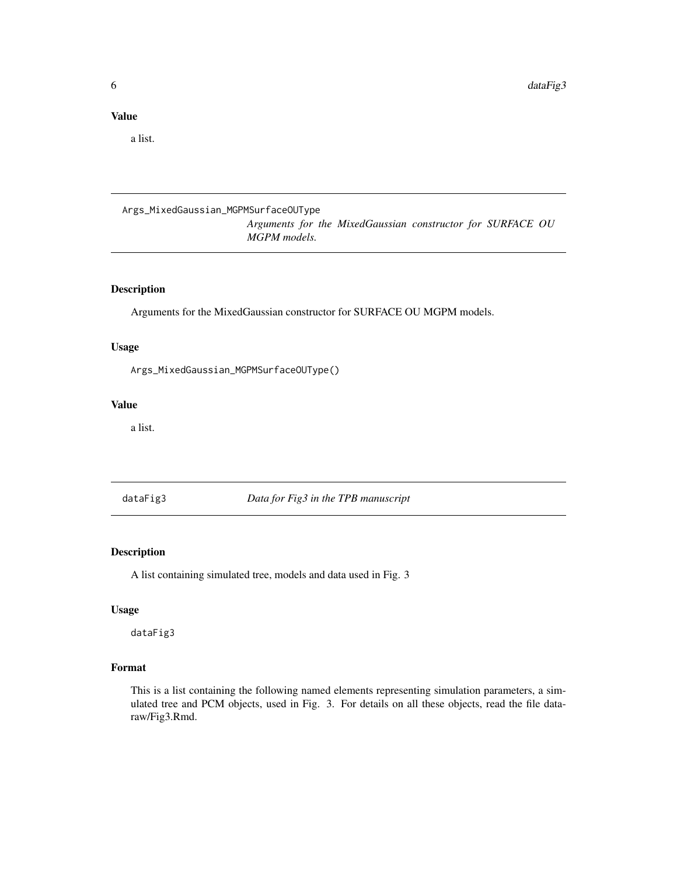### <span id="page-5-0"></span>Value

a list.

# Args\_MixedGaussian\_MGPMSurfaceOUType

*Arguments for the MixedGaussian constructor for SURFACE OU MGPM models.*

### Description

Arguments for the MixedGaussian constructor for SURFACE OU MGPM models.

# Usage

Args\_MixedGaussian\_MGPMSurfaceOUType()

### Value

a list.

dataFig3 *Data for Fig3 in the TPB manuscript*

#### Description

A list containing simulated tree, models and data used in Fig. 3

### Usage

dataFig3

#### Format

This is a list containing the following named elements representing simulation parameters, a simulated tree and PCM objects, used in Fig. 3. For details on all these objects, read the file dataraw/Fig3.Rmd.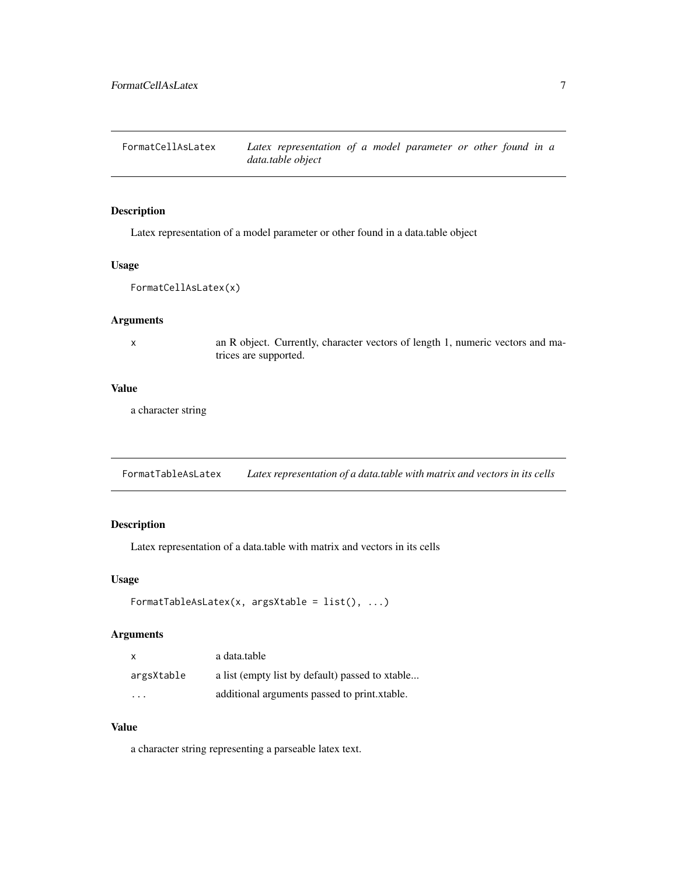<span id="page-6-0"></span>FormatCellAsLatex *Latex representation of a model parameter or other found in a data.table object*

### Description

Latex representation of a model parameter or other found in a data.table object

#### Usage

```
FormatCellAsLatex(x)
```
#### Arguments

x an R object. Currently, character vectors of length 1, numeric vectors and matrices are supported.

#### Value

a character string

FormatTableAsLatex *Latex representation of a data.table with matrix and vectors in its cells*

#### Description

Latex representation of a data.table with matrix and vectors in its cells

#### Usage

```
FormatTableAsLatex(x, argsXtable = list(), ...)
```
### Arguments

| $\times$   | a data.table                                    |
|------------|-------------------------------------------------|
| argsXtable | a list (empty list by default) passed to xtable |
| .          | additional arguments passed to print.xtable.    |

#### Value

a character string representing a parseable latex text.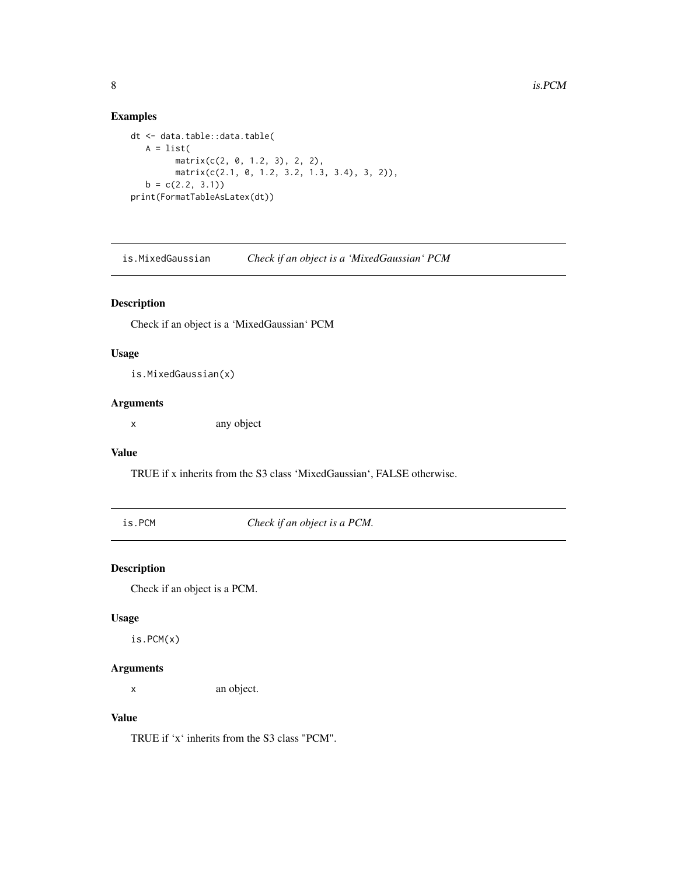### Examples

```
dt <- data.table::data.table(
  A = list(matrix(c(2, 0, 1.2, 3), 2, 2),
        matrix(c(2.1, 0, 1.2, 3.2, 1.3, 3.4), 3, 2)),
  b = c(2.2, 3.1)print(FormatTableAsLatex(dt))
```
is.MixedGaussian *Check if an object is a 'MixedGaussian' PCM*

### Description

Check if an object is a 'MixedGaussian' PCM

### Usage

is.MixedGaussian(x)

### Arguments

x any object

#### Value

TRUE if x inherits from the S3 class 'MixedGaussian', FALSE otherwise.

is.PCM *Check if an object is a PCM.*

### Description

Check if an object is a PCM.

#### Usage

is.PCM(x)

### Arguments

x an object.

### Value

TRUE if 'x' inherits from the S3 class "PCM".

<span id="page-7-0"></span>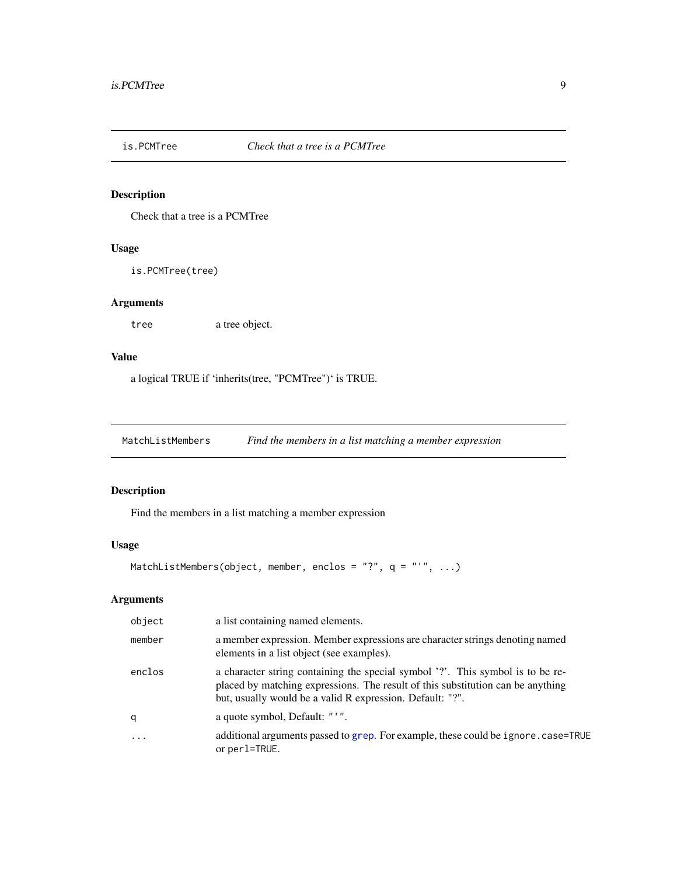<span id="page-8-0"></span>

# Description

Check that a tree is a PCMTree

### Usage

is.PCMTree(tree)

### Arguments

tree a tree object.

### Value

a logical TRUE if 'inherits(tree, "PCMTree")' is TRUE.

<span id="page-8-1"></span>MatchListMembers *Find the members in a list matching a member expression*

### Description

Find the members in a list matching a member expression

# Usage

MatchListMembers(object, member, enclos = "?", q = "'", ...)

### Arguments

| object | a list containing named elements.                                                                                                                                                                                              |
|--------|--------------------------------------------------------------------------------------------------------------------------------------------------------------------------------------------------------------------------------|
| member | a member expression. Member expressions are character strings denoting named<br>elements in a list object (see examples).                                                                                                      |
| enclos | a character string containing the special symbol '?'. This symbol is to be re-<br>placed by matching expressions. The result of this substitution can be anything<br>but, usually would be a valid R expression. Default: "?". |
| q      | a quote symbol, Default: "'".                                                                                                                                                                                                  |
| .      | additional arguments passed to grep. For example, these could be ignore . case=TRUE<br>or perl=TRUE.                                                                                                                           |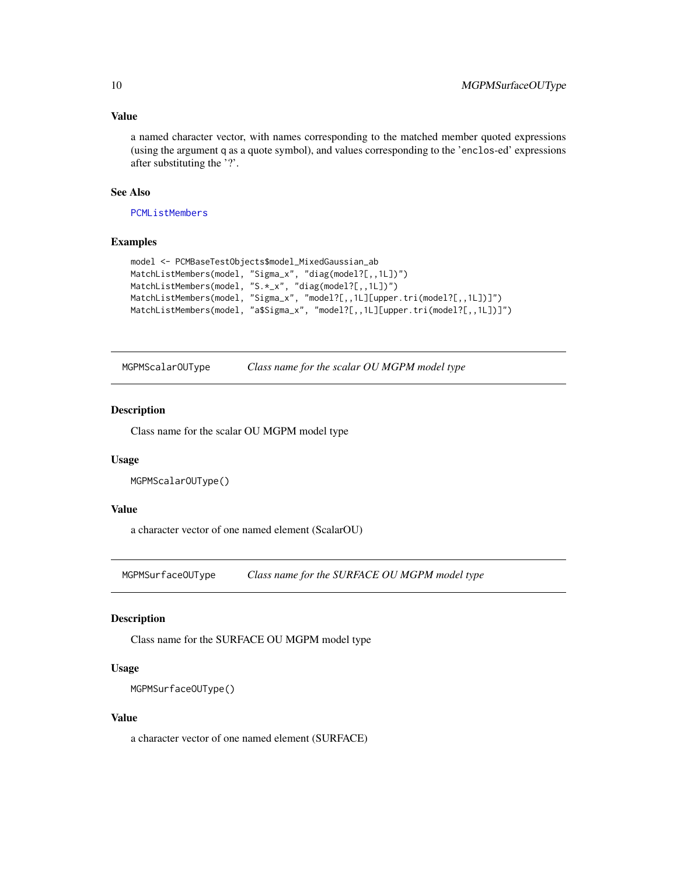### <span id="page-9-0"></span>Value

a named character vector, with names corresponding to the matched member quoted expressions (using the argument q as a quote symbol), and values corresponding to the 'enclos-ed' expressions after substituting the '?'.

#### See Also

[PCMListMembers](#page-35-1)

#### Examples

```
model <- PCMBaseTestObjects$model_MixedGaussian_ab
MatchListMembers(model, "Sigma_x", "diag(model?[,,1L])")
MatchListMembers(model, "S.*_x", "diag(model?[,,1L])")
MatchListMembers(model, "Sigma_x", "model?[,,1L][upper.tri(model?[,,1L])]")
MatchListMembers(model, "a$Sigma_x", "model?[,,1L][upper.tri(model?[,,1L])]")
```
MGPMScalarOUType *Class name for the scalar OU MGPM model type*

#### Description

Class name for the scalar OU MGPM model type

#### Usage

```
MGPMScalarOUType()
```
#### Value

a character vector of one named element (ScalarOU)

MGPMSurfaceOUType *Class name for the SURFACE OU MGPM model type*

#### Description

Class name for the SURFACE OU MGPM model type

#### Usage

```
MGPMSurfaceOUType()
```
#### Value

a character vector of one named element (SURFACE)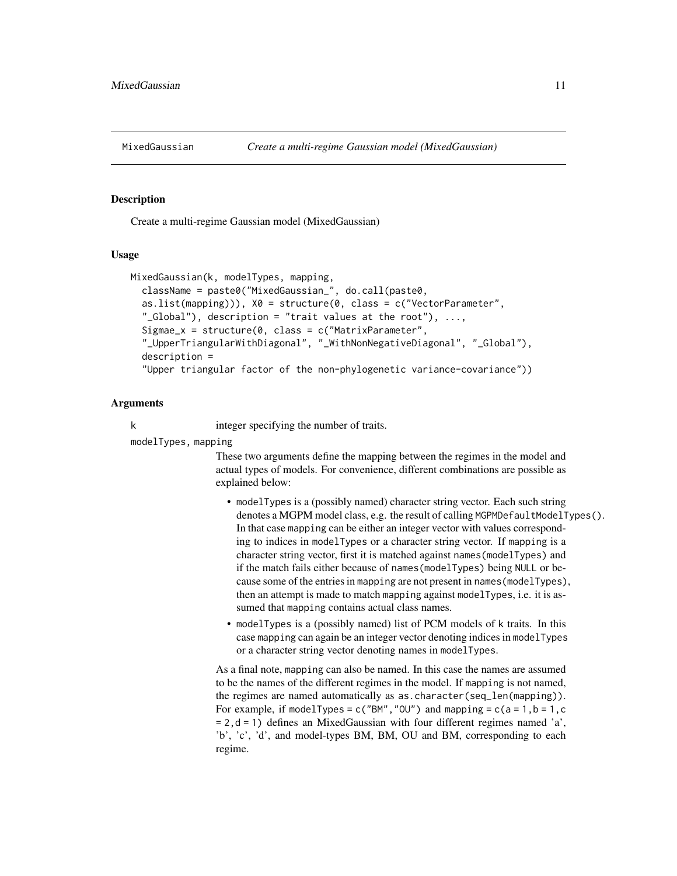<span id="page-10-1"></span><span id="page-10-0"></span>

#### Description

Create a multi-regime Gaussian model (MixedGaussian)

#### Usage

```
MixedGaussian(k, modelTypes, mapping,
  className = paste0("MixedGaussian_", do.call(paste0,
  as.list(mapping)), X0 = structure(0, class = c("VectorParameter","_Global"), description = "trait values at the root"), \dots,
  Sigmae_x = structure(0, class = c("MatrixParameter",
  "_UpperTriangularWithDiagonal", "_WithNonNegativeDiagonal", "_Global"),
  description =
  "Upper triangular factor of the non-phylogenetic variance-covariance"))
```
#### Arguments

k integer specifying the number of traits.

modelTypes, mapping

These two arguments define the mapping between the regimes in the model and actual types of models. For convenience, different combinations are possible as explained below:

- modelTypes is a (possibly named) character string vector. Each such string denotes a MGPM model class, e.g. the result of calling MGPMDefaultModelTypes(). In that case mapping can be either an integer vector with values corresponding to indices in modelTypes or a character string vector. If mapping is a character string vector, first it is matched against names(modelTypes) and if the match fails either because of names(modelTypes) being NULL or because some of the entries in mapping are not present in names(modelTypes), then an attempt is made to match mapping against modelTypes, i.e. it is assumed that mapping contains actual class names.
- modelTypes is a (possibly named) list of PCM models of k traits. In this case mapping can again be an integer vector denoting indices in modelTypes or a character string vector denoting names in modelTypes.

As a final note, mapping can also be named. In this case the names are assumed to be the names of the different regimes in the model. If mapping is not named, the regimes are named automatically as as.character(seq\_len(mapping)). For example, if modelTypes =  $c("BM", "OU")$  and mapping =  $c(a = 1, b = 1, c$  $= 2$ ,  $d = 1$ ) defines an MixedGaussian with four different regimes named 'a', 'b', 'c', 'd', and model-types BM, BM, OU and BM, corresponding to each regime.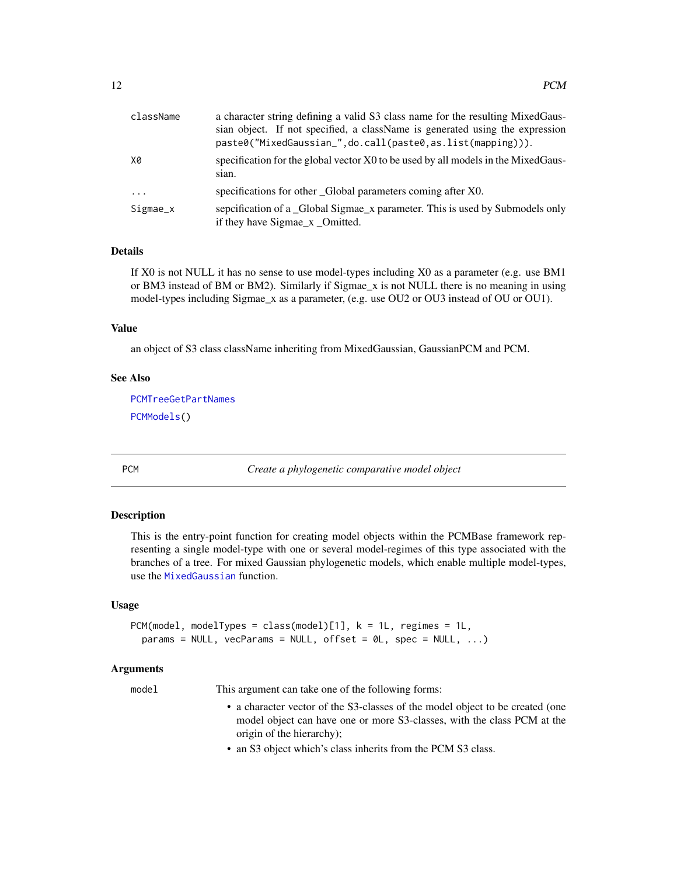<span id="page-11-0"></span>

| className | a character string defining a valid S3 class name for the resulting MixedGaus-<br>sian object. If not specified, a className is generated using the expression<br>paste0("MixedGaussian_",do.call(paste0,as.list(mapping))). |
|-----------|------------------------------------------------------------------------------------------------------------------------------------------------------------------------------------------------------------------------------|
| X0        | specification for the global vector X0 to be used by all models in the MixedGaus-<br>sian.                                                                                                                                   |
| $\ddots$  | specifications for other Global parameters coming after X0.                                                                                                                                                                  |
| Sigmae_x  | sepcification of a _Global Sigmae_x parameter. This is used by Submodels only<br>if they have Sigmae_x _Omitted.                                                                                                             |

#### Details

If X0 is not NULL it has no sense to use model-types including X0 as a parameter (e.g. use BM1 or BM3 instead of BM or BM2). Similarly if Sigmae\_x is not NULL there is no meaning in using model-types including Sigmae\_x as a parameter, (e.g. use OU2 or OU3 instead of OU or OU1).

#### Value

an object of S3 class className inheriting from MixedGaussian, GaussianPCM and PCM.

### See Also

[PCMTreeGetPartNames](#page-77-1) [PCMModels\(](#page-40-1))

PCM *Create a phylogenetic comparative model object*

#### Description

This is the entry-point function for creating model objects within the PCMBase framework representing a single model-type with one or several model-regimes of this type associated with the branches of a tree. For mixed Gaussian phylogenetic models, which enable multiple model-types, use the [MixedGaussian](#page-10-1) function.

#### Usage

```
PCM(model, modelTypes = class(model)[1], k = 1L, regimes = 1L,
  params = NULL, vecParams = NULL, offset = \emptyset L, spec = NULL, ...)
```
#### Arguments

model This argument can take one of the following forms:

- a character vector of the S3-classes of the model object to be created (one model object can have one or more S3-classes, with the class PCM at the origin of the hierarchy);
- an S3 object which's class inherits from the PCM S3 class.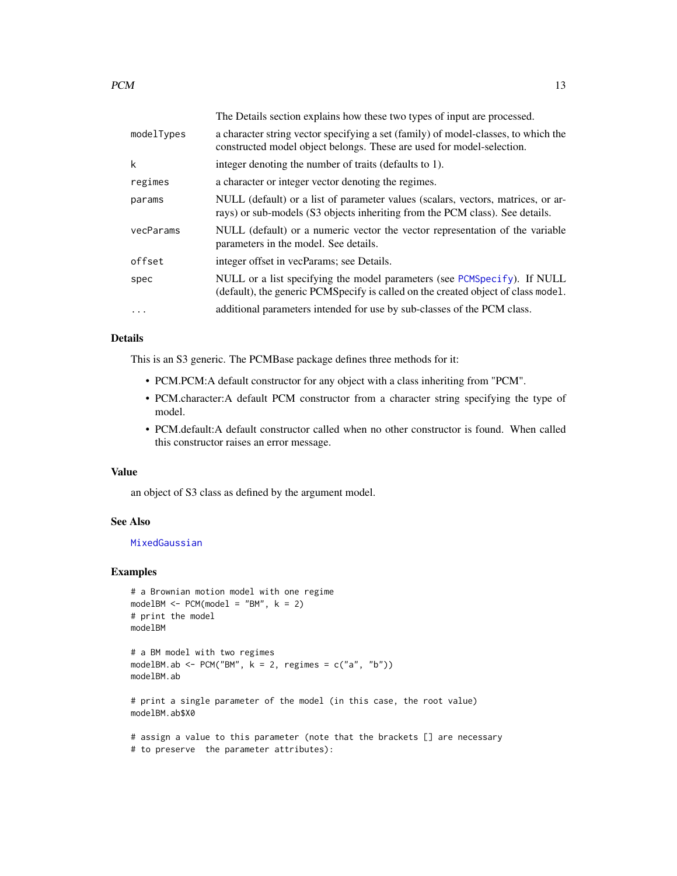|            | The Details section explains how these two types of input are processed.                                                                                         |
|------------|------------------------------------------------------------------------------------------------------------------------------------------------------------------|
| modelTypes | a character string vector specifying a set (family) of model-classes, to which the<br>constructed model object belongs. These are used for model-selection.      |
| k          | integer denoting the number of traits (defaults to 1).                                                                                                           |
| regimes    | a character or integer vector denoting the regimes.                                                                                                              |
| params     | NULL (default) or a list of parameter values (scalars, vectors, matrices, or ar-<br>rays) or sub-models (S3 objects inheriting from the PCM class). See details. |
| vecParams  | NULL (default) or a numeric vector the vector representation of the variable<br>parameters in the model. See details.                                            |
| offset     | integer offset in vecParams; see Details.                                                                                                                        |
| spec       | NULL or a list specifying the model parameters (see PCMSpecify). If NULL<br>(default), the generic PCMSpecify is called on the created object of class model.    |
| $\cdots$   | additional parameters intended for use by sub-classes of the PCM class.                                                                                          |

#### Details

This is an S3 generic. The PCMBase package defines three methods for it:

- PCM.PCM:A default constructor for any object with a class inheriting from "PCM".
- PCM.character:A default PCM constructor from a character string specifying the type of model.
- PCM.default:A default constructor called when no other constructor is found. When called this constructor raises an error message.

#### Value

an object of S3 class as defined by the argument model.

### See Also

### [MixedGaussian](#page-10-1)

### Examples

```
# a Brownian motion model with one regime
modelBM < - PCM(model1 = "BM", k = 2)# print the model
modelBM
```

```
# a BM model with two regimes
modelBM.ab <- PCM("BM", k = 2, regimes = c("a", "b"))
modelBM.ab
```

```
# print a single parameter of the model (in this case, the root value)
modelBM.ab$X0
```
# assign a value to this parameter (note that the brackets [] are necessary # to preserve the parameter attributes):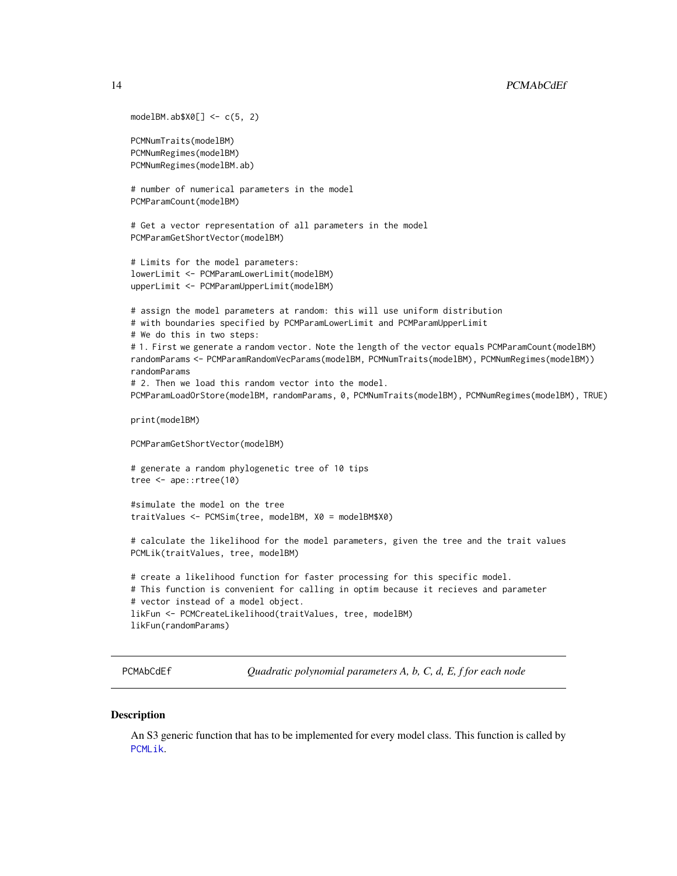```
modelBM.ab$X0[] <- c(5, 2)
PCMNumTraits(modelBM)
PCMNumRegimes(modelBM)
PCMNumRegimes(modelBM.ab)
# number of numerical parameters in the model
PCMParamCount(modelBM)
# Get a vector representation of all parameters in the model
PCMParamGetShortVector(modelBM)
# Limits for the model parameters:
lowerLimit <- PCMParamLowerLimit(modelBM)
upperLimit <- PCMParamUpperLimit(modelBM)
# assign the model parameters at random: this will use uniform distribution
# with boundaries specified by PCMParamLowerLimit and PCMParamUpperLimit
# We do this in two steps:
# 1. First we generate a random vector. Note the length of the vector equals PCMParamCount(modelBM)
randomParams <- PCMParamRandomVecParams(modelBM, PCMNumTraits(modelBM), PCMNumRegimes(modelBM))
randomParams
# 2. Then we load this random vector into the model.
PCMParamLoadOrStore(modelBM, randomParams, 0, PCMNumTraits(modelBM), PCMNumRegimes(modelBM), TRUE)
print(modelBM)
PCMParamGetShortVector(modelBM)
# generate a random phylogenetic tree of 10 tips
tree <- ape::rtree(10)
#simulate the model on the tree
traitValues <- PCMSim(tree, modelBM, X0 = modelBM$X0)
# calculate the likelihood for the model parameters, given the tree and the trait values
PCMLik(traitValues, tree, modelBM)
# create a likelihood function for faster processing for this specific model.
# This function is convenient for calling in optim because it recieves and parameter
# vector instead of a model object.
likFun <- PCMCreateLikelihood(traitValues, tree, modelBM)
likFun(randomParams)
```
<span id="page-13-1"></span>

PCMAbCdEf *Quadratic polynomial parameters A, b, C, d, E, f for each node*

#### **Description**

An S3 generic function that has to be implemented for every model class. This function is called by [PCMLik](#page-31-1).

<span id="page-13-0"></span>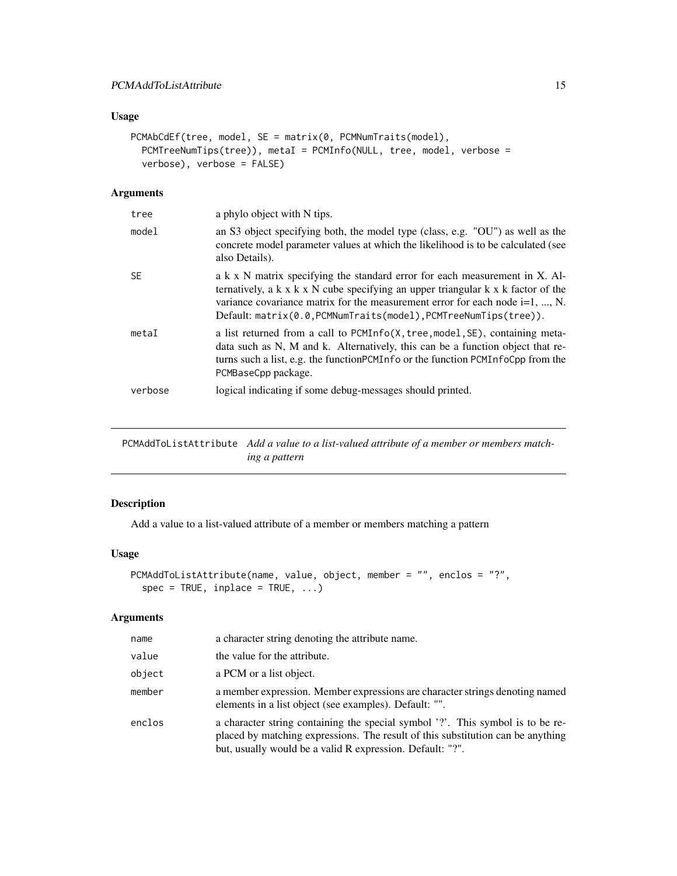### <span id="page-14-0"></span>Usage

```
PCMAbCdEf(tree, model, SE = matrix(0, PCMNumTraits(model),
 PCMTreeNumTips(tree)), metaI = PCMInfo(NULL, tree, model, verbose =
  verbose), verbose = FALSE)
```
### Arguments

| tree      | a phylo object with N tips.                                                                                                                                                                                                                                                                                                               |
|-----------|-------------------------------------------------------------------------------------------------------------------------------------------------------------------------------------------------------------------------------------------------------------------------------------------------------------------------------------------|
| model     | an S3 object specifying both, the model type (class, e.g. "OU") as well as the<br>concrete model parameter values at which the likelihood is to be calculated (see<br>also Details).                                                                                                                                                      |
| <b>SF</b> | a k x N matrix specifying the standard error for each measurement in X. Al-<br>ternatively, a $k \times k \times N$ cube specifying an upper triangular $k \times k$ factor of the<br>variance covariance matrix for the measurement error for each node $i=1, , N$ .<br>Default: matrix(0.0, PCMNumTraits(model), PCMTreeNumTips(tree)). |
| metaI     | a list returned from a call to PCMInfo(X, tree, model, SE), containing meta-<br>data such as N, M and k. Alternatively, this can be a function object that re-<br>turns such a list, e.g. the function PCM Info or the function PCM InfoCpp from the<br>PCMBaseCpp package.                                                               |
| verbose   | logical indicating if some debug-messages should printed.                                                                                                                                                                                                                                                                                 |

PCMAddToListAttribute *Add a value to a list-valued attribute of a member or members matching a pattern*

### Description

Add a value to a list-valued attribute of a member or members matching a pattern

### Usage

```
PCMAddToListAttribute(name, value, object, member = "", enclos = "?",
  spec = TRUE, inplace = TRUE, ...)
```
#### Arguments

| name   | a character string denoting the attribute name.                                                                                                                                                                                |
|--------|--------------------------------------------------------------------------------------------------------------------------------------------------------------------------------------------------------------------------------|
| value  | the value for the attribute.                                                                                                                                                                                                   |
| object | a PCM or a list object.                                                                                                                                                                                                        |
| member | a member expression. Member expressions are character strings denoting named<br>elements in a list object (see examples). Default: "".                                                                                         |
| enclos | a character string containing the special symbol '?'. This symbol is to be re-<br>placed by matching expressions. The result of this substitution can be anything<br>but, usually would be a valid R expression. Default: "?". |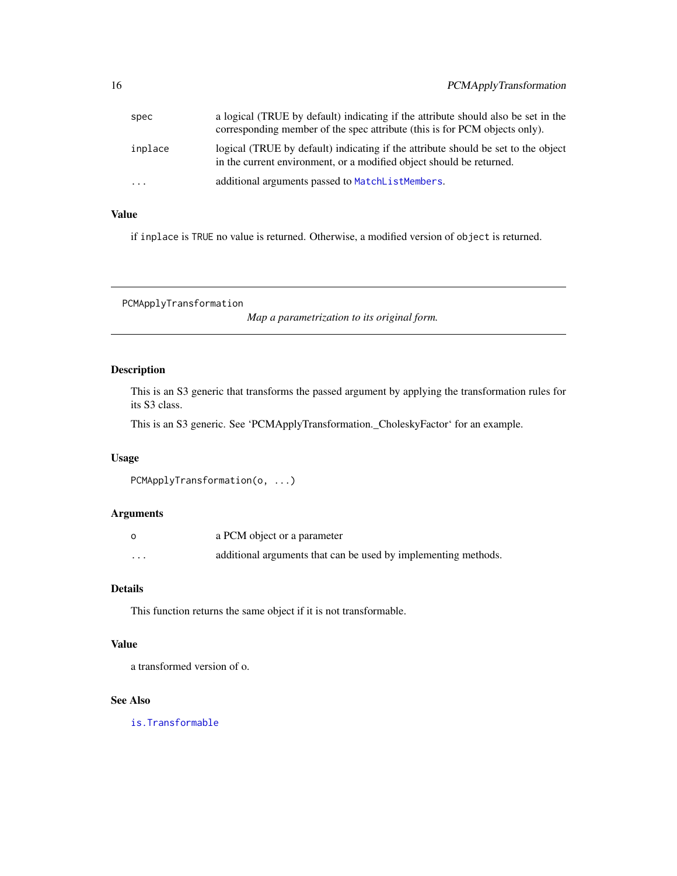<span id="page-15-0"></span>

| spec                    | a logical (TRUE by default) indicating if the attribute should also be set in the<br>corresponding member of the spec attribute (this is for PCM objects only). |
|-------------------------|-----------------------------------------------------------------------------------------------------------------------------------------------------------------|
| inplace                 | logical (TRUE by default) indicating if the attribute should be set to the object<br>in the current environment, or a modified object should be returned.       |
| $\cdot$ $\cdot$ $\cdot$ | additional arguments passed to MatchListMembers.                                                                                                                |

## Value

if inplace is TRUE no value is returned. Otherwise, a modified version of object is returned.

PCMApplyTransformation

*Map a parametrization to its original form.*

### Description

This is an S3 generic that transforms the passed argument by applying the transformation rules for its S3 class.

This is an S3 generic. See 'PCMApplyTransformation.\_CholeskyFactor' for an example.

### Usage

```
PCMApplyTransformation(o, ...)
```
### Arguments

|                   | a PCM object or a parameter                                    |
|-------------------|----------------------------------------------------------------|
| $\cdot\cdot\cdot$ | additional arguments that can be used by implementing methods. |

### Details

This function returns the same object if it is not transformable.

#### Value

a transformed version of o.

#### See Also

[is.Transformable](#page-50-1)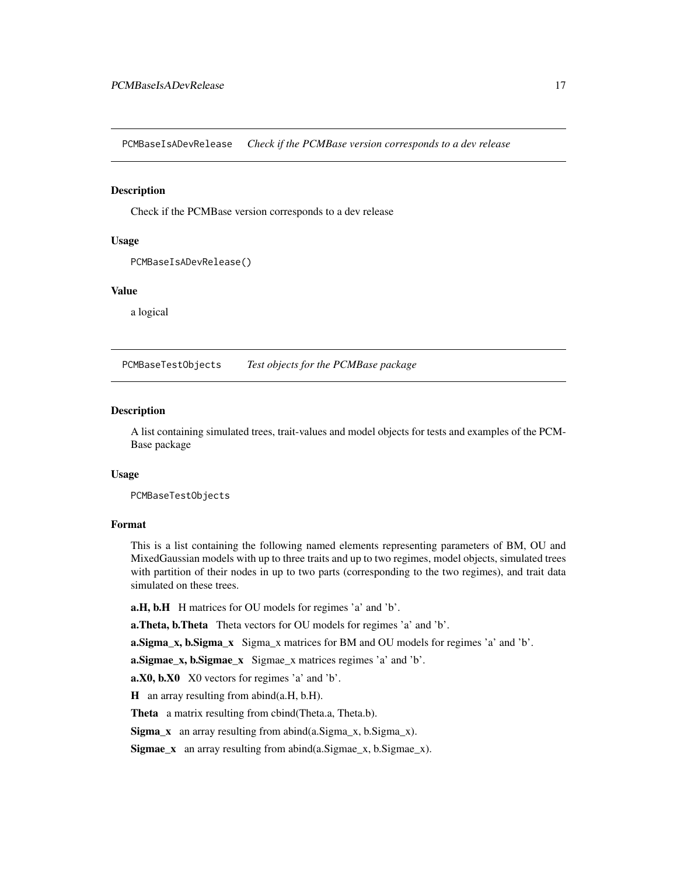<span id="page-16-0"></span>PCMBaseIsADevRelease *Check if the PCMBase version corresponds to a dev release*

#### Description

Check if the PCMBase version corresponds to a dev release

### Usage

```
PCMBaseIsADevRelease()
```
### Value

a logical

PCMBaseTestObjects *Test objects for the PCMBase package*

#### Description

A list containing simulated trees, trait-values and model objects for tests and examples of the PCM-Base package

#### Usage

PCMBaseTestObjects

#### Format

This is a list containing the following named elements representing parameters of BM, OU and MixedGaussian models with up to three traits and up to two regimes, model objects, simulated trees with partition of their nodes in up to two parts (corresponding to the two regimes), and trait data simulated on these trees.

a.H, b.H H matrices for OU models for regimes 'a' and 'b'.

a. Theta, b. Theta Theta vectors for OU models for regimes 'a' and 'b'.

a. Sigma\_x, b. Sigma\_x Sigma\_x matrices for BM and OU models for regimes 'a' and 'b'.

a.Sigmae\_x, b.Sigmae\_x Sigmae\_x matrices regimes 'a' and 'b'.

a.X0, b.X0 X0 vectors for regimes 'a' and 'b'.

H an array resulting from abind(a.H, b.H).

Theta a matrix resulting from cbind(Theta.a, Theta.b).

 $Sigma_x$  an array resulting from abind(a.Sigma\_x, b.Sigma\_x).

**Sigmae\_x** an array resulting from abind $(a.Sigma_x, b.Sigma_x)$ .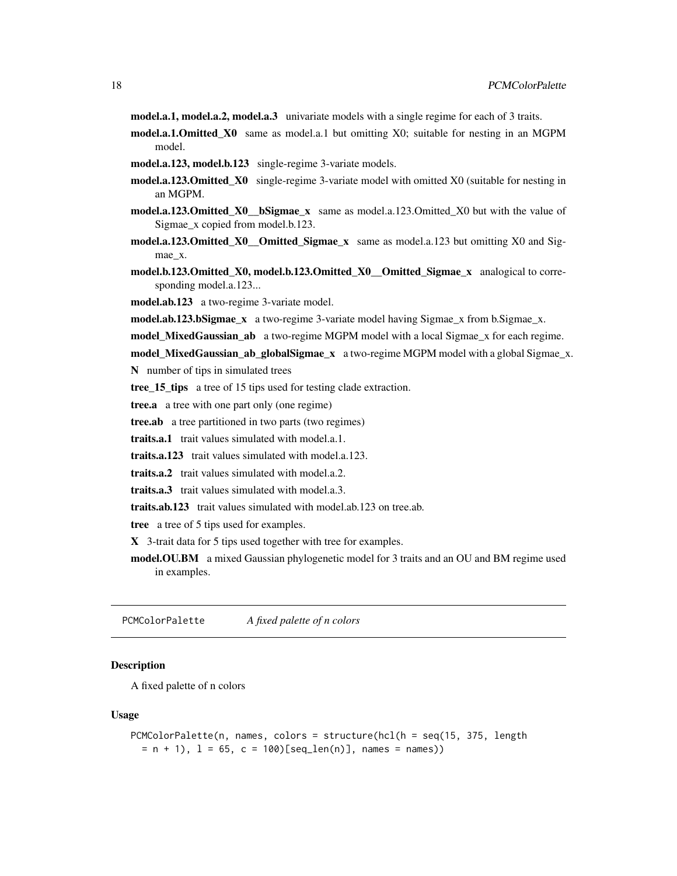<span id="page-17-0"></span>model.a.1, model.a.2, model.a.3 univariate models with a single regime for each of 3 traits.

- model.a.1.Omitted\_X0 same as model.a.1 but omitting X0; suitable for nesting in an MGPM model.
- model.a.123, model.b.123 single-regime 3-variate models.
- model.a.123.Omitted\_X0 single-regime 3-variate model with omitted X0 (suitable for nesting in an MGPM.
- model.a.123.Omitted\_X0\_bSigmae\_x same as model.a.123.Omitted\_X0 but with the value of Sigmae\_x copied from model.b.123.
- model.a.123.Omitted\_X0\_\_Omitted\_Sigmae\_x same as model.a.123 but omitting  $X0$  and Sigmae\_x.
- model.b.123.Omitted\_X0, model.b.123.Omitted\_X0\_\_Omitted\_Sigmae\_x analogical to corresponding model.a.123...

model.ab.123 a two-regime 3-variate model.

model.ab.123.bSigmae\_x a two-regime 3-variate model having Sigmae\_x from b.Sigmae\_x.

model\_MixedGaussian\_ab a two-regime MGPM model with a local Sigmae\_x for each regime.

model\_MixedGaussian\_ab\_globalSigmae\_x a two-regime MGPM model with a global Sigmae\_x.

N number of tips in simulated trees

tree\_15\_tips a tree of 15 tips used for testing clade extraction.

tree.a a tree with one part only (one regime)

tree.ab a tree partitioned in two parts (two regimes)

traits.a.1 trait values simulated with model.a.1.

traits.a.123 trait values simulated with model.a.123.

traits.a.2 trait values simulated with model.a.2.

traits.a.3 trait values simulated with model.a.3.

traits.ab.123 trait values simulated with model.ab.123 on tree.ab.

tree a tree of 5 tips used for examples.

X 3-trait data for 5 tips used together with tree for examples.

model.OU.BM a mixed Gaussian phylogenetic model for 3 traits and an OU and BM regime used in examples.

PCMColorPalette *A fixed palette of n colors*

#### **Description**

A fixed palette of n colors

#### Usage

```
PCMColorPalette(n, names, colors = structure(hcl(h = seq(15, 375, length
 = n + 1, 1 = 65, c = 100 [seq_len(n)], names = names))
```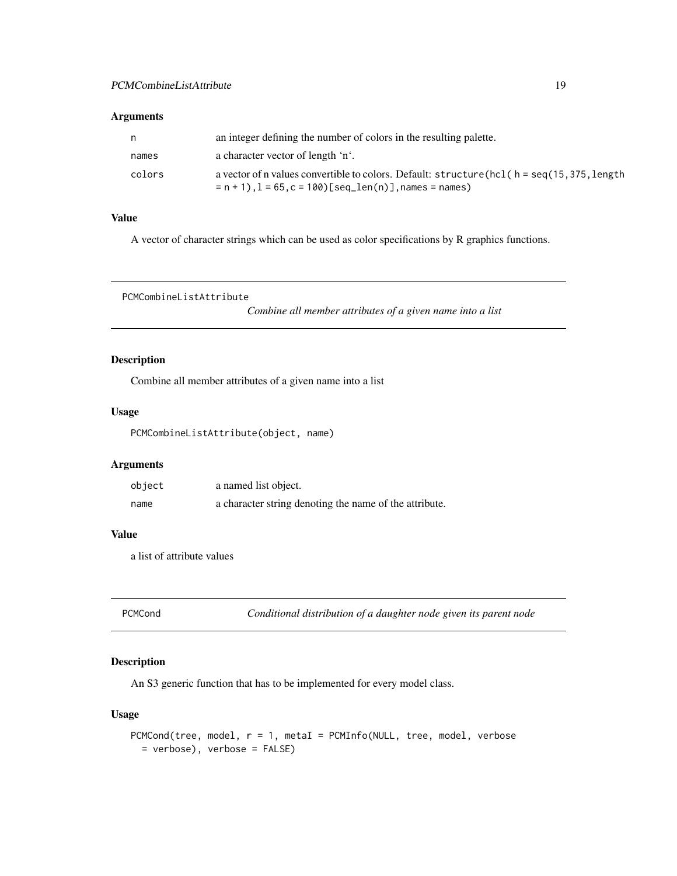#### <span id="page-18-0"></span>Arguments

| n.     | an integer defining the number of colors in the resulting palette.                                                                                            |
|--------|---------------------------------------------------------------------------------------------------------------------------------------------------------------|
| names  | a character vector of length 'n'.                                                                                                                             |
| colors | a vector of n values convertible to colors. Default: $structure(hcl(h = seq(15, 375, length$<br>$= n + 1$ , $l = 65$ , $c = 100$ [seq_len(n)], names = names) |

### Value

A vector of character strings which can be used as color specifications by R graphics functions.

PCMCombineListAttribute

*Combine all member attributes of a given name into a list*

### Description

Combine all member attributes of a given name into a list

#### Usage

PCMCombineListAttribute(object, name)

### Arguments

| object | a named list object.                                   |
|--------|--------------------------------------------------------|
| name   | a character string denoting the name of the attribute. |

### Value

a list of attribute values

<span id="page-18-1"></span>PCMCond *Conditional distribution of a daughter node given its parent node*

### Description

An S3 generic function that has to be implemented for every model class.

#### Usage

```
PCMCond(tree, model, r = 1, metaI = PCMInfo(NULL, tree, model, verbose
 = verbose), verbose = FALSE)
```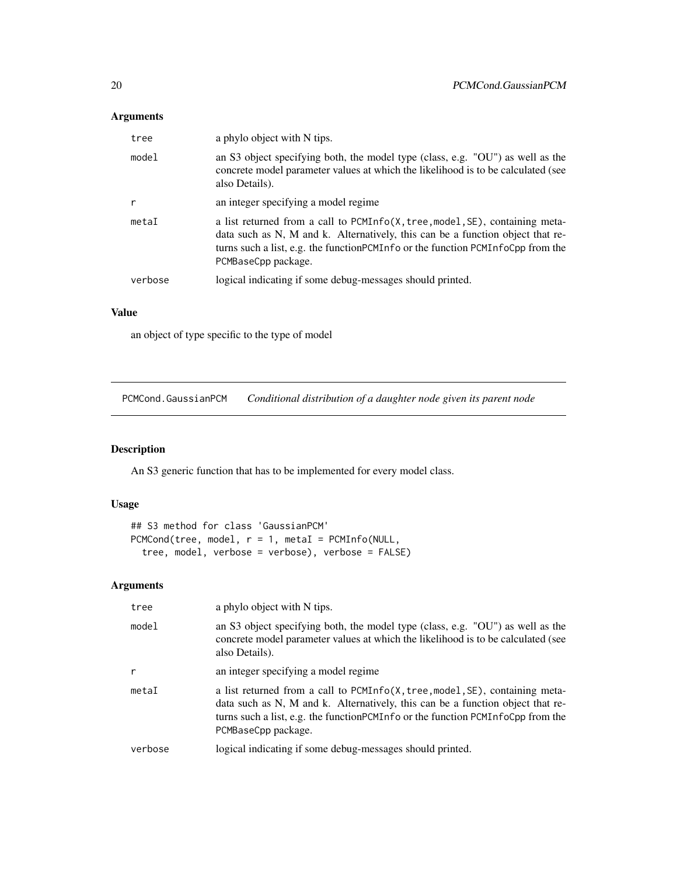# <span id="page-19-0"></span>Arguments

| tree    | a phylo object with N tips.                                                                                                                                                                                                                                              |
|---------|--------------------------------------------------------------------------------------------------------------------------------------------------------------------------------------------------------------------------------------------------------------------------|
| mode1   | an S3 object specifying both, the model type (class, e.g. "OU") as well as the<br>concrete model parameter values at which the likelihood is to be calculated (see<br>also Details).                                                                                     |
| r       | an integer specifying a model regime                                                                                                                                                                                                                                     |
| metaI   | a list returned from a call to PCMInfo(X, tree, model, SE), containing meta-<br>data such as N, M and k. Alternatively, this can be a function object that re-<br>turns such a list, e.g. the functionPCMInfo or the function PCMInfoCpp from the<br>PCMBaseCpp package. |
| verbose | logical indicating if some debug-messages should printed.                                                                                                                                                                                                                |

### Value

an object of type specific to the type of model

PCMCond.GaussianPCM *Conditional distribution of a daughter node given its parent node*

### Description

An S3 generic function that has to be implemented for every model class.

### Usage

```
## S3 method for class 'GaussianPCM'
PCMCond(tree, model, r = 1, metal = PCMInfo(NULL,tree, model, verbose = verbose), verbose = FALSE)
```
## Arguments

| tree         | a phylo object with N tips.                                                                                                                                                                                                                                                 |
|--------------|-----------------------------------------------------------------------------------------------------------------------------------------------------------------------------------------------------------------------------------------------------------------------------|
| model        | an S3 object specifying both, the model type (class, e.g. "OU") as well as the<br>concrete model parameter values at which the likelihood is to be calculated (see<br>also Details).                                                                                        |
| $\mathsf{r}$ | an integer specifying a model regime                                                                                                                                                                                                                                        |
| metaI        | a list returned from a call to PCMInfo(X, tree, model, SE), containing meta-<br>data such as N, M and k. Alternatively, this can be a function object that re-<br>turns such a list, e.g. the function PCM Info or the function PCM InfoCpp from the<br>PCMBaseCpp package. |
| verbose      | logical indicating if some debug-messages should printed.                                                                                                                                                                                                                   |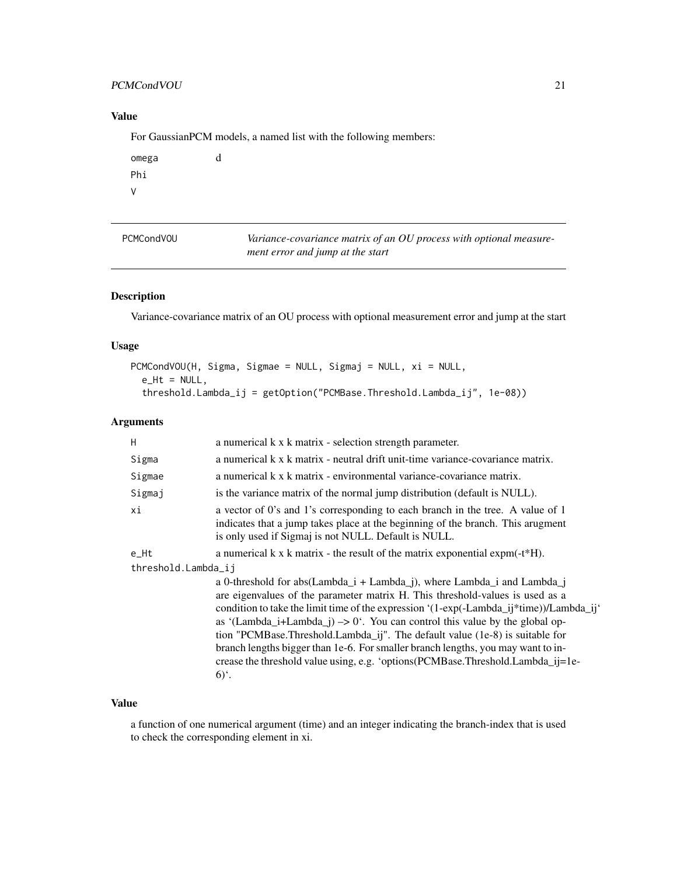### <span id="page-20-0"></span>PCMCondVOU 21

## Value

For GaussianPCM models, a named list with the following members:

| omega | d |
|-------|---|
| Phi   |   |
| V     |   |

| <b>PCMCondVOU</b> | Variance-covariance matrix of an OU process with optional measure- |
|-------------------|--------------------------------------------------------------------|
|                   | ment error and jump at the start                                   |

### Description

Variance-covariance matrix of an OU process with optional measurement error and jump at the start

### Usage

```
PCMCondVOU(H, Sigma, Sigmae = NULL, Sigmaj = NULL, xi = NULL,
  e_Ht = NULL,
  threshold.Lambda_ij = getOption("PCMBase.Threshold.Lambda_ij", 1e-08))
```
### Arguments

| H                   | a numerical k x k matrix - selection strength parameter.                                                                                                                                                                                                                                                                                                                                                                                                                                                                                                                                                                    |  |
|---------------------|-----------------------------------------------------------------------------------------------------------------------------------------------------------------------------------------------------------------------------------------------------------------------------------------------------------------------------------------------------------------------------------------------------------------------------------------------------------------------------------------------------------------------------------------------------------------------------------------------------------------------------|--|
| Sigma               | a numerical k x k matrix - neutral drift unit-time variance-covariance matrix.                                                                                                                                                                                                                                                                                                                                                                                                                                                                                                                                              |  |
| Sigmae              | a numerical k x k matrix - environmental variance-covariance matrix.                                                                                                                                                                                                                                                                                                                                                                                                                                                                                                                                                        |  |
| Sigmaj              | is the variance matrix of the normal jump distribution (default is NULL).                                                                                                                                                                                                                                                                                                                                                                                                                                                                                                                                                   |  |
| хi                  | a vector of 0's and 1's corresponding to each branch in the tree. A value of 1<br>indicates that a jump takes place at the beginning of the branch. This arugment<br>is only used if Sigmaj is not NULL. Default is NULL.                                                                                                                                                                                                                                                                                                                                                                                                   |  |
| $e$ _Ht             | a numerical $k \times k$ matrix - the result of the matrix exponential expm(- $t*H$ ).                                                                                                                                                                                                                                                                                                                                                                                                                                                                                                                                      |  |
| threshold.Lambda_ij |                                                                                                                                                                                                                                                                                                                                                                                                                                                                                                                                                                                                                             |  |
|                     | a 0-threshold for abs(Lambda_i + Lambda_j), where Lambda_i and Lambda_j<br>are eigenvalues of the parameter matrix H. This threshold-values is used as a<br>condition to take the limit time of the expression '(1-exp(-Lambda_ij*time))/Lambda_ij'<br>as '(Lambda_i+Lambda_j) $\rightarrow$ 0'. You can control this value by the global op-<br>tion "PCMBase.Threshold.Lambda_ij". The default value (1e-8) is suitable for<br>branch lengths bigger than 1e-6. For smaller branch lengths, you may want to in-<br>crease the threshold value using, e.g. 'options(PCMBase.Threshold.Lambda_ij=1e-<br>$6)$ <sup>c</sup> . |  |

### Value

a function of one numerical argument (time) and an integer indicating the branch-index that is used to check the corresponding element in xi.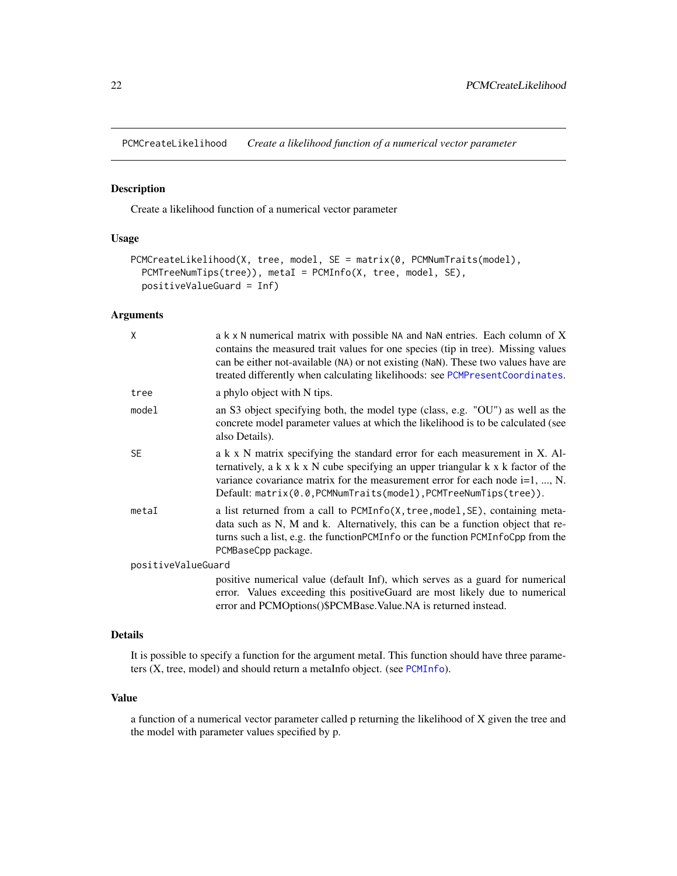<span id="page-21-0"></span>PCMCreateLikelihood *Create a likelihood function of a numerical vector parameter*

### Description

Create a likelihood function of a numerical vector parameter

#### Usage

```
PCMCreateLikelihood(X, tree, model, SE = matrix(0, PCMNumTraits(model),
  PCMTreeNumTips(tree)), metaI = PCMInfo(X, tree, model, SE),
 positiveValueGuard = Inf)
```
#### Arguments

| X                  | a k x N numerical matrix with possible NA and NaN entries. Each column of X<br>contains the measured trait values for one species (tip in tree). Missing values<br>can be either not-available (NA) or not existing (NaN). These two values have are<br>treated differently when calculating likelihoods: see PCMPresentCoordinates.      |  |
|--------------------|-------------------------------------------------------------------------------------------------------------------------------------------------------------------------------------------------------------------------------------------------------------------------------------------------------------------------------------------|--|
| tree               | a phylo object with N tips.                                                                                                                                                                                                                                                                                                               |  |
| model              | an S3 object specifying both, the model type (class, e.g. "OU") as well as the<br>concrete model parameter values at which the likelihood is to be calculated (see<br>also Details).                                                                                                                                                      |  |
| <b>SE</b>          | a k x N matrix specifying the standard error for each measurement in X. Al-<br>ternatively, a $k \times k \times N$ cube specifying an upper triangular $k \times k$ factor of the<br>variance covariance matrix for the measurement error for each node $i=1, , N$ .<br>Default: matrix(0.0, PCMNumTraits(model), PCMTreeNumTips(tree)). |  |
| metaI              | a list returned from a call to PCMInfo(X, tree, model, SE), containing meta-<br>data such as N, M and k. Alternatively, this can be a function object that re-<br>turns such a list, e.g. the function PCM Info or the function PCM InfoCpp from the<br>PCMBaseCpp package.                                                               |  |
| positiveValueGuard |                                                                                                                                                                                                                                                                                                                                           |  |
|                    | positive numerical value (default Inf), which serves as a guard for numerical<br>error. Values exceeding this positiveGuard are most likely due to numerical<br>error and PCMOptions()\$PCMBase. Value. NA is returned instead.                                                                                                           |  |

#### Details

It is possible to specify a function for the argument metaI. This function should have three parameters (X, tree, model) and should return a metaInfo object. (see [PCMInfo](#page-29-1)).

#### Value

a function of a numerical vector parameter called p returning the likelihood of X given the tree and the model with parameter values specified by p.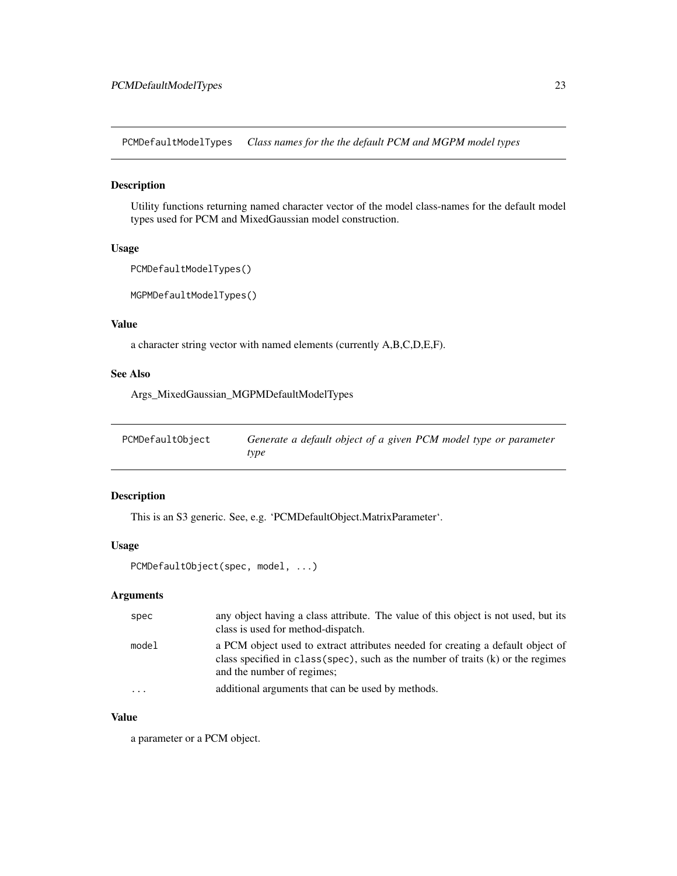<span id="page-22-0"></span>PCMDefaultModelTypes *Class names for the the default PCM and MGPM model types*

### Description

Utility functions returning named character vector of the model class-names for the default model types used for PCM and MixedGaussian model construction.

### Usage

```
PCMDefaultModelTypes()
```
MGPMDefaultModelTypes()

### Value

a character string vector with named elements (currently A,B,C,D,E,F).

#### See Also

Args\_MixedGaussian\_MGPMDefaultModelTypes

| PCMDefaultObject | Generate a default object of a given PCM model type or parameter |
|------------------|------------------------------------------------------------------|
|                  | type                                                             |

### Description

This is an S3 generic. See, e.g. 'PCMDefaultObject.MatrixParameter'.

### Usage

PCMDefaultObject(spec, model, ...)

#### Arguments

| spec  | any object having a class attribute. The value of this object is not used, but its<br>class is used for method-dispatch.                                                                              |
|-------|-------------------------------------------------------------------------------------------------------------------------------------------------------------------------------------------------------|
| model | a PCM object used to extract attributes needed for creating a default object of<br>class specified in $class(spec)$ , such as the number of traits $(k)$ or the regimes<br>and the number of regimes; |
| .     | additional arguments that can be used by methods.                                                                                                                                                     |

#### Value

a parameter or a PCM object.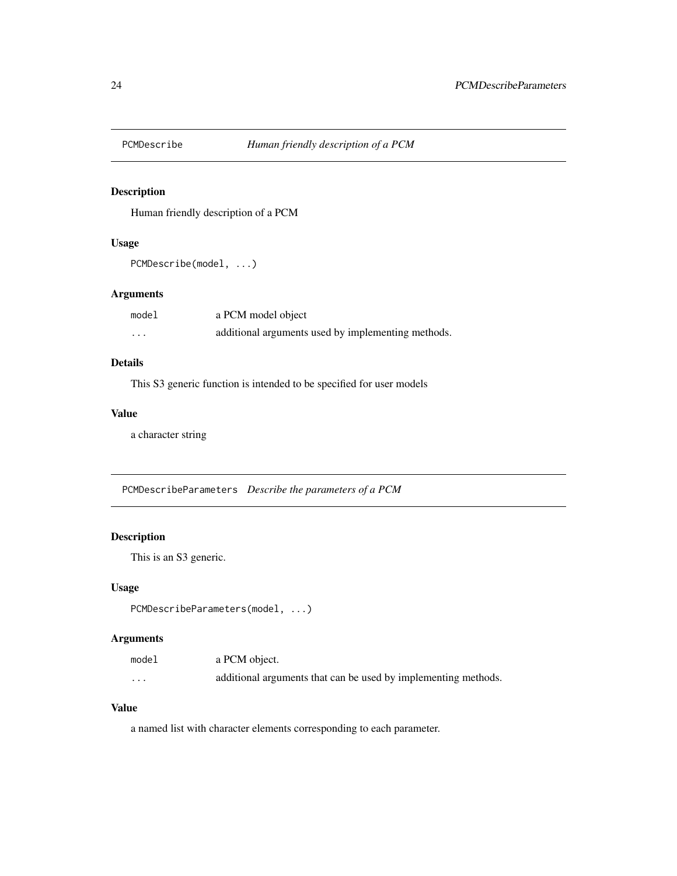<span id="page-23-0"></span>

### Description

Human friendly description of a PCM

### Usage

```
PCMDescribe(model, ...)
```
## Arguments

| model | a PCM model object                                 |
|-------|----------------------------------------------------|
| .     | additional arguments used by implementing methods. |

### Details

This S3 generic function is intended to be specified for user models

### Value

a character string

PCMDescribeParameters *Describe the parameters of a PCM*

### Description

This is an S3 generic.

### Usage

PCMDescribeParameters(model, ...)

# Arguments

| model    | a PCM object.                                                  |
|----------|----------------------------------------------------------------|
| $\cdots$ | additional arguments that can be used by implementing methods. |

## Value

a named list with character elements corresponding to each parameter.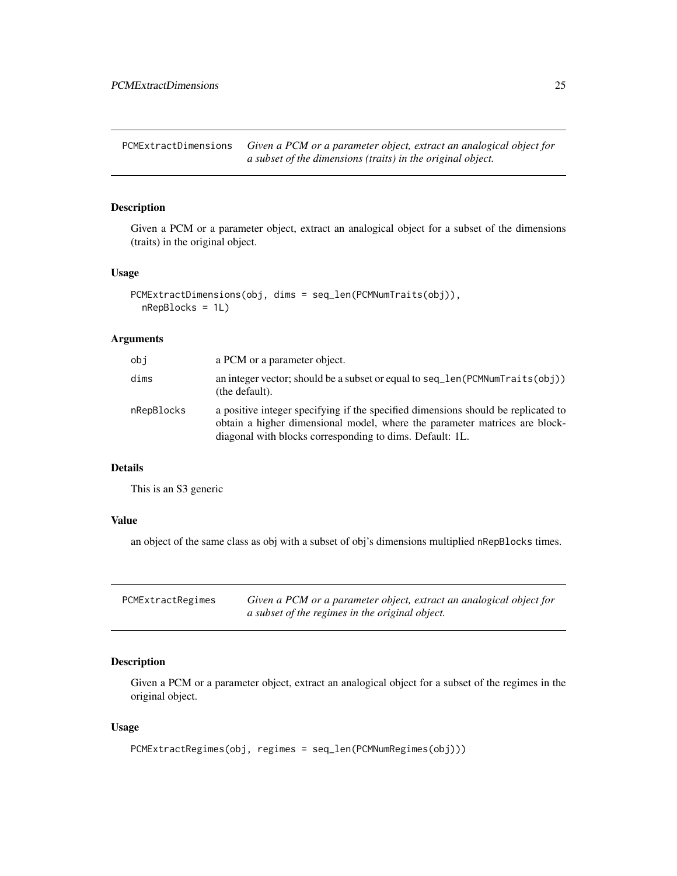<span id="page-24-0"></span>PCMExtractDimensions *Given a PCM or a parameter object, extract an analogical object for a subset of the dimensions (traits) in the original object.*

### Description

Given a PCM or a parameter object, extract an analogical object for a subset of the dimensions (traits) in the original object.

#### Usage

```
PCMExtractDimensions(obj, dims = seq_len(PCMNumTraits(obj)),
 nRepBlocks = 1L)
```
#### Arguments

| obi        | a PCM or a parameter object.                                                                                                                                                                                                |
|------------|-----------------------------------------------------------------------------------------------------------------------------------------------------------------------------------------------------------------------------|
| dims       | an integer vector; should be a subset or equal to $seq$ len ( $PCMNumTraits(obj)$ )<br>(the default).                                                                                                                       |
| nRepBlocks | a positive integer specifying if the specified dimensions should be replicated to<br>obtain a higher dimensional model, where the parameter matrices are block-<br>diagonal with blocks corresponding to dims. Default: 1L. |

#### Details

This is an S3 generic

### Value

an object of the same class as obj with a subset of obj's dimensions multiplied nRepBlocks times.

| PCMExtractRegimes | Given a PCM or a parameter object, extract an analogical object for |
|-------------------|---------------------------------------------------------------------|
|                   | a subset of the regimes in the original object.                     |

### Description

Given a PCM or a parameter object, extract an analogical object for a subset of the regimes in the original object.

#### Usage

```
PCMExtractRegimes(obj, regimes = seq_len(PCMNumRegimes(obj)))
```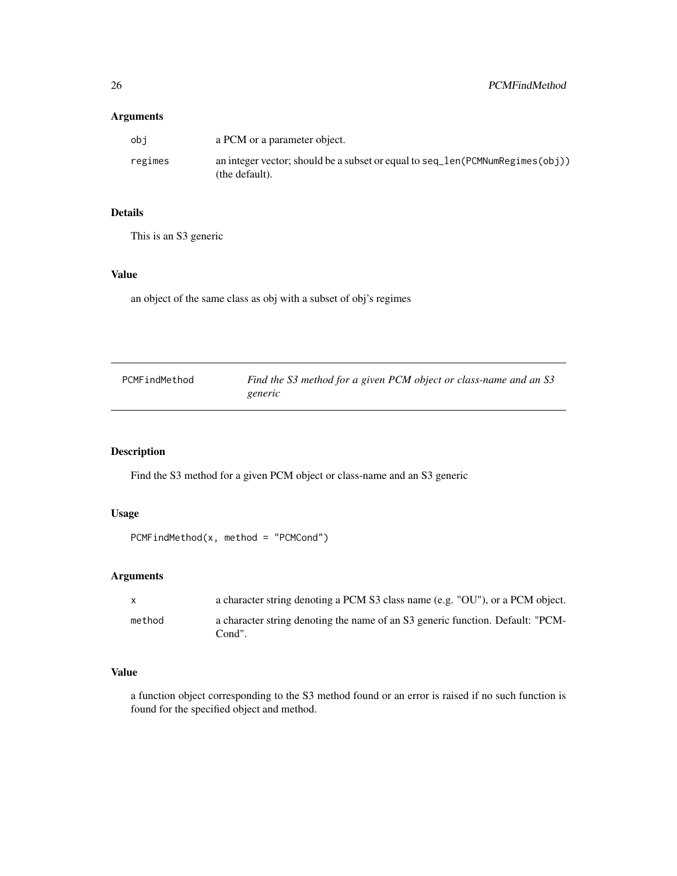### <span id="page-25-0"></span>Arguments

| obi     | a PCM or a parameter object.                                                                    |
|---------|-------------------------------------------------------------------------------------------------|
| regimes | an integer vector; should be a subset or equal to seq_len(PCMNumRegimes(obj))<br>(the default). |

### Details

This is an S3 generic

#### Value

an object of the same class as obj with a subset of obj's regimes

| PCMFindMethod | Find the S3 method for a given PCM object or class-name and an S3<br>generic |
|---------------|------------------------------------------------------------------------------|
|               |                                                                              |

# Description

Find the S3 method for a given PCM object or class-name and an S3 generic

#### Usage

```
PCMFindMethod(x, method = "PCMCond")
```
### Arguments

| $\mathbf{x}$ | a character string denoting a PCM S3 class name (e.g. "OU"), or a PCM object.            |
|--------------|------------------------------------------------------------------------------------------|
| method       | a character string denoting the name of an S3 generic function. Default: "PCM-<br>Cond". |

#### Value

a function object corresponding to the S3 method found or an error is raised if no such function is found for the specified object and method.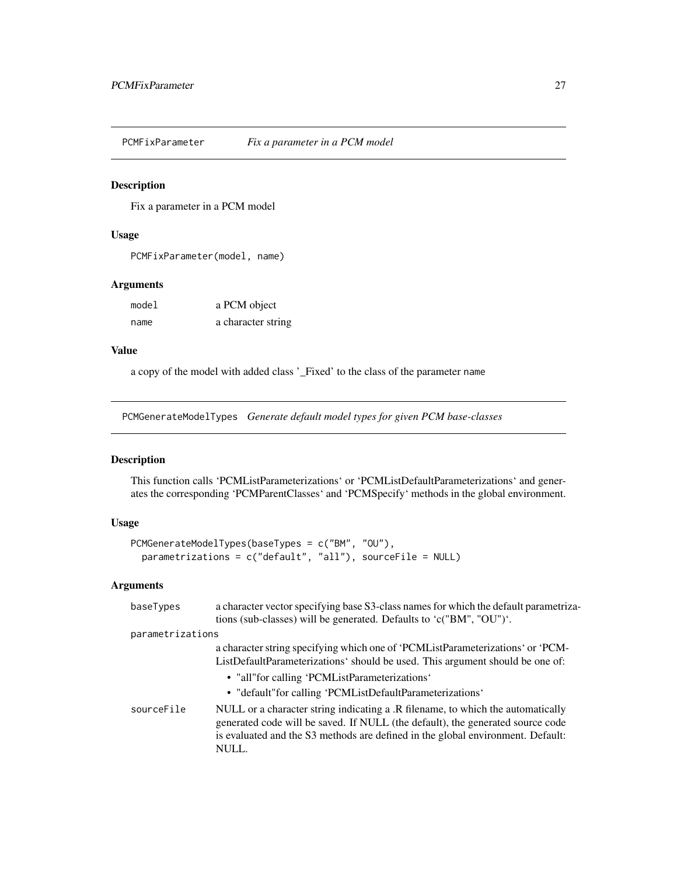<span id="page-26-0"></span>PCMFixParameter *Fix a parameter in a PCM model*

### Description

Fix a parameter in a PCM model

#### Usage

PCMFixParameter(model, name)

#### Arguments

| model | a PCM object       |
|-------|--------------------|
| name  | a character string |

#### Value

a copy of the model with added class '\_Fixed' to the class of the parameter name

PCMGenerateModelTypes *Generate default model types for given PCM base-classes*

### Description

This function calls 'PCMListParameterizations' or 'PCMListDefaultParameterizations' and generates the corresponding 'PCMParentClasses' and 'PCMSpecify' methods in the global environment.

### Usage

```
PCMGenerateModelTypes(baseTypes = c("BM", "OU"),
 parametrizations = c("default", "all"), sourceFile = NULL)
```
### Arguments

| baseTypes        | a character vector specifying base S3-class names for which the default parametriza-<br>tions (sub-classes) will be generated. Defaults to 'c("BM", "OU")'.                                                                                                                          |
|------------------|--------------------------------------------------------------------------------------------------------------------------------------------------------------------------------------------------------------------------------------------------------------------------------------|
| parametrizations |                                                                                                                                                                                                                                                                                      |
|                  | a character string specifying which one of 'PCML istParameterizations' or 'PCM-<br>ListDefaultParameterizations' should be used. This argument should be one of:<br>• "all" for calling 'PCML ist Parameterizations'<br>• "default" for calling 'PCML ist Default Parameterizations' |
| sourceFile       | NULL or a character string indicating a .R filename, to which the automatically<br>generated code will be saved. If NULL (the default), the generated source code<br>is evaluated and the S3 methods are defined in the global environment. Default:<br>NULL.                        |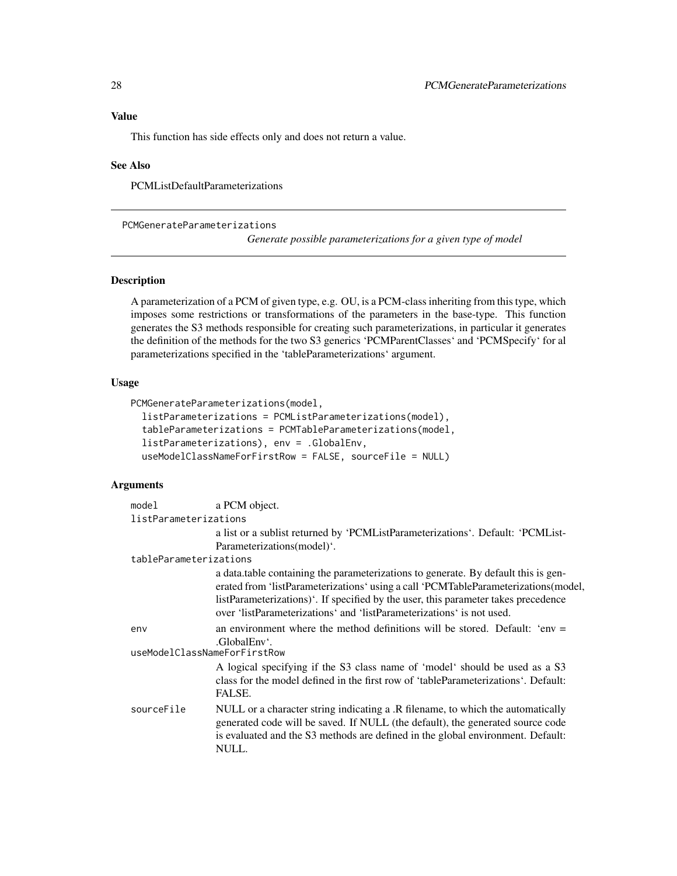### <span id="page-27-0"></span>Value

This function has side effects only and does not return a value.

#### See Also

PCMListDefaultParameterizations

<span id="page-27-1"></span>PCMGenerateParameterizations

*Generate possible parameterizations for a given type of model*

### Description

A parameterization of a PCM of given type, e.g. OU, is a PCM-class inheriting from this type, which imposes some restrictions or transformations of the parameters in the base-type. This function generates the S3 methods responsible for creating such parameterizations, in particular it generates the definition of the methods for the two S3 generics 'PCMParentClasses' and 'PCMSpecify' for al parameterizations specified in the 'tableParameterizations' argument.

### Usage

```
PCMGenerateParameterizations(model,
  listParameterizations = PCMListParameterizations(model),
  tableParameterizations = PCMTableParameterizations(model,
  listParameterizations), env = .GlobalEnv,
  useModelClassNameForFirstRow = FALSE, sourceFile = NULL)
```
#### Arguments

| model                               | a PCM object.                                                                                                                                                                                                                                                                                                                           |  |
|-------------------------------------|-----------------------------------------------------------------------------------------------------------------------------------------------------------------------------------------------------------------------------------------------------------------------------------------------------------------------------------------|--|
| listParameterizations               |                                                                                                                                                                                                                                                                                                                                         |  |
|                                     | a list or a sublist returned by 'PCMListParameterizations'. Default: 'PCMList-                                                                                                                                                                                                                                                          |  |
|                                     | Parameterizations(model)'.                                                                                                                                                                                                                                                                                                              |  |
| tableParameterizations              |                                                                                                                                                                                                                                                                                                                                         |  |
|                                     | a data table containing the parameterizations to generate. By default this is gen-<br>erated from 'listParameterizations' using a call 'PCMTableParameterizations(model,<br>listParameterizations)'. If specified by the user, this parameter takes precedence<br>over 'listParameterizations' and 'listParameterizations' is not used. |  |
| env<br>useModelClassNameForFirstRow | an environment where the method definitions will be stored. Default: 'env $=$<br>.GlobalEnv'.                                                                                                                                                                                                                                           |  |
|                                     | A logical specifying if the S3 class name of 'model' should be used as a S3<br>class for the model defined in the first row of 'tableParameterizations'. Default:<br>FALSE.                                                                                                                                                             |  |
| sourceFile                          | NULL or a character string indicating a .R filename, to which the automatically<br>generated code will be saved. If NULL (the default), the generated source code<br>is evaluated and the S3 methods are defined in the global environment. Default:<br>NULL.                                                                           |  |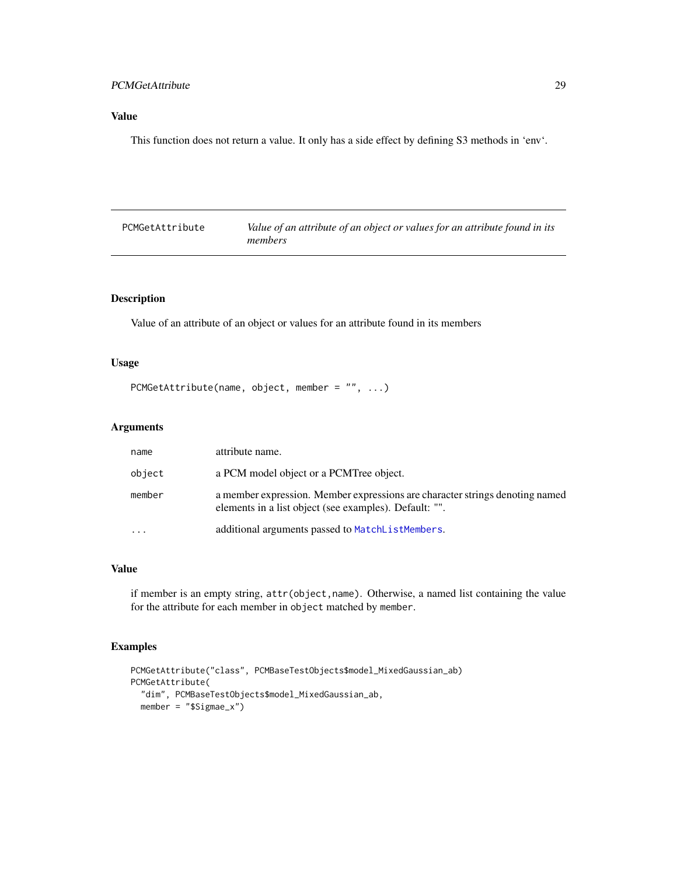### <span id="page-28-0"></span>PCMGetAttribute 29

### Value

This function does not return a value. It only has a side effect by defining S3 methods in 'env'.

| PCMGetAttribute | Value of an attribute of an object or values for an attribute found in its |
|-----------------|----------------------------------------------------------------------------|
|                 | members                                                                    |

# Description

Value of an attribute of an object or values for an attribute found in its members

#### Usage

```
PCMGetAttribute(name, object, member = "", ...)
```
### Arguments

| name   | attribute name.                                                                                                                        |
|--------|----------------------------------------------------------------------------------------------------------------------------------------|
| object | a PCM model object or a PCMTree object.                                                                                                |
| member | a member expression. Member expressions are character strings denoting named<br>elements in a list object (see examples). Default: "". |
|        | additional arguments passed to MatchListMembers.                                                                                       |

### Value

if member is an empty string, attr(object,name). Otherwise, a named list containing the value for the attribute for each member in object matched by member.

### Examples

```
PCMGetAttribute("class", PCMBaseTestObjects$model_MixedGaussian_ab)
PCMGetAttribute(
  "dim", PCMBaseTestObjects$model_MixedGaussian_ab,
  member = "$Sigmae_x")
```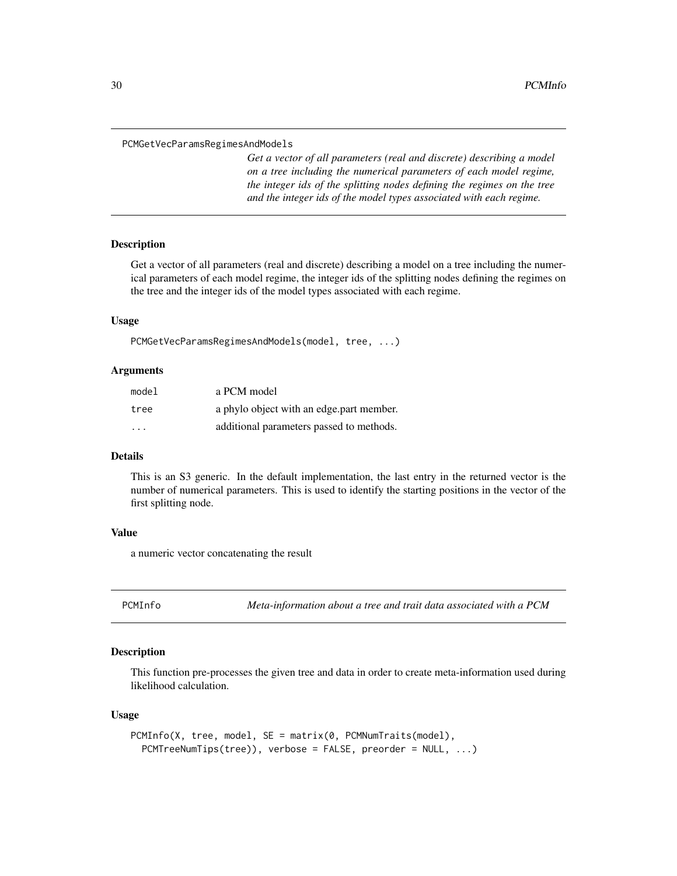<span id="page-29-0"></span>PCMGetVecParamsRegimesAndModels

*Get a vector of all parameters (real and discrete) describing a model on a tree including the numerical parameters of each model regime, the integer ids of the splitting nodes defining the regimes on the tree and the integer ids of the model types associated with each regime.*

### Description

Get a vector of all parameters (real and discrete) describing a model on a tree including the numerical parameters of each model regime, the integer ids of the splitting nodes defining the regimes on the tree and the integer ids of the model types associated with each regime.

#### Usage

PCMGetVecParamsRegimesAndModels(model, tree, ...)

#### Arguments

| model | a PCM model                              |
|-------|------------------------------------------|
| tree  | a phylo object with an edge part member. |
| .     | additional parameters passed to methods. |

### Details

This is an S3 generic. In the default implementation, the last entry in the returned vector is the number of numerical parameters. This is used to identify the starting positions in the vector of the first splitting node.

#### Value

a numeric vector concatenating the result

<span id="page-29-1"></span>PCMInfo *Meta-information about a tree and trait data associated with a PCM*

### Description

This function pre-processes the given tree and data in order to create meta-information used during likelihood calculation.

#### Usage

```
PCMInfo(X, tree, model, SE = matrix(0, PCMNumTraits(model),
 PCMTreeNumTips(tree)), verbose = FALSE, preorder = NULL, ...)
```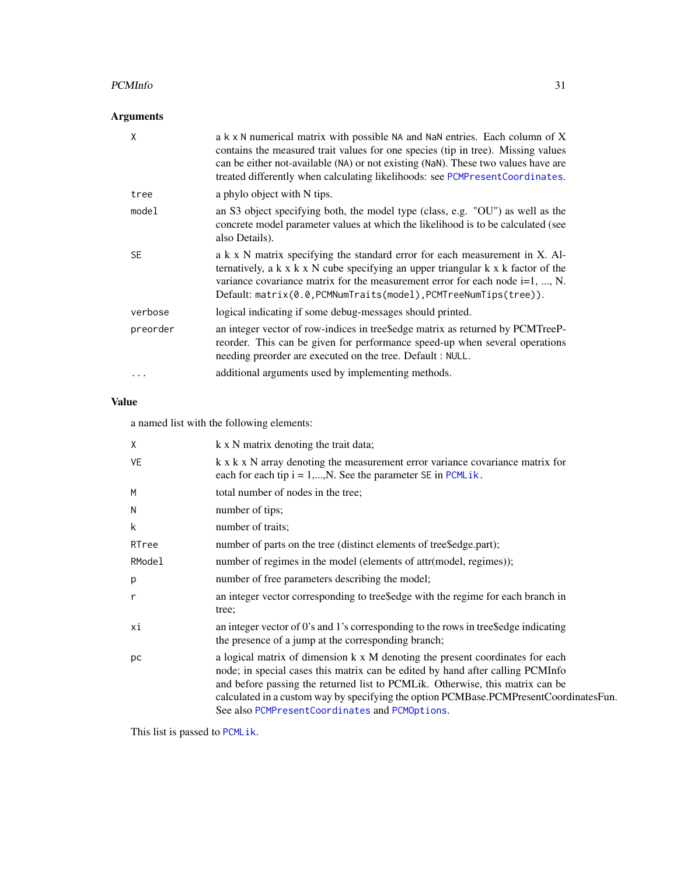#### PCMInfo 31

# Arguments

| X         | a k x N numerical matrix with possible NA and NaN entries. Each column of X<br>contains the measured trait values for one species (tip in tree). Missing values<br>can be either not-available (NA) or not existing (NaN). These two values have are<br>treated differently when calculating likelihoods: see PCMPresentCoordinates.      |
|-----------|-------------------------------------------------------------------------------------------------------------------------------------------------------------------------------------------------------------------------------------------------------------------------------------------------------------------------------------------|
| tree      | a phylo object with N tips.                                                                                                                                                                                                                                                                                                               |
| model     | an S3 object specifying both, the model type (class, e.g. "OU") as well as the<br>concrete model parameter values at which the likelihood is to be calculated (see<br>also Details).                                                                                                                                                      |
| <b>SE</b> | a k x N matrix specifying the standard error for each measurement in X. Al-<br>ternatively, a $k \times k \times N$ cube specifying an upper triangular $k \times k$ factor of the<br>variance covariance matrix for the measurement error for each node $i=1, , N$ .<br>Default: matrix(0.0, PCMNumTraits(model), PCMTreeNumTips(tree)). |
| verbose   | logical indicating if some debug-messages should printed.                                                                                                                                                                                                                                                                                 |
| preorder  | an integer vector of row-indices in tree\$edge matrix as returned by PCMTreeP-<br>reorder. This can be given for performance speed-up when several operations<br>needing preorder are executed on the tree. Default : NULL.                                                                                                               |
|           | additional arguments used by implementing methods.                                                                                                                                                                                                                                                                                        |

# Value

a named list with the following elements:

| X         | k x N matrix denoting the trait data;                                                                                                                                                                                                                                                                                                                                                       |
|-----------|---------------------------------------------------------------------------------------------------------------------------------------------------------------------------------------------------------------------------------------------------------------------------------------------------------------------------------------------------------------------------------------------|
| <b>VE</b> | k x k x N array denoting the measurement error variance covariance matrix for<br>each for each tip $i = 1,,N$ . See the parameter SE in PCMLik.                                                                                                                                                                                                                                             |
| M         | total number of nodes in the tree;                                                                                                                                                                                                                                                                                                                                                          |
| N         | number of tips;                                                                                                                                                                                                                                                                                                                                                                             |
| k         | number of traits;                                                                                                                                                                                                                                                                                                                                                                           |
| RTree     | number of parts on the tree (distinct elements of tree\$edge.part);                                                                                                                                                                                                                                                                                                                         |
| RModel    | number of regimes in the model (elements of attr(model, regimes));                                                                                                                                                                                                                                                                                                                          |
| p         | number of free parameters describing the model;                                                                                                                                                                                                                                                                                                                                             |
| r         | an integer vector corresponding to tree\$edge with the regime for each branch in<br>tree;                                                                                                                                                                                                                                                                                                   |
| хi        | an integer vector of 0's and 1's corresponding to the rows in tree \$edge indicating<br>the presence of a jump at the corresponding branch;                                                                                                                                                                                                                                                 |
| pc        | a logical matrix of dimension k x M denoting the present coordinates for each<br>node; in special cases this matrix can be edited by hand after calling PCMInfo<br>and before passing the returned list to PCMLik. Otherwise, this matrix can be<br>calculated in a custom way by specifying the option PCMBase.PCMPresentCoordinatesFun.<br>See also PCMPresentCoordinates and PCMOptions. |
|           |                                                                                                                                                                                                                                                                                                                                                                                             |

This list is passed to [PCMLik](#page-31-1).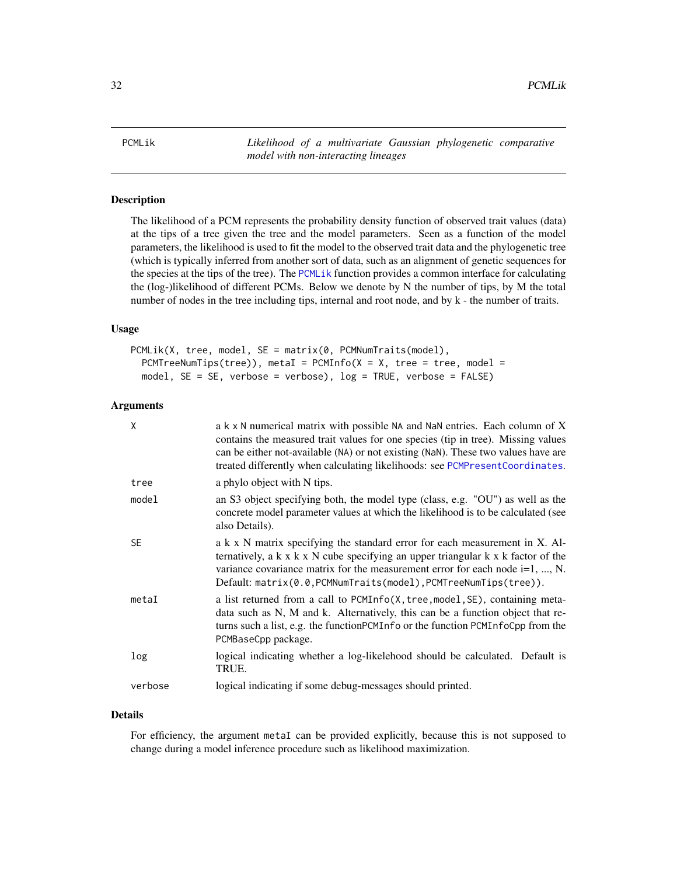<span id="page-31-1"></span><span id="page-31-0"></span>PCMLik *Likelihood of a multivariate Gaussian phylogenetic comparative model with non-interacting lineages*

### Description

The likelihood of a PCM represents the probability density function of observed trait values (data) at the tips of a tree given the tree and the model parameters. Seen as a function of the model parameters, the likelihood is used to fit the model to the observed trait data and the phylogenetic tree (which is typically inferred from another sort of data, such as an alignment of genetic sequences for the species at the tips of the tree). The [PCMLik](#page-31-1) function provides a common interface for calculating the (log-)likelihood of different PCMs. Below we denote by N the number of tips, by M the total number of nodes in the tree including tips, internal and root node, and by k - the number of traits.

#### Usage

```
PCMLik(X, tree, model, SE = matrix(0, PCMNumTraits(model),
 PCMTreeNumTips(tree)), metaI = PCMInfo(X = X, tree = tree, model =model, SE = SE, verbose = verbose), log = TRUE, verbose = FALSE)
```
#### Arguments

| X         | a k x N numerical matrix with possible NA and NaN entries. Each column of X<br>contains the measured trait values for one species (tip in tree). Missing values<br>can be either not-available (NA) or not existing (NaN). These two values have are<br>treated differently when calculating likelihoods: see PCMPresentCoordinates.      |
|-----------|-------------------------------------------------------------------------------------------------------------------------------------------------------------------------------------------------------------------------------------------------------------------------------------------------------------------------------------------|
| tree      | a phylo object with N tips.                                                                                                                                                                                                                                                                                                               |
| model     | an S3 object specifying both, the model type (class, e.g. "OU") as well as the<br>concrete model parameter values at which the likelihood is to be calculated (see<br>also Details).                                                                                                                                                      |
| <b>SE</b> | a k x N matrix specifying the standard error for each measurement in X. Al-<br>ternatively, a $k \times k \times N$ cube specifying an upper triangular $k \times k$ factor of the<br>variance covariance matrix for the measurement error for each node $i=1, , N$ .<br>Default: matrix(0.0, PCMNumTraits(model), PCMTreeNumTips(tree)). |
| metaI     | a list returned from a call to PCMInfo(X, tree, model, SE), containing meta-<br>data such as N, M and k. Alternatively, this can be a function object that re-<br>turns such a list, e.g. the function PCMI n fo or the function PCMI n focpp from the<br>PCMBaseCpp package.                                                             |
| log       | logical indicating whether a log-likelehood should be calculated. Default is<br>TRUE.                                                                                                                                                                                                                                                     |
| verbose   | logical indicating if some debug-messages should printed.                                                                                                                                                                                                                                                                                 |

#### Details

For efficiency, the argument metaI can be provided explicitly, because this is not supposed to change during a model inference procedure such as likelihood maximization.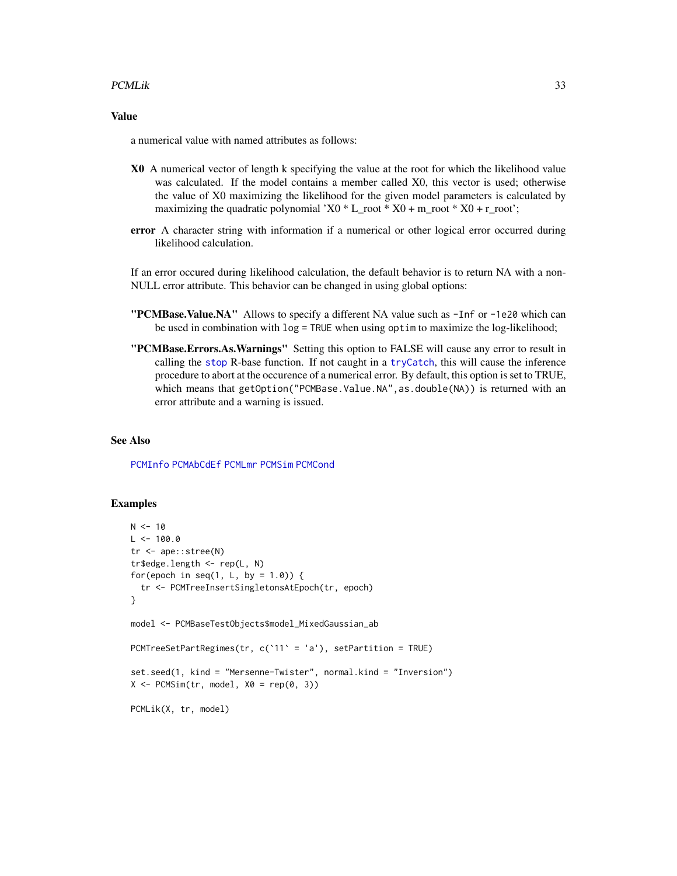#### PCMLik 33

### Value

a numerical value with named attributes as follows:

- X0 A numerical vector of length k specifying the value at the root for which the likelihood value was calculated. If the model contains a member called X0, this vector is used; otherwise the value of X0 maximizing the likelihood for the given model parameters is calculated by maximizing the quadratic polynomial 'X0  $*$  L\_root  $*$  X0 + m\_root  $*$  X0 + r\_root';
- error A character string with information if a numerical or other logical error occurred during likelihood calculation.

If an error occured during likelihood calculation, the default behavior is to return NA with a non-NULL error attribute. This behavior can be changed in using global options:

- "PCMBase.Value.NA" Allows to specify a different NA value such as -Inf or -1e20 which can be used in combination with log = TRUE when using optim to maximize the log-likelihood;
- "PCMBase.Errors.As.Warnings" Setting this option to FALSE will cause any error to result in calling the [stop](#page-0-0) R-base function. If not caught in a [tryCatch](#page-0-0), this will cause the inference procedure to abort at the occurence of a numerical error. By default, this option is set to TRUE, which means that getOption("PCMBase.Value.NA", as.double(NA)) is returned with an error attribute and a warning is issued.

#### See Also

[PCMInfo](#page-29-1) [PCMAbCdEf](#page-13-1) [PCMLmr](#page-36-1) [PCMSim](#page-61-1) [PCMCond](#page-18-1)

#### Examples

```
N < - 10L < -100.0tr <- ape::stree(N)
tr$edge.length <- rep(L, N)
for(epoch in seq(1, L, by = 1.0)) {
  tr <- PCMTreeInsertSingletonsAtEpoch(tr, epoch)
}
model <- PCMBaseTestObjects$model_MixedGaussian_ab
PCMTreeSetPartRegimes(tr, c(`11` = 'a'), setPartition = TRUE)
set.seed(1, kind = "Mersenne-Twister", normal.kind = "Inversion")
X \le PCMSim(tr, model, X0 = rep(0, 3))PCMLik(X, tr, model)
```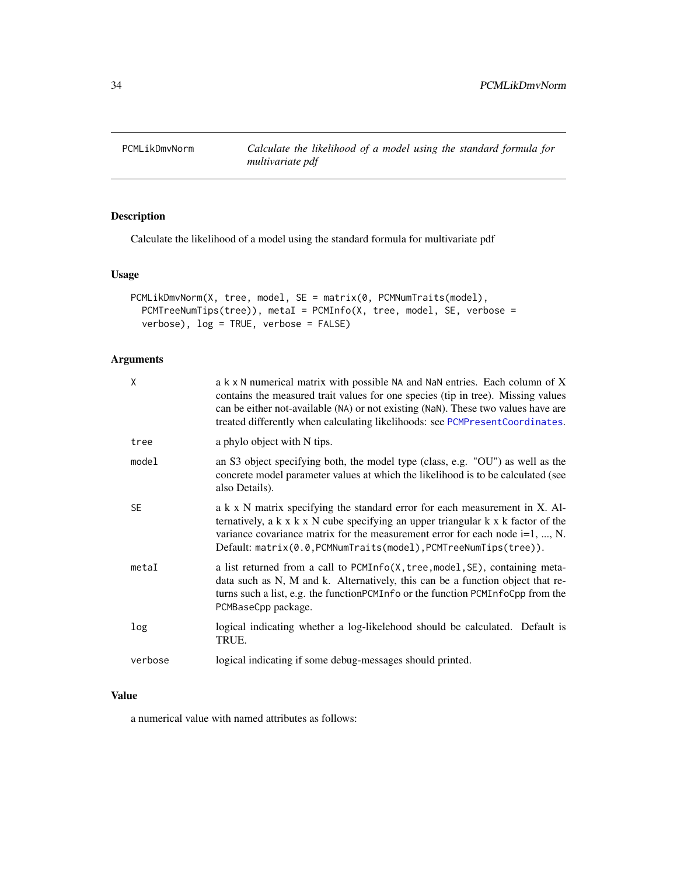<span id="page-33-0"></span>

### Description

Calculate the likelihood of a model using the standard formula for multivariate pdf

### Usage

```
PCMLikDmvNorm(X, tree, model, SE = matrix(0, PCMNumTraits(model),
 PCMTreeNumTips(tree)), metaI = PCMInfo(X, tree, model, SE, verbose =
 verbose), log = TRUE, verbose = FALSE)
```
### Arguments

| X         | a k x N numerical matrix with possible NA and NaN entries. Each column of X<br>contains the measured trait values for one species (tip in tree). Missing values<br>can be either not-available (NA) or not existing (NaN). These two values have are<br>treated differently when calculating likelihoods: see PCMPresentCoordinates.      |
|-----------|-------------------------------------------------------------------------------------------------------------------------------------------------------------------------------------------------------------------------------------------------------------------------------------------------------------------------------------------|
| tree      | a phylo object with N tips.                                                                                                                                                                                                                                                                                                               |
| model     | an S3 object specifying both, the model type (class, e.g. "OU") as well as the<br>concrete model parameter values at which the likelihood is to be calculated (see<br>also Details).                                                                                                                                                      |
| <b>SE</b> | a k x N matrix specifying the standard error for each measurement in X. Al-<br>ternatively, a $k \times k \times N$ cube specifying an upper triangular $k \times k$ factor of the<br>variance covariance matrix for the measurement error for each node $i=1, , N$ .<br>Default: matrix(0.0, PCMNumTraits(model), PCMTreeNumTips(tree)). |
| metaI     | a list returned from a call to PCMInfo(X, tree, model, SE), containing meta-<br>data such as N, M and k. Alternatively, this can be a function object that re-<br>turns such a list, e.g. the functionPCMInfo or the function PCMInfoCpp from the<br>PCMBaseCpp package.                                                                  |
| log       | logical indicating whether a log-likelehood should be calculated. Default is<br>TRUE.                                                                                                                                                                                                                                                     |
| verbose   | logical indicating if some debug-messages should printed.                                                                                                                                                                                                                                                                                 |

### Value

a numerical value with named attributes as follows: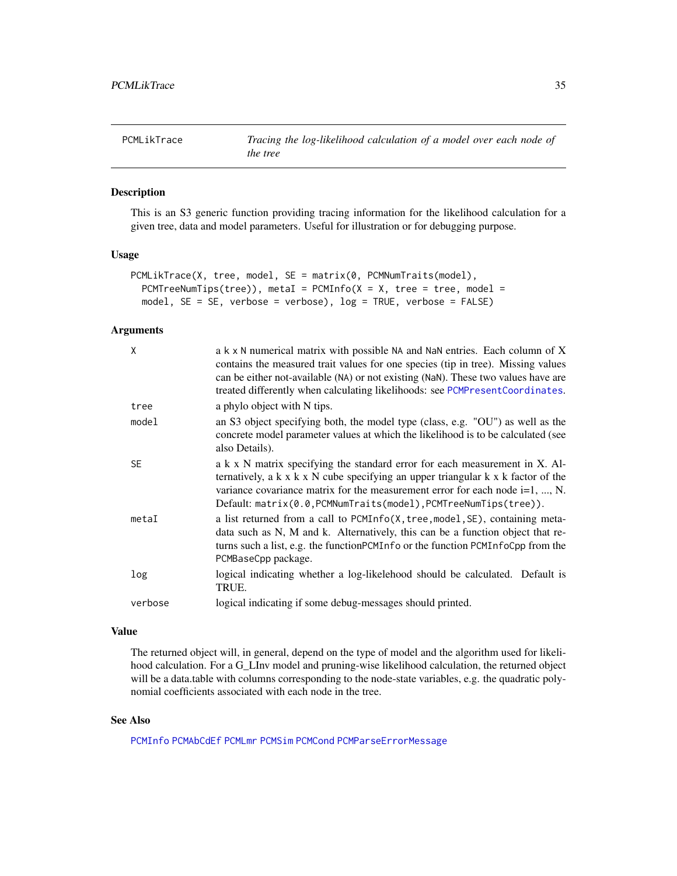<span id="page-34-0"></span>PCMLikTrace *Tracing the log-likelihood calculation of a model over each node of the tree*

#### Description

This is an S3 generic function providing tracing information for the likelihood calculation for a given tree, data and model parameters. Useful for illustration or for debugging purpose.

### Usage

```
PCMLikTrace(X, tree, model, SE = matrix(0, PCMNumTraits(model),
 PCMTreeNumTips(tree)), metaI = PCMInfo(X = X, tree = tree, model =model, SE = SE, verbose = verbose), log = TRUE, verbose = FALSE)
```
#### Arguments

| X         | a k x N numerical matrix with possible NA and NaN entries. Each column of X<br>contains the measured trait values for one species (tip in tree). Missing values<br>can be either not-available (NA) or not existing (NaN). These two values have are<br>treated differently when calculating likelihoods: see PCMPresentCoordinates.      |
|-----------|-------------------------------------------------------------------------------------------------------------------------------------------------------------------------------------------------------------------------------------------------------------------------------------------------------------------------------------------|
| tree      | a phylo object with N tips.                                                                                                                                                                                                                                                                                                               |
| model     | an S3 object specifying both, the model type (class, e.g. "OU") as well as the<br>concrete model parameter values at which the likelihood is to be calculated (see<br>also Details).                                                                                                                                                      |
| <b>SE</b> | a k x N matrix specifying the standard error for each measurement in X. Al-<br>ternatively, a $k \times k \times N$ cube specifying an upper triangular $k \times k$ factor of the<br>variance covariance matrix for the measurement error for each node $i=1, , N$ .<br>Default: matrix(0.0, PCMNumTraits(model), PCMTreeNumTips(tree)). |
| metaI     | a list returned from a call to PCMInfo(X, tree, mode1, SE), containing meta-<br>data such as N, M and k. Alternatively, this can be a function object that re-<br>turns such a list, e.g. the function PCMI n fo or the function PCMI n foCpp from the<br>PCMBaseCpp package.                                                             |
| log       | logical indicating whether a log-likelehood should be calculated. Default is<br>TRUE.                                                                                                                                                                                                                                                     |
| verbose   | logical indicating if some debug-messages should printed.                                                                                                                                                                                                                                                                                 |

#### Value

The returned object will, in general, depend on the type of model and the algorithm used for likelihood calculation. For a G\_LInv model and pruning-wise likelihood calculation, the returned object will be a data.table with columns corresponding to the node-state variables, e.g. the quadratic polynomial coefficients associated with each node in the tree.

#### See Also

[PCMInfo](#page-29-1) [PCMAbCdEf](#page-13-1) [PCMLmr](#page-36-1) [PCMSim](#page-61-1) [PCMCond](#page-18-1) [PCMParseErrorMessage](#page-54-1)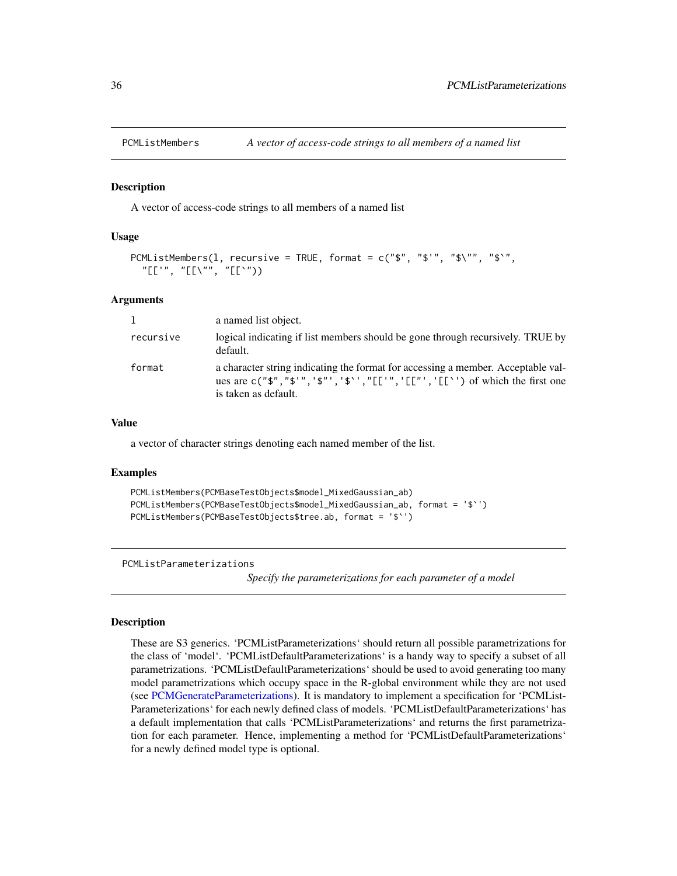<span id="page-35-1"></span><span id="page-35-0"></span>

#### **Description**

A vector of access-code strings to all members of a named list

#### Usage

```
PCMListMembers(1, recursive = TRUE, format = c("$", "$'", "$\\", "$`",
  "[['", "[[\"", "[[`"))
```
#### Arguments

| 1         | a named list object.                                                                                                                                                                          |
|-----------|-----------------------------------------------------------------------------------------------------------------------------------------------------------------------------------------------|
| recursive | logical indicating if list members should be gone through recursively. TRUE by<br>default.                                                                                                    |
| format    | a character string indicating the format for accessing a member. Acceptable val-<br>ues are $c("$", "$'', "$", "$", "$", "E["", "E["", "E["") of which the first one$<br>is taken as default. |

#### Value

a vector of character strings denoting each named member of the list.

#### Examples

```
PCMListMembers(PCMBaseTestObjects$model_MixedGaussian_ab)
PCMListMembers(PCMBaseTestObjects$model_MixedGaussian_ab, format = '$`')
PCMListMembers(PCMBaseTestObjects$tree.ab, format = '$`')
```

```
PCMListParameterizations
```
*Specify the parameterizations for each parameter of a model*

#### Description

These are S3 generics. 'PCMListParameterizations' should return all possible parametrizations for the class of 'model'. 'PCMListDefaultParameterizations' is a handy way to specify a subset of all parametrizations. 'PCMListDefaultParameterizations' should be used to avoid generating too many model parametrizations which occupy space in the R-global environment while they are not used (see [PCMGenerateParameterizations\)](#page-27-1). It is mandatory to implement a specification for 'PCMList-Parameterizations' for each newly defined class of models. 'PCMListDefaultParameterizations' has a default implementation that calls 'PCMListParameterizations' and returns the first parametrization for each parameter. Hence, implementing a method for 'PCMListDefaultParameterizations' for a newly defined model type is optional.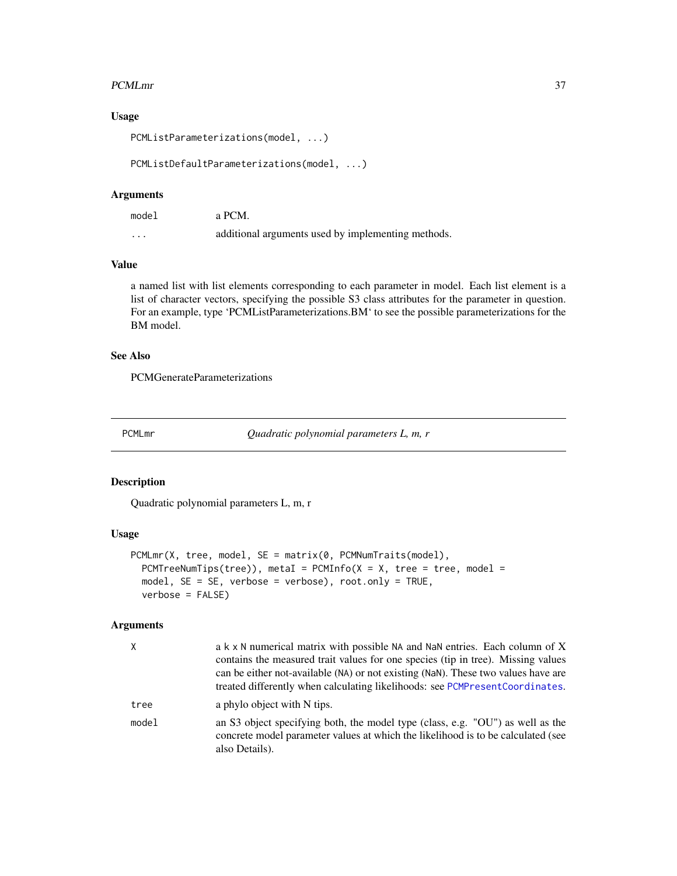### PCMLmr 37

# Usage

PCMListParameterizations(model, ...)

PCMListDefaultParameterizations(model, ...)

## Arguments

| model | a PCM.                                             |
|-------|----------------------------------------------------|
| .     | additional arguments used by implementing methods. |

# Value

a named list with list elements corresponding to each parameter in model. Each list element is a list of character vectors, specifying the possible S3 class attributes for the parameter in question. For an example, type 'PCMListParameterizations.BM' to see the possible parameterizations for the BM model.

### See Also

PCMGenerateParameterizations

PCMLmr *Quadratic polynomial parameters L, m, r*

## Description

Quadratic polynomial parameters L, m, r

### Usage

```
PCMLmr(X, tree, model, SE = matrix(0, PCMNumTraits(model),
 PCMTreeNumTips(tree)), metaI = PCMInfo(X = X, tree = tree, model =model, SE = SE, verbose = verbose), root.only = TRUE,
  verbose = FALSE)
```
### Arguments

| X     | a k x N numerical matrix with possible NA and NaN entries. Each column of X<br>contains the measured trait values for one species (tip in tree). Missing values<br>can be either not-available (NA) or not existing (NaN). These two values have are<br>treated differently when calculating likelihoods: see PCMPresent Coordinates. |
|-------|---------------------------------------------------------------------------------------------------------------------------------------------------------------------------------------------------------------------------------------------------------------------------------------------------------------------------------------|
| tree  | a phylo object with N tips.                                                                                                                                                                                                                                                                                                           |
| model | an S3 object specifying both, the model type (class, e.g. "OU") as well as the<br>concrete model parameter values at which the likelihood is to be calculated (see<br>also Details).                                                                                                                                                  |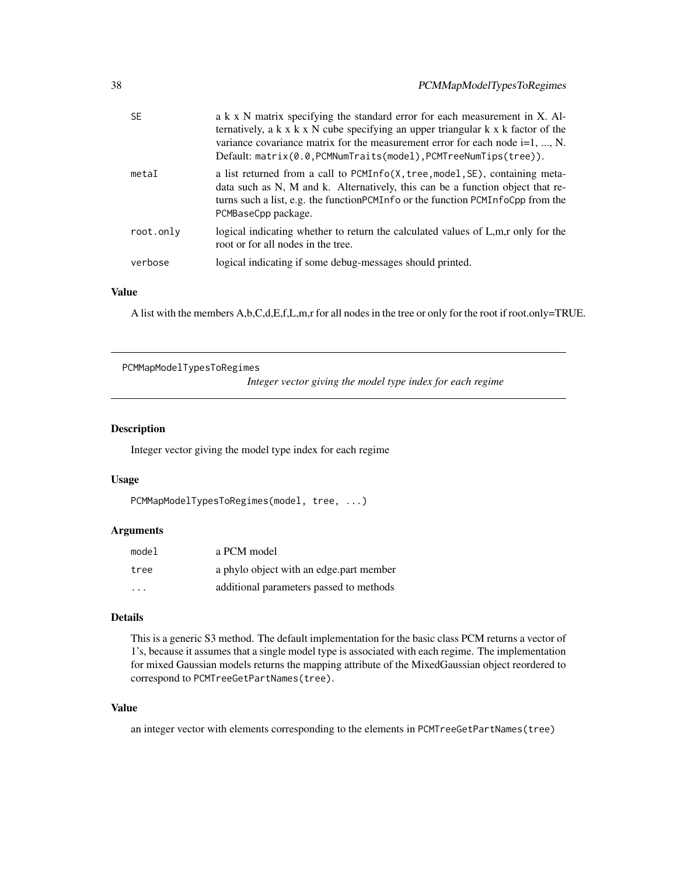| 38 |           | PCMMapModelTypesToRegimes                                                                                                                                                                                                                                                                                                                   |
|----|-----------|---------------------------------------------------------------------------------------------------------------------------------------------------------------------------------------------------------------------------------------------------------------------------------------------------------------------------------------------|
|    | <b>SE</b> | a k x N matrix specifying the standard error for each measurement in X. Al-<br>ternatively, a $k \times k \times N$ cube specifying an upper triangular $k \times k$ factor of the<br>variance covariance matrix for the measurement error for each node $i=1, , N$ .<br>$Default: matrix(0.0, PCMNumTraits(model), PCMTreeNumTips(tree)).$ |
|    | metaI     | a list returned from a call to PCMInfo(X, tree, model, SE), containing meta-<br>data such as N, M and k. Alternatively, this can be a function object that re-<br>turns such a list, e.g. the function PCMI n fo or the function PCMI n focpp from the<br>PCMBaseCpp package.                                                               |
|    | root.only | logical indicating whether to return the calculated values of L,m,r only for the<br>root or for all nodes in the tree.                                                                                                                                                                                                                      |

## verbose logical indicating if some debug-messages should printed.

# Value

A list with the members A,b,C,d,E,f,L,m,r for all nodes in the tree or only for the root if root.only=TRUE.

PCMMapModelTypesToRegimes

*Integer vector giving the model type index for each regime*

## Description

Integer vector giving the model type index for each regime

## Usage

```
PCMMapModelTypesToRegimes(model, tree, ...)
```
### Arguments

| model                   | a PCM model                             |
|-------------------------|-----------------------------------------|
| tree                    | a phylo object with an edge part member |
| $\cdot$ $\cdot$ $\cdot$ | additional parameters passed to methods |

# Details

This is a generic S3 method. The default implementation for the basic class PCM returns a vector of 1's, because it assumes that a single model type is associated with each regime. The implementation for mixed Gaussian models returns the mapping attribute of the MixedGaussian object reordered to correspond to PCMTreeGetPartNames(tree).

## Value

an integer vector with elements corresponding to the elements in PCMTreeGetPartNames(tree)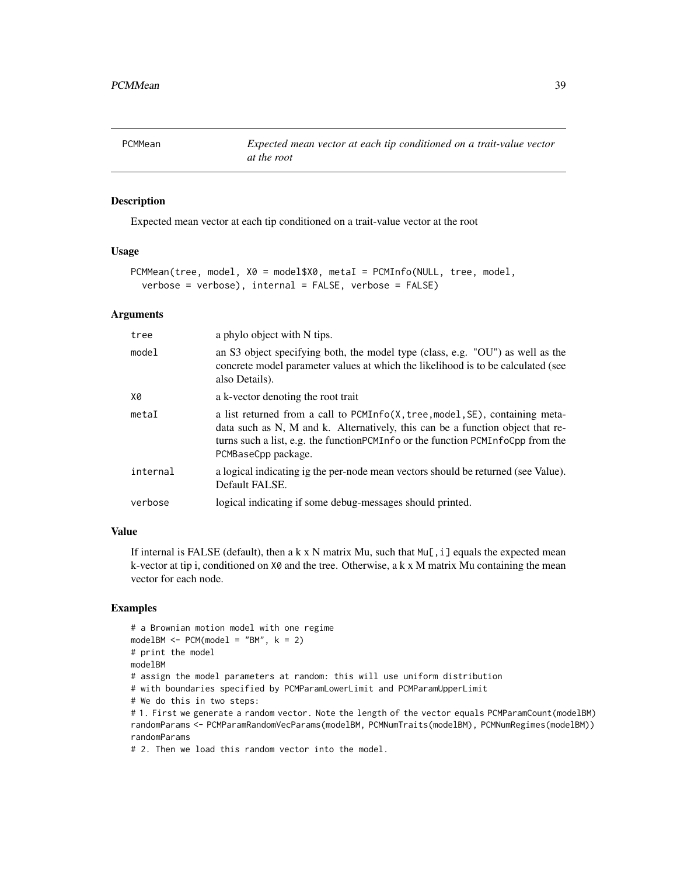# Description

Expected mean vector at each tip conditioned on a trait-value vector at the root

### Usage

```
PCMMean(tree, model, X0 = model$X0, metaI = PCMInfo(NULL, tree, model,
  verbose = verbose), internal = FALSE, verbose = FALSE)
```
### Arguments

| tree     | a phylo object with N tips.                                                                                                                                                                                                                                                   |
|----------|-------------------------------------------------------------------------------------------------------------------------------------------------------------------------------------------------------------------------------------------------------------------------------|
| model    | an S3 object specifying both, the model type (class, e.g. "OU") as well as the<br>concrete model parameter values at which the likelihood is to be calculated (see<br>also Details).                                                                                          |
| X0       | a k-vector denoting the root trait                                                                                                                                                                                                                                            |
| metaI    | a list returned from a call to PCMInfo(X, tree, model, SE), containing meta-<br>data such as N, M and k. Alternatively, this can be a function object that re-<br>turns such a list, e.g. the function PCMI n fo or the function PCMI n foCpp from the<br>PCMBaseCpp package. |
| internal | a logical indicating ig the per-node mean vectors should be returned (see Value).<br>Default FALSE.                                                                                                                                                                           |
| verbose  | logical indicating if some debug-messages should printed.                                                                                                                                                                                                                     |

### Value

If internal is FALSE (default), then a k x N matrix Mu, such that  $Mu$ [, i] equals the expected mean k-vector at tip i, conditioned on  $X\emptyset$  and the tree. Otherwise, a k x M matrix Mu containing the mean vector for each node.

# Examples

```
# a Brownian motion model with one regime
modelBM < - PCM(model = "BM", k = 2)# print the model
modelBM
# assign the model parameters at random: this will use uniform distribution
# with boundaries specified by PCMParamLowerLimit and PCMParamUpperLimit
# We do this in two steps:
# 1. First we generate a random vector. Note the length of the vector equals PCMParamCount(modelBM)
randomParams <- PCMParamRandomVecParams(modelBM, PCMNumTraits(modelBM), PCMNumRegimes(modelBM))
randomParams
```
# 2. Then we load this random vector into the model.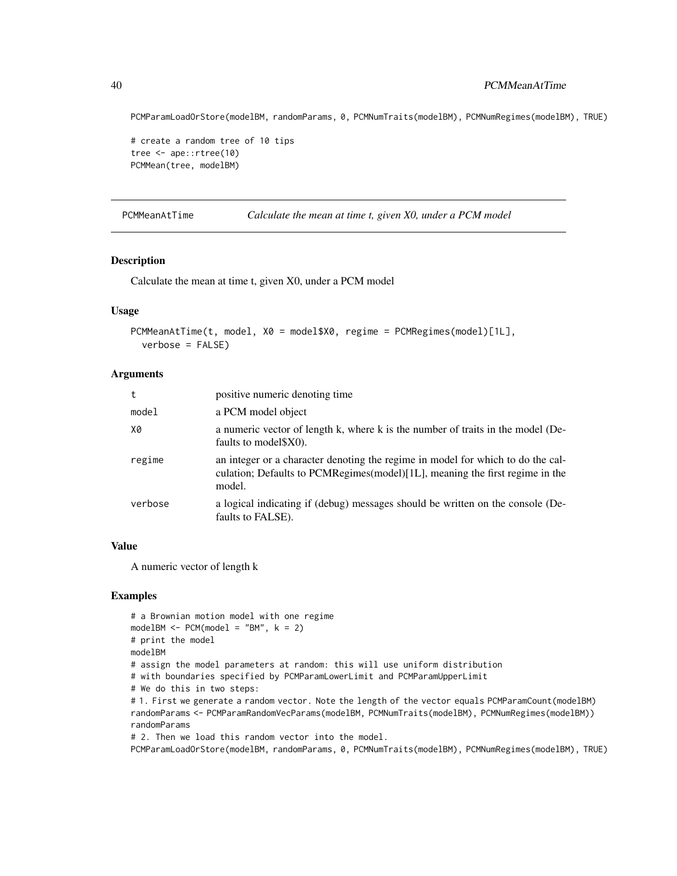PCMParamLoadOrStore(modelBM, randomParams, 0, PCMNumTraits(modelBM), PCMNumRegimes(modelBM), TRUE)

```
# create a random tree of 10 tips
tree <- ape::rtree(10)
PCMMean(tree, modelBM)
```
PCMMeanAtTime *Calculate the mean at time t, given X0, under a PCM model*

# Description

Calculate the mean at time t, given X0, under a PCM model

### Usage

```
PCMMeanAtTime(t, model, X0 = model$X0, regime = PCMRegimes(model)[1L],
  verbose = FALSE)
```
### Arguments

| t       | positive numeric denoting time                                                                                                                                            |
|---------|---------------------------------------------------------------------------------------------------------------------------------------------------------------------------|
| model   | a PCM model object                                                                                                                                                        |
| X0      | a numeric vector of length k, where k is the number of traits in the model (De-<br>faults to model \$X0).                                                                 |
| regime  | an integer or a character denoting the regime in model for which to do the cal-<br>culation; Defaults to PCMRegimes(model)[1L], meaning the first regime in the<br>model. |
| verbose | a logical indicating if (debug) messages should be written on the console (De-<br>faults to FALSE).                                                                       |

## Value

A numeric vector of length k

## Examples

```
# a Brownian motion model with one regime
modelBM < - PCM(model1 = "BM", k = 2)# print the model
modelBM
# assign the model parameters at random: this will use uniform distribution
# with boundaries specified by PCMParamLowerLimit and PCMParamUpperLimit
# We do this in two steps:
# 1. First we generate a random vector. Note the length of the vector equals PCMParamCount(modelBM)
randomParams <- PCMParamRandomVecParams(modelBM, PCMNumTraits(modelBM), PCMNumRegimes(modelBM))
randomParams
# 2. Then we load this random vector into the model.
```
PCMParamLoadOrStore(modelBM, randomParams, 0, PCMNumTraits(modelBM), PCMNumRegimes(modelBM), TRUE)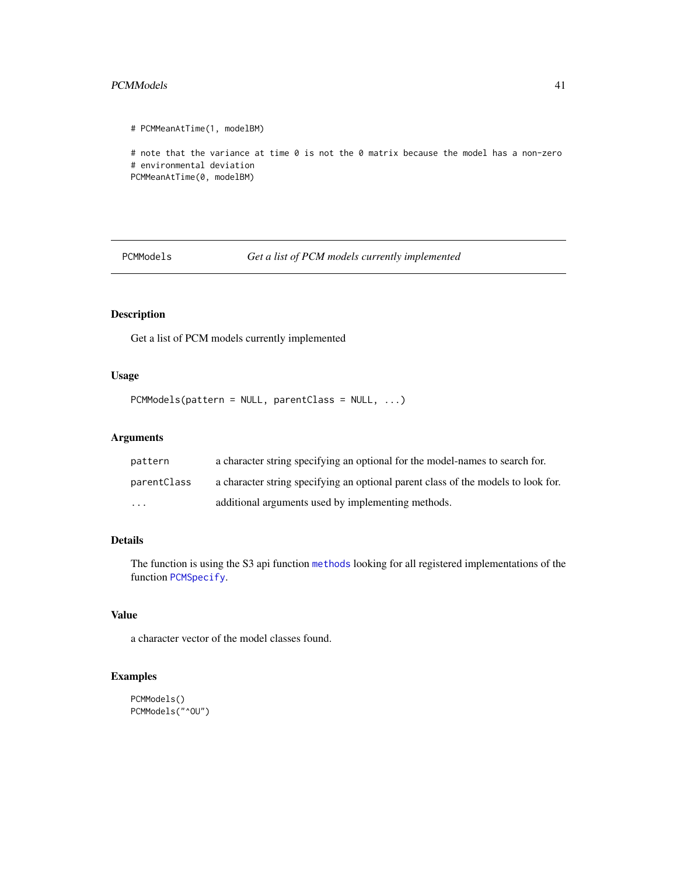#### PCMModels 41

```
# PCMMeanAtTime(1, modelBM)
# note that the variance at time 0 is not the 0 matrix because the model has a non-zero
# environmental deviation
PCMMeanAtTime(0, modelBM)
```
PCMModels *Get a list of PCM models currently implemented*

# Description

Get a list of PCM models currently implemented

# Usage

```
PCMModels(pattern = NULL, parentClass = NULL, ...)
```
# Arguments

| pattern     | a character string specifying an optional for the model-names to search for.      |
|-------------|-----------------------------------------------------------------------------------|
| parentClass | a character string specifying an optional parent class of the models to look for. |
| $\cdot$     | additional arguments used by implementing methods.                                |

# Details

The function is using the S3 api function [methods](#page-0-0) looking for all registered implementations of the function [PCMSpecify](#page-62-0).

# Value

a character vector of the model classes found.

# Examples

```
PCMModels()
PCMModels("^OU")
```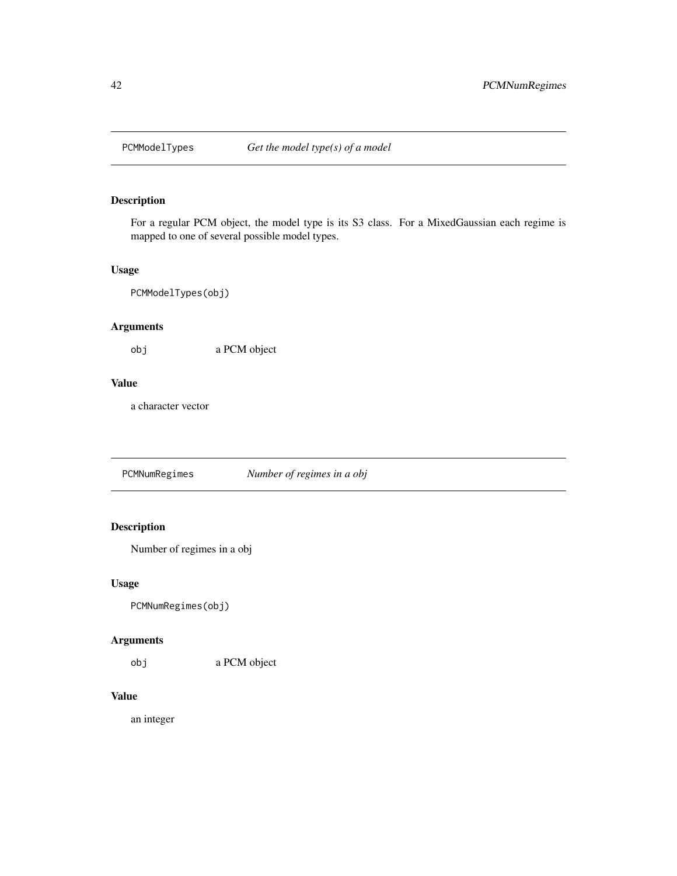# Description

For a regular PCM object, the model type is its S3 class. For a MixedGaussian each regime is mapped to one of several possible model types.

## Usage

PCMModelTypes(obj)

# Arguments

obj a PCM object

# Value

a character vector

PCMNumRegimes *Number of regimes in a obj*

# Description

Number of regimes in a obj

# Usage

PCMNumRegimes(obj)

# Arguments

obj a PCM object

# Value

an integer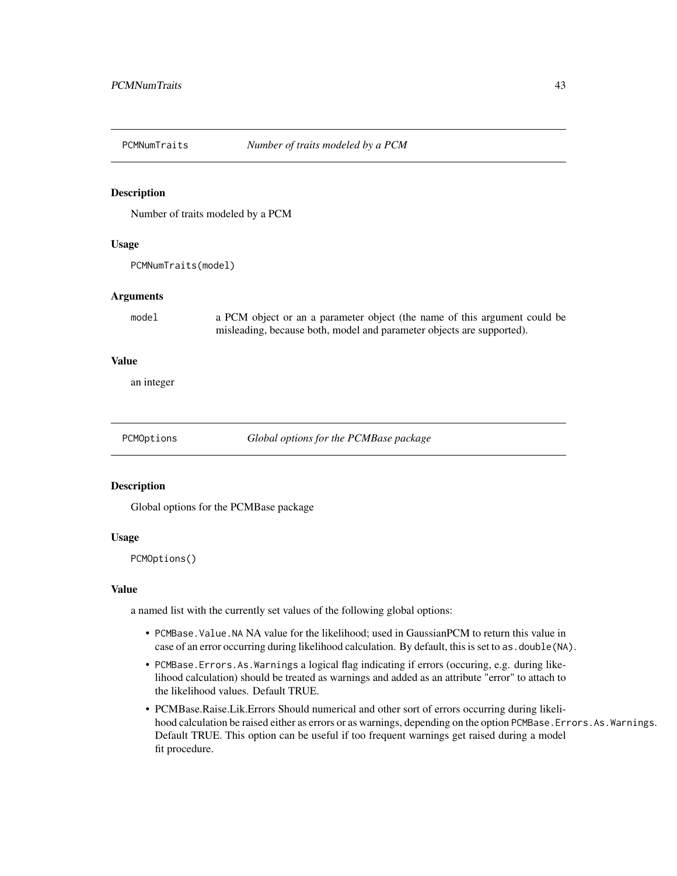### Description

Number of traits modeled by a PCM

### Usage

PCMNumTraits(model)

### Arguments

model a PCM object or an a parameter object (the name of this argument could be misleading, because both, model and parameter objects are supported).

### Value

an integer

PCMOptions *Global options for the PCMBase package*

## Description

Global options for the PCMBase package

### Usage

PCMOptions()

### Value

a named list with the currently set values of the following global options:

- PCMBase.Value.NA NA value for the likelihood; used in GaussianPCM to return this value in case of an error occurring during likelihood calculation. By default, this is set to as. double (NA).
- PCMBase.Errors.As.Warnings a logical flag indicating if errors (occuring, e.g. during likelihood calculation) should be treated as warnings and added as an attribute "error" to attach to the likelihood values. Default TRUE.
- PCMBase.Raise.Lik.Errors Should numerical and other sort of errors occurring during likelihood calculation be raised either as errors or as warnings, depending on the option PCMBase.Errors.As.Warnings. Default TRUE. This option can be useful if too frequent warnings get raised during a model fit procedure.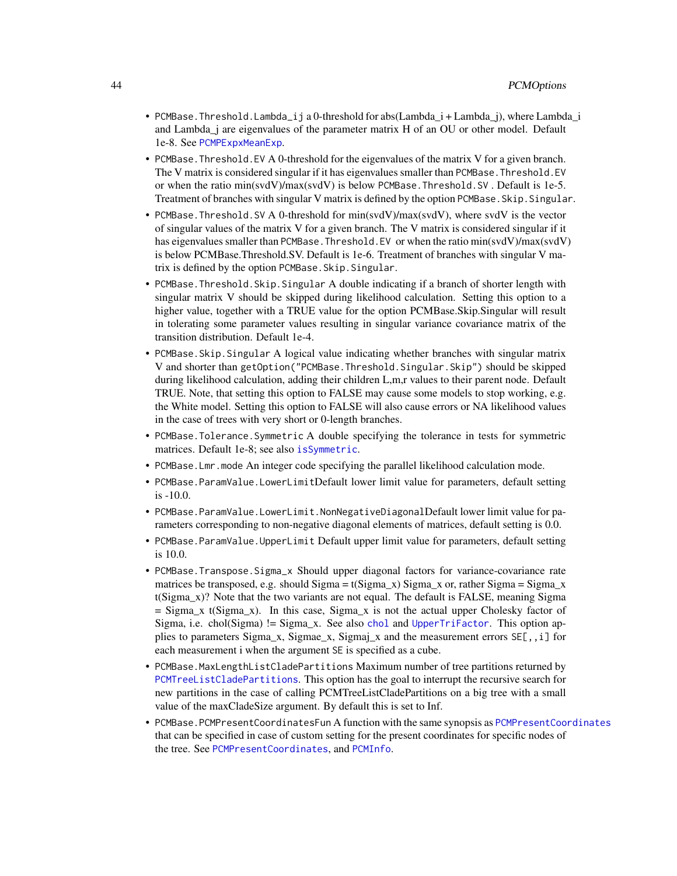- PCMBase.Threshold.Lambda\_ij a 0-threshold for abs(Lambda\_i + Lambda\_j), where Lambda\_i and Lambda\_j are eigenvalues of the parameter matrix H of an OU or other model. Default 1e-8. See [PCMPExpxMeanExp](#page-54-0).
- PCMBase.Threshold.EV A 0-threshold for the eigenvalues of the matrix V for a given branch. The V matrix is considered singular if it has eigenvalues smaller than PCMBase. Threshold. EV or when the ratio min(svdV)/max(svdV) is below PCMBase.Threshold.SV . Default is 1e-5. Treatment of branches with singular V matrix is defined by the option PCMBase.Skip.Singular.
- PCMBase.Threshold.SV A 0-threshold for min(svdV)/max(svdV), where svdV is the vector of singular values of the matrix V for a given branch. The V matrix is considered singular if it has eigenvalues smaller than PCMBase. Threshold. EV or when the ratio min(svdV)/max(svdV) is below PCMBase.Threshold.SV. Default is 1e-6. Treatment of branches with singular V matrix is defined by the option PCMBase.Skip.Singular.
- PCMBase.Threshold.Skip.Singular A double indicating if a branch of shorter length with singular matrix V should be skipped during likelihood calculation. Setting this option to a higher value, together with a TRUE value for the option PCMBase.Skip.Singular will result in tolerating some parameter values resulting in singular variance covariance matrix of the transition distribution. Default 1e-4.
- PCMBase.Skip.Singular A logical value indicating whether branches with singular matrix V and shorter than getOption("PCMBase.Threshold.Singular.Skip") should be skipped during likelihood calculation, adding their children L,m,r values to their parent node. Default TRUE. Note, that setting this option to FALSE may cause some models to stop working, e.g. the White model. Setting this option to FALSE will also cause errors or NA likelihood values in the case of trees with very short or 0-length branches.
- PCMBase.Tolerance.Symmetric A double specifying the tolerance in tests for symmetric matrices. Default 1e-8; see also [isSymmetric](#page-0-0).
- PCMBase.Lmr.mode An integer code specifying the parallel likelihood calculation mode.
- PCMBase.ParamValue.LowerLimitDefault lower limit value for parameters, default setting is -10.0.
- PCMBase.ParamValue.LowerLimit.NonNegativeDiagonalDefault lower limit value for parameters corresponding to non-negative diagonal elements of matrices, default setting is 0.0.
- PCMBase.ParamValue.UpperLimit Default upper limit value for parameters, default setting is 10.0.
- PCMBase.Transpose.Sigma\_x Should upper diagonal factors for variance-covariance rate matrices be transposed, e.g. should Sigma =  $t(Sigma x)$  Sigma\_x or, rather Sigma = Sigma\_x t(Sigma\_x)? Note that the two variants are not equal. The default is FALSE, meaning Sigma  $=$  Sigma\_x t(Sigma\_x). In this case, Sigma\_x is not the actual upper Cholesky factor of Sigma, i.e. chol(Sigma) != Sigma\_x. See also [chol](#page-0-0) and [UpperTriFactor](#page-107-0). This option applies to parameters Sigma\_x, Sigmae\_x, Sigmaj\_x and the measurement errors  $SE[, i]$  for each measurement i when the argument SE is specified as a cube.
- PCMBase.MaxLengthListCladePartitions Maximum number of tree partitions returned by [PCMTreeListCladePartitions](#page-85-0). This option has the goal to interrupt the recursive search for new partitions in the case of calling PCMTreeListCladePartitions on a big tree with a small value of the maxCladeSize argument. By default this is set to Inf.
- PCMBase.PCMPresentCoordinatesFun A function with the same synopsis as [PCMPresentCoordinates](#page-58-0) that can be specified in case of custom setting for the present coordinates for specific nodes of the tree. See [PCMPresentCoordinates](#page-58-0), and [PCMInfo](#page-29-0).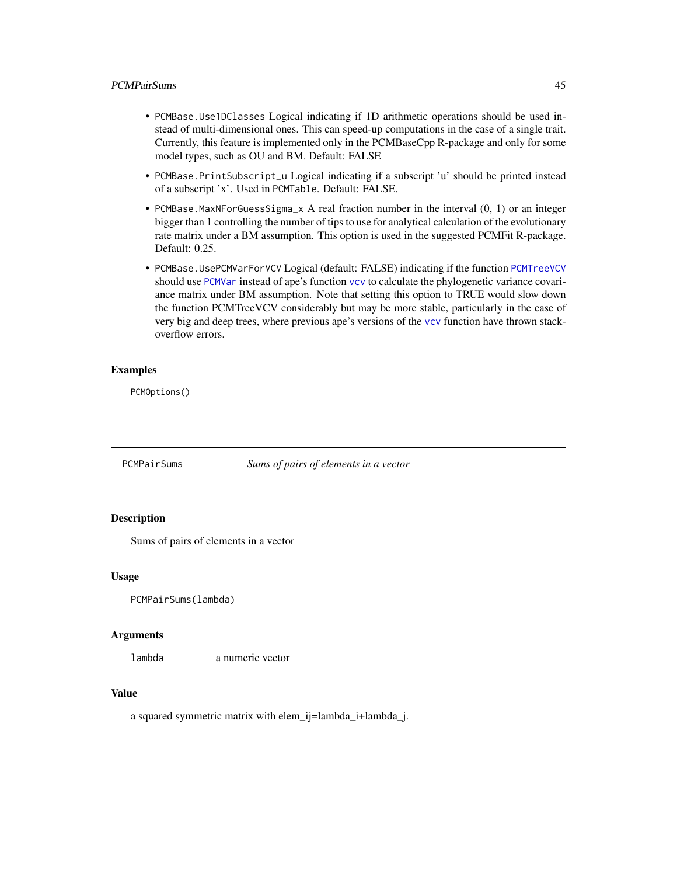## PCMPairSums 45

- PCMBase.Use1DClasses Logical indicating if 1D arithmetic operations should be used instead of multi-dimensional ones. This can speed-up computations in the case of a single trait. Currently, this feature is implemented only in the PCMBaseCpp R-package and only for some model types, such as OU and BM. Default: FALSE
- PCMBase.PrintSubscript\_u Logical indicating if a subscript 'u' should be printed instead of a subscript 'x'. Used in PCMTable. Default: FALSE.
- PCMBase.MaxNForGuessSigma\_x A real fraction number in the interval (0, 1) or an integer bigger than 1 controlling the number of tips to use for analytical calculation of the evolutionary rate matrix under a BM assumption. This option is used in the suggested PCMFit R-package. Default: 0.25.
- PCMBase.UsePCMVarForVCV Logical (default: FALSE) indicating if the function [PCMTreeVCV](#page-102-0) should use [PCMVar](#page-103-0) instead of ape's function [vcv](#page-0-0) to calculate the phylogenetic variance covariance matrix under BM assumption. Note that setting this option to TRUE would slow down the function PCMTreeVCV considerably but may be more stable, particularly in the case of very big and deep trees, where previous ape's versions of the [vcv](#page-0-0) function have thrown stackoverflow errors.

## Examples

PCMOptions()

PCMPairSums *Sums of pairs of elements in a vector*

# **Description**

Sums of pairs of elements in a vector

### Usage

```
PCMPairSums(lambda)
```
#### Arguments

lambda a numeric vector

## Value

a squared symmetric matrix with elem\_ij=lambda\_i+lambda\_j.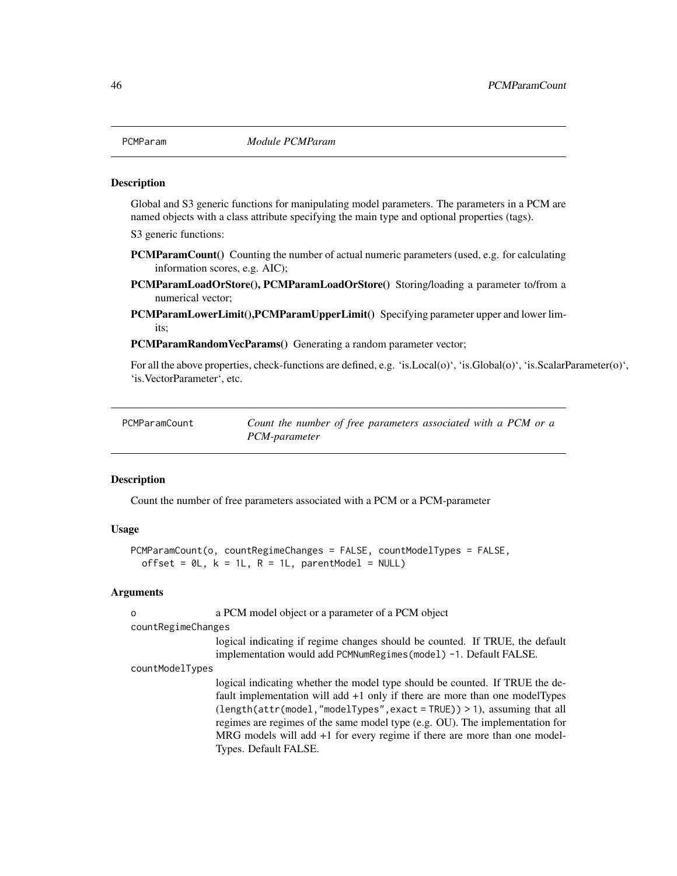## **Description**

Global and S3 generic functions for manipulating model parameters. The parameters in a PCM are named objects with a class attribute specifying the main type and optional properties (tags).

S3 generic functions:

- PCMParamCount() Counting the number of actual numeric parameters (used, e.g. for calculating information scores, e.g. AIC);
- PCMParamLoadOrStore(), PCMParamLoadOrStore() Storing/loading a parameter to/from a numerical vector;
- PCMParamLowerLimit(),PCMParamUpperLimit() Specifying parameter upper and lower limits;

PCMParamRandomVecParams() Generating a random parameter vector;

For all the above properties, check-functions are defined, e.g. 'is.Local(o)', 'is.Global(o)', 'is.ScalarParameter(o)', 'is.VectorParameter', etc.

| PCMParamCount | Count the number of free parameters associated with a PCM or a |
|---------------|----------------------------------------------------------------|
|               | PCM-parameter                                                  |

## Description

Count the number of free parameters associated with a PCM or a PCM-parameter

# Usage

```
PCMParamCount(o, countRegimeChanges = FALSE, countModelTypes = FALSE,
 offset = OL, k = 1L, R = 1L, parentModel = NULL)
```
### Arguments

| $\Omega$           | a PCM model object or a parameter of a PCM object                                                                                                                                                                                                                                                                                                                                                                                   |
|--------------------|-------------------------------------------------------------------------------------------------------------------------------------------------------------------------------------------------------------------------------------------------------------------------------------------------------------------------------------------------------------------------------------------------------------------------------------|
| countRegimeChanges |                                                                                                                                                                                                                                                                                                                                                                                                                                     |
|                    | logical indicating if regime changes should be counted. If TRUE, the default<br>implementation would add PCMNumRegimes (model) -1. Default FALSE.                                                                                                                                                                                                                                                                                   |
| countModelTypes    |                                                                                                                                                                                                                                                                                                                                                                                                                                     |
|                    | logical indicating whether the model type should be counted. If TRUE the de-<br>fault implementation will add $+1$ only if there are more than one model Types<br>$(length(attr(model, "modelTypes", exact = TRUE)) > 1)$ , assuming that all<br>regimes are regimes of the same model type (e.g. OU). The implementation for<br>MRG models will add +1 for every regime if there are more than one model-<br>Types. Default FALSE. |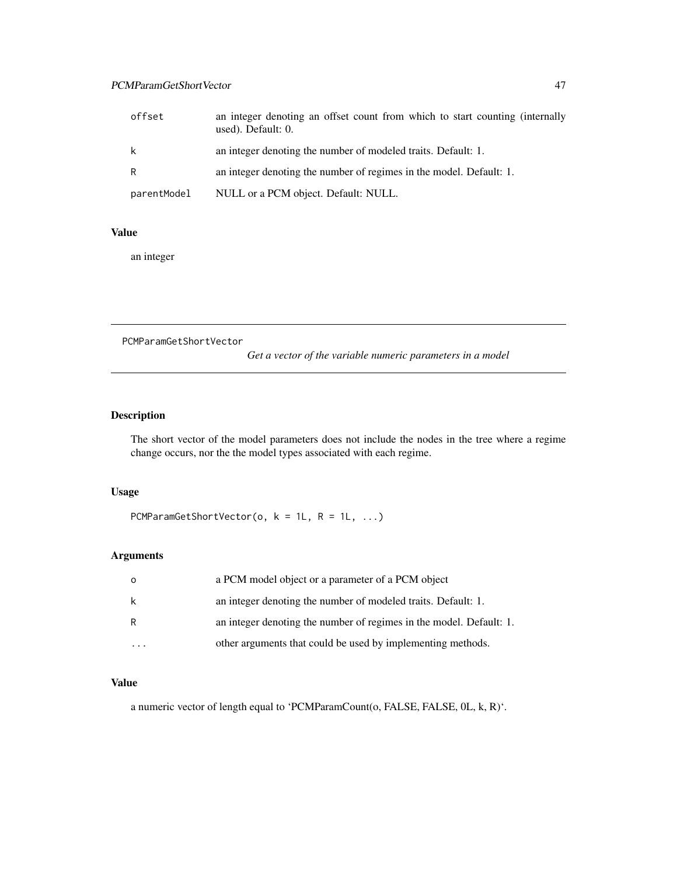# PCMParamGetShortVector 47

| offset      | an integer denoting an offset count from which to start counting (internally<br>used). Default: 0. |
|-------------|----------------------------------------------------------------------------------------------------|
| k           | an integer denoting the number of modeled traits. Default: 1.                                      |
| R           | an integer denoting the number of regimes in the model. Default: 1.                                |
| parentModel | NULL or a PCM object. Default: NULL.                                                               |

# Value

an integer

PCMParamGetShortVector

*Get a vector of the variable numeric parameters in a model*

# Description

The short vector of the model parameters does not include the nodes in the tree where a regime change occurs, nor the the model types associated with each regime.

# Usage

```
PCMParamGetShortVector(o, k = 1L, R = 1L, ...)
```
# Arguments

| $\Omega$ | a PCM model object or a parameter of a PCM object                   |
|----------|---------------------------------------------------------------------|
| k        | an integer denoting the number of modeled traits. Default: 1.       |
| R        | an integer denoting the number of regimes in the model. Default: 1. |
|          | other arguments that could be used by implementing methods.         |

# Value

a numeric vector of length equal to 'PCMParamCount(o, FALSE, FALSE, 0L, k, R)'.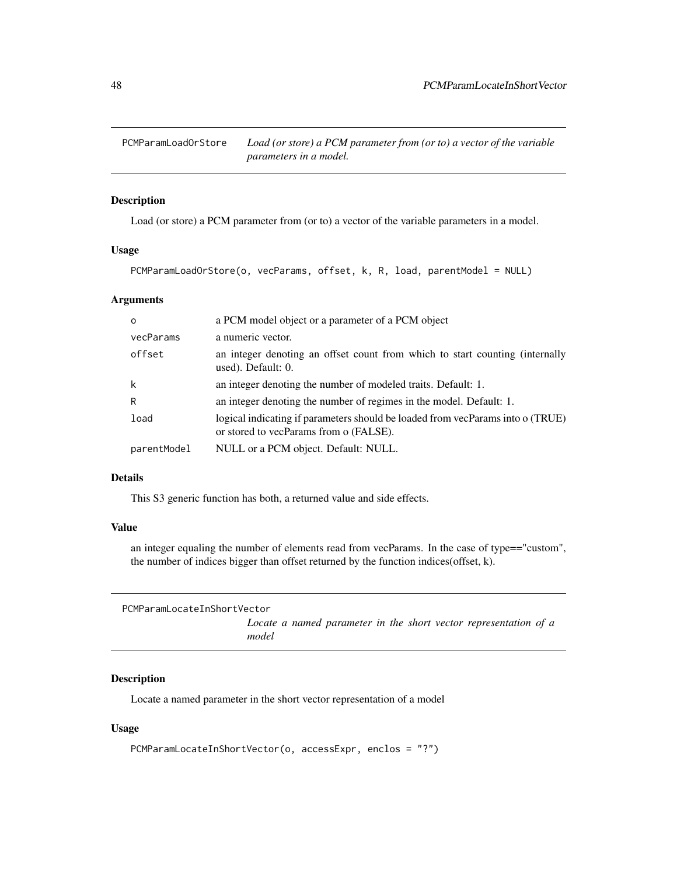PCMParamLoadOrStore *Load (or store) a PCM parameter from (or to) a vector of the variable parameters in a model.*

# Description

Load (or store) a PCM parameter from (or to) a vector of the variable parameters in a model.

### Usage

```
PCMParamLoadOrStore(o, vecParams, offset, k, R, load, parentModel = NULL)
```
### Arguments

| $\Omega$    | a PCM model object or a parameter of a PCM object                                                                        |
|-------------|--------------------------------------------------------------------------------------------------------------------------|
| vecParams   | a numeric vector.                                                                                                        |
| offset      | an integer denoting an offset count from which to start counting (internally<br>used). Default: 0.                       |
| k           | an integer denoting the number of modeled traits. Default: 1.                                                            |
| R           | an integer denoting the number of regimes in the model. Default: 1.                                                      |
| load        | logical indicating if parameters should be loaded from vecParams into o (TRUE)<br>or stored to vecParams from o (FALSE). |
| parentModel | NULL or a PCM object. Default: NULL.                                                                                     |

## Details

This S3 generic function has both, a returned value and side effects.

## Value

an integer equaling the number of elements read from vecParams. In the case of type=="custom", the number of indices bigger than offset returned by the function indices(offset, k).

PCMParamLocateInShortVector

*Locate a named parameter in the short vector representation of a model*

# Description

Locate a named parameter in the short vector representation of a model

### Usage

```
PCMParamLocateInShortVector(o, accessExpr, enclos = "?")
```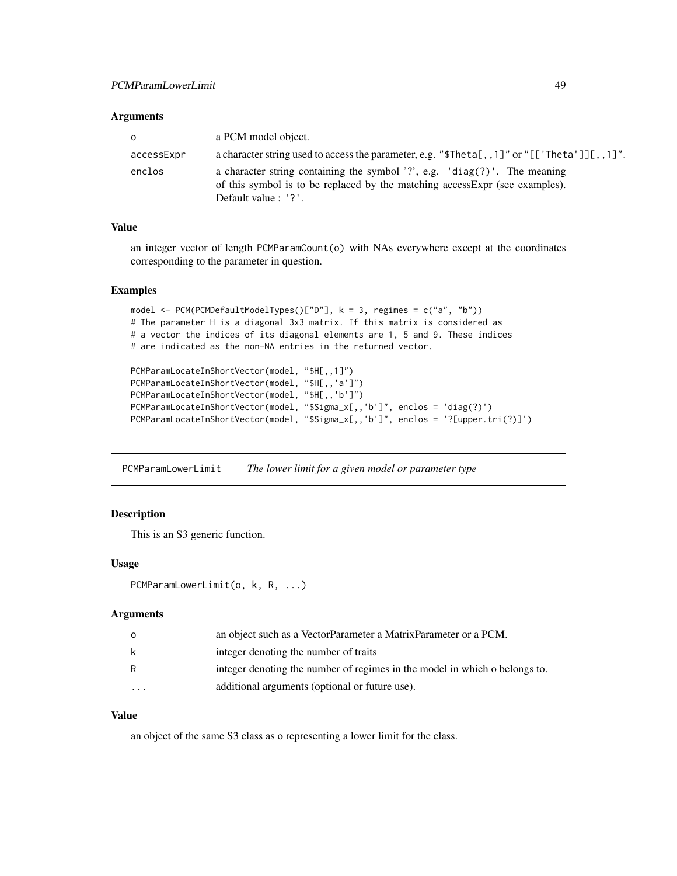### Arguments

| $\circ$    | a PCM model object.                                                                                                                                                               |
|------------|-----------------------------------------------------------------------------------------------------------------------------------------------------------------------------------|
| accessExpr | a character string used to access the parameter, e.g. " $\text{5Theta}$ , 1]" or "[['Theta']][,,1]".                                                                              |
| enclos     | a character string containing the symbol '?', e.g. 'diag(?)'. The meaning<br>of this symbol is to be replaced by the matching access Expr (see examples).<br>Default value : '?'. |

### Value

an integer vector of length PCMParamCount(o) with NAs everywhere except at the coordinates corresponding to the parameter in question.

### Examples

```
model <- PCM(PCMDefaultModelTypes()["D"], k = 3, regimes = c("a", "b"))
# The parameter H is a diagonal 3x3 matrix. If this matrix is considered as
# a vector the indices of its diagonal elements are 1, 5 and 9. These indices
# are indicated as the non-NA entries in the returned vector.
```

```
PCMParamLocateInShortVector(model, "$H[,,1]")
PCMParamLocateInShortVector(model, "$H[,,'a']")
PCMParamLocateInShortVector(model, "$H[,,'b']")
PCMParamLocateInShortVector(model, "$Sigma_x[,,'b']", enclos = 'diag(?)')
PCMParamLocateInShortVector(model, "$Sigma_x[,,'b']", enclos = '?[upper.tri(?)]')
```
PCMParamLowerLimit *The lower limit for a given model or parameter type*

## Description

This is an S3 generic function.

## Usage

```
PCMParamLowerLimit(o, k, R, ...)
```
## Arguments

|    | an object such as a VectorParameter a MatrixParameter or a PCM.            |
|----|----------------------------------------------------------------------------|
| -k | integer denoting the number of traits                                      |
| R  | integer denoting the number of regimes in the model in which o belongs to. |
| .  | additional arguments (optional or future use).                             |

### Value

an object of the same S3 class as o representing a lower limit for the class.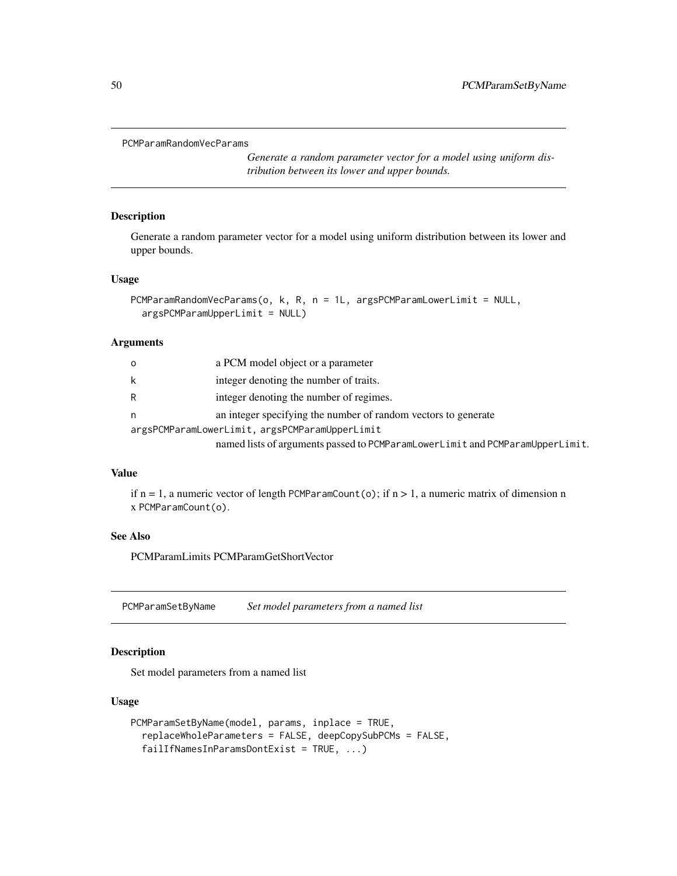```
PCMParamRandomVecParams
```
*Generate a random parameter vector for a model using uniform distribution between its lower and upper bounds.*

### Description

Generate a random parameter vector for a model using uniform distribution between its lower and upper bounds.

### Usage

```
PCMParamRandomVecParams(o, k, R, n = 1L, argsPCMParamLowerLimit = NULL,
  argsPCMParamUpperLimit = NULL)
```
## Arguments

| O | a PCM model object or a parameter                                             |
|---|-------------------------------------------------------------------------------|
| k | integer denoting the number of traits.                                        |
|   | integer denoting the number of regimes.                                       |
| n | an integer specifying the number of random vectors to generate                |
|   | argsPCMParamLowerLimit, argsPCMParamUpperLimit                                |
|   | named lists of arguments passed to PCMParamLowerLimit and PCMParamUpperLimit. |

### Value

if  $n = 1$ , a numeric vector of length PCMParamCount(o); if  $n > 1$ , a numeric matrix of dimension n x PCMParamCount(o).

# See Also

PCMParamLimits PCMParamGetShortVector

PCMParamSetByName *Set model parameters from a named list*

# Description

Set model parameters from a named list

### Usage

```
PCMParamSetByName(model, params, inplace = TRUE,
  replaceWholeParameters = FALSE, deepCopySubPCMs = FALSE,
  failIfNamesInParamsDontExist = TRUE, ...)
```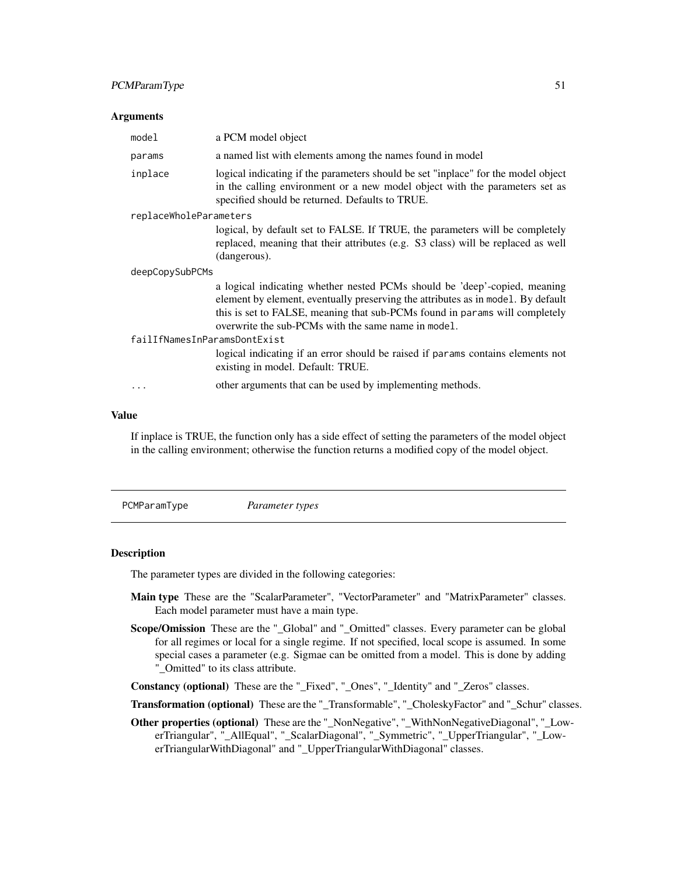# PCMParamType 51

### Arguments

| model                        | a PCM model object                                                                                                                                                                                                                                                                                  |  |  |  |
|------------------------------|-----------------------------------------------------------------------------------------------------------------------------------------------------------------------------------------------------------------------------------------------------------------------------------------------------|--|--|--|
| params                       | a named list with elements among the names found in model                                                                                                                                                                                                                                           |  |  |  |
| inplace                      | logical indicating if the parameters should be set "inplace" for the model object<br>in the calling environment or a new model object with the parameters set as<br>specified should be returned. Defaults to TRUE.                                                                                 |  |  |  |
| replaceWholeParameters       |                                                                                                                                                                                                                                                                                                     |  |  |  |
|                              | logical, by default set to FALSE. If TRUE, the parameters will be completely<br>replaced, meaning that their attributes (e.g. S3 class) will be replaced as well<br>(dangerous).                                                                                                                    |  |  |  |
| deepCopySubPCMs              |                                                                                                                                                                                                                                                                                                     |  |  |  |
|                              | a logical indicating whether nested PCMs should be 'deep'-copied, meaning<br>element by element, eventually preserving the attributes as in model. By default<br>this is set to FALSE, meaning that sub-PCMs found in params will completely<br>overwrite the sub-PCMs with the same name in model. |  |  |  |
| failIfNamesInParamsDontExist |                                                                                                                                                                                                                                                                                                     |  |  |  |
|                              | logical indicating if an error should be raised if params contains elements not<br>existing in model. Default: TRUE.                                                                                                                                                                                |  |  |  |
| $\cdots$                     | other arguments that can be used by implementing methods.                                                                                                                                                                                                                                           |  |  |  |

## Value

If inplace is TRUE, the function only has a side effect of setting the parameters of the model object in the calling environment; otherwise the function returns a modified copy of the model object.

PCMParamType *Parameter types*

## **Description**

The parameter types are divided in the following categories:

- Main type These are the "ScalarParameter", "VectorParameter" and "MatrixParameter" classes. Each model parameter must have a main type.
- Scope/Omission These are the "\_Global" and "\_Omitted" classes. Every parameter can be global for all regimes or local for a single regime. If not specified, local scope is assumed. In some special cases a parameter (e.g. Sigmae can be omitted from a model. This is done by adding "\_Omitted" to its class attribute.

Constancy (optional) These are the "\_Fixed", "\_Ones", "\_Identity" and "\_Zeros" classes.

Transformation (optional) These are the "\_Transformable", "\_CholeskyFactor" and "\_Schur" classes.

Other properties (optional) These are the "\_NonNegative", "\_WithNonNegativeDiagonal", "\_LowerTriangular", "\_AllEqual", "\_ScalarDiagonal", "\_Symmetric", "\_UpperTriangular", "\_LowerTriangularWithDiagonal" and "\_UpperTriangularWithDiagonal" classes.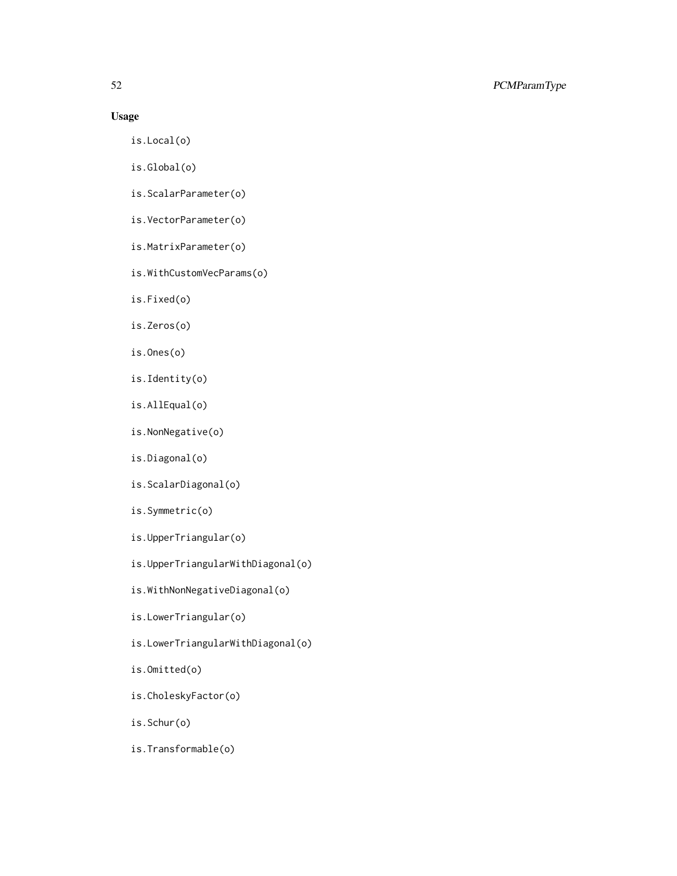# Usage

- is.Local(o)
- is.Global(o)
- is.ScalarParameter(o)
- is.VectorParameter(o)
- is.MatrixParameter(o)
- is.WithCustomVecParams(o)
- is.Fixed(o)
- is.Zeros(o)
- is.Ones(o)
- is.Identity(o)
- is.AllEqual(o)
- is.NonNegative(o)
- is.Diagonal(o)
- is.ScalarDiagonal(o)
- is.Symmetric(o)
- is.UpperTriangular(o)
- is.UpperTriangularWithDiagonal(o)
- is.WithNonNegativeDiagonal(o)
- is.LowerTriangular(o)
- is.LowerTriangularWithDiagonal(o)
- is.Omitted(o)
- is.CholeskyFactor(o)
- is.Schur(o)
- is.Transformable(o)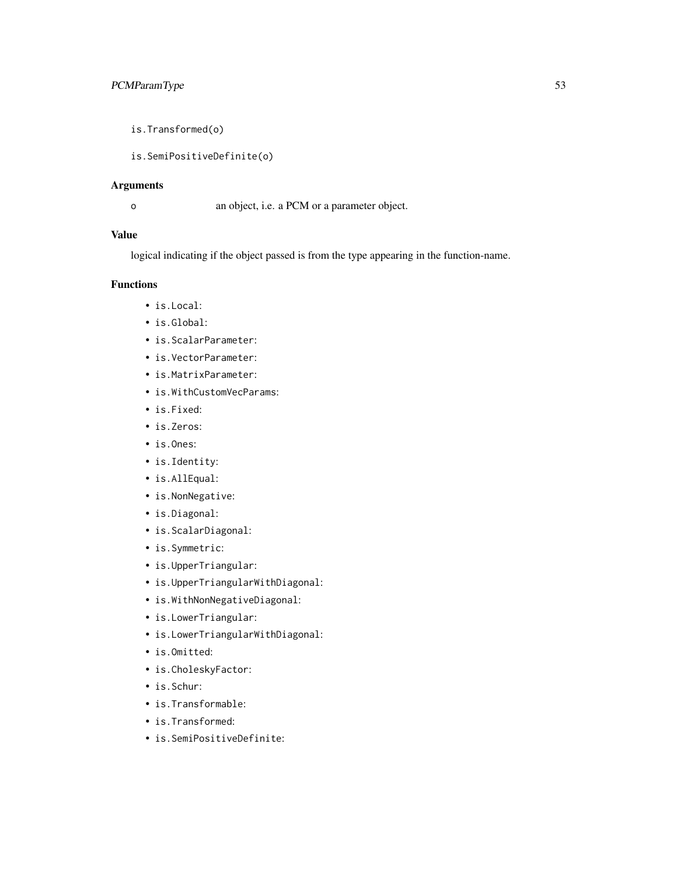is.Transformed(o)

is.SemiPositiveDefinite(o)

## Arguments

o an object, i.e. a PCM or a parameter object.

## Value

logical indicating if the object passed is from the type appearing in the function-name.

### Functions

- is.Local:
- is.Global:
- is.ScalarParameter:
- is.VectorParameter:
- is.MatrixParameter:
- is.WithCustomVecParams:
- is.Fixed:
- is.Zeros:
- is.Ones:
- is.Identity:
- is.AllEqual:
- is.NonNegative:
- is.Diagonal:
- is.ScalarDiagonal:
- is.Symmetric:
- is.UpperTriangular:
- is.UpperTriangularWithDiagonal:
- is.WithNonNegativeDiagonal:
- is.LowerTriangular:
- is.LowerTriangularWithDiagonal:
- is.Omitted:
- is.CholeskyFactor:
- is.Schur:
- is.Transformable:
- is.Transformed:
- is.SemiPositiveDefinite: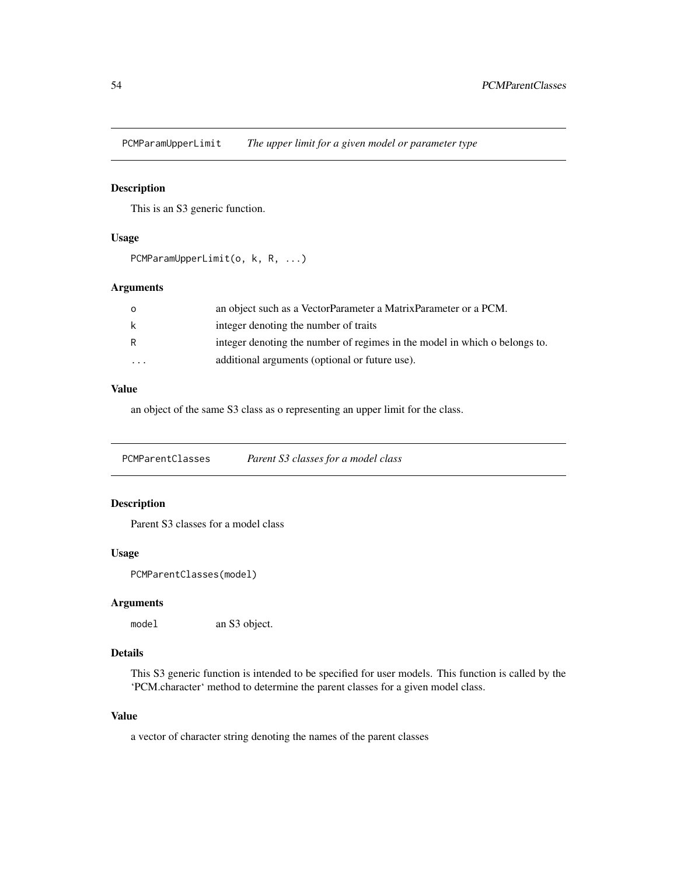PCMParamUpperLimit *The upper limit for a given model or parameter type*

# Description

This is an S3 generic function.

# Usage

```
PCMParamUpperLimit(o, k, R, ...)
```
# Arguments

| $\Omega$ | an object such as a VectorParameter a MatrixParameter or a PCM.            |
|----------|----------------------------------------------------------------------------|
| k        | integer denoting the number of traits                                      |
| R        | integer denoting the number of regimes in the model in which o belongs to. |
| $\cdots$ | additional arguments (optional or future use).                             |

## Value

an object of the same S3 class as o representing an upper limit for the class.

PCMParentClasses *Parent S3 classes for a model class*

# Description

Parent S3 classes for a model class

# Usage

PCMParentClasses(model)

## Arguments

model an S3 object.

# Details

This S3 generic function is intended to be specified for user models. This function is called by the 'PCM.character' method to determine the parent classes for a given model class.

### Value

a vector of character string denoting the names of the parent classes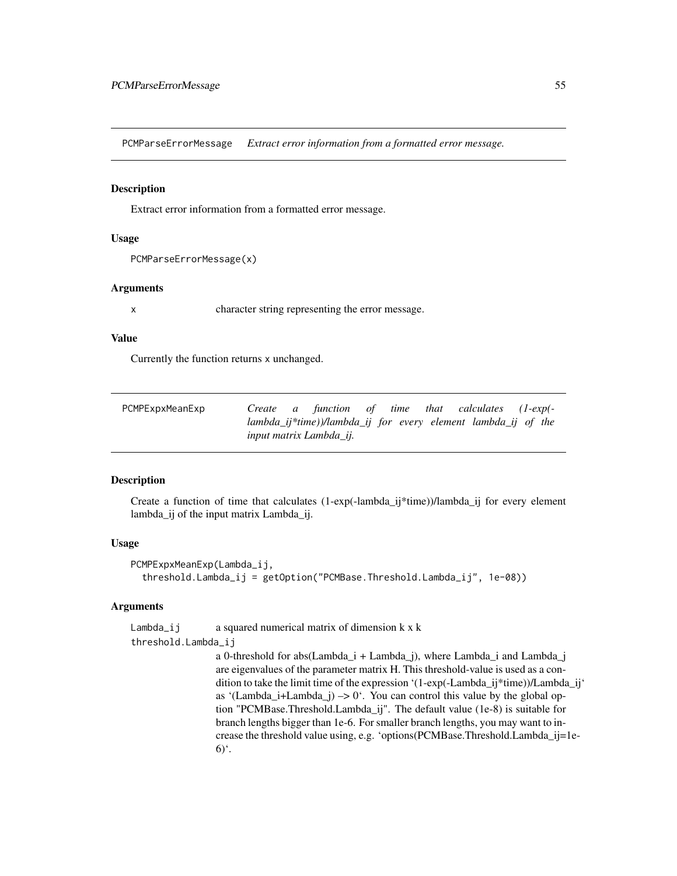PCMParseErrorMessage *Extract error information from a formatted error message.*

### Description

Extract error information from a formatted error message.

#### Usage

```
PCMParseErrorMessage(x)
```
### **Arguments**

x character string representing the error message.

### Value

Currently the function returns x unchanged.

<span id="page-54-0"></span>

| PCMPExpxMeanExp |  | Create a function of time that calculates (1-exp(-            |  |  |  |
|-----------------|--|---------------------------------------------------------------|--|--|--|
|                 |  | lambda_ij*time))/lambda_ij for every element lambda_ij of the |  |  |  |
|                 |  | input matrix Lambda ii.                                       |  |  |  |

### Description

Create a function of time that calculates (1-exp(-lambda\_ij\*time))/lambda\_ij for every element lambda\_ij of the input matrix Lambda\_ij.

### Usage

```
PCMPExpxMeanExp(Lambda_ij,
  threshold.Lambda_ij = getOption("PCMBase.Threshold.Lambda_ij", 1e-08))
```
### Arguments

Lambda<sub>l</sub> i a squared numerical matrix of dimension  $k \times k$ 

threshold.Lambda\_ij

a 0-threshold for abs(Lambda\_i + Lambda\_j), where Lambda\_i and Lambda\_j are eigenvalues of the parameter matrix H. This threshold-value is used as a condition to take the limit time of the expression '(1-exp(-Lambda  $ii^*$ time))/Lambda  $ii^*$ as '(Lambda\_i+Lambda\_j)  $\rightarrow$  0'. You can control this value by the global option "PCMBase.Threshold.Lambda\_ij". The default value (1e-8) is suitable for branch lengths bigger than 1e-6. For smaller branch lengths, you may want to increase the threshold value using, e.g. 'options(PCMBase.Threshold.Lambda\_ij=1e- $6)$ <sup>c</sup>.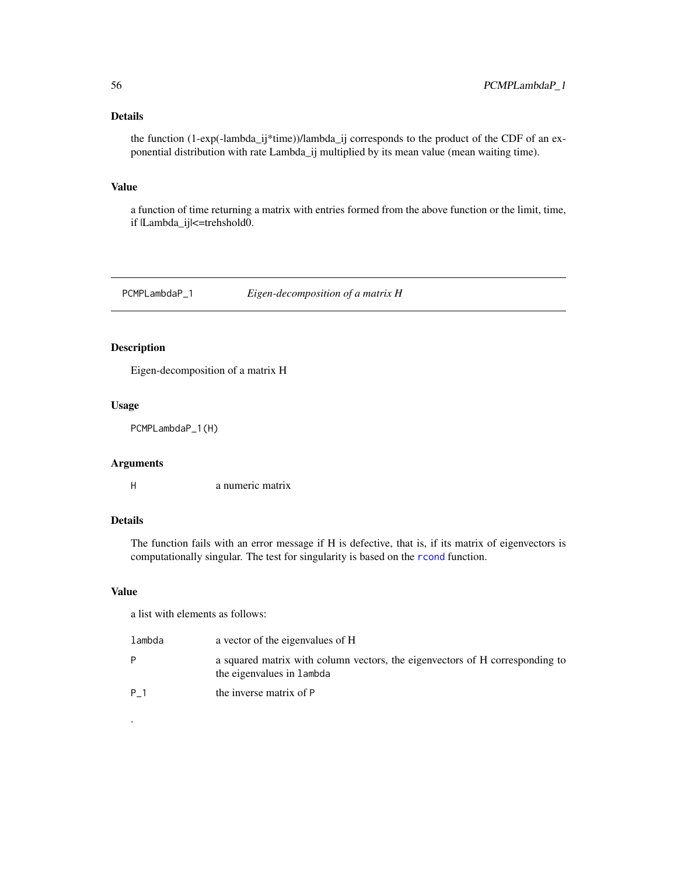# Details

the function (1-exp(-lambda\_ij\*time))/lambda\_ij corresponds to the product of the CDF of an exponential distribution with rate Lambda\_ij multiplied by its mean value (mean waiting time).

### Value

a function of time returning a matrix with entries formed from the above function or the limit, time, if |Lambda\_ij|<=trehshold0.

PCMPLambdaP\_1 *Eigen-decomposition of a matrix H*

# Description

Eigen-decomposition of a matrix H

### Usage

PCMPLambdaP\_1(H)

## Arguments

H a numeric matrix

## Details

The function fails with an error message if H is defective, that is, if its matrix of eigenvectors is computationally singular. The test for singularity is based on the [rcond](#page-0-0) function.

### Value

.

a list with elements as follows:

| lambda | a vector of the eigenvalues of H                                                                          |
|--------|-----------------------------------------------------------------------------------------------------------|
| P      | a squared matrix with column vectors, the eigenvectors of H corresponding to<br>the eigenvalues in lambda |
| P 1    | the inverse matrix of P                                                                                   |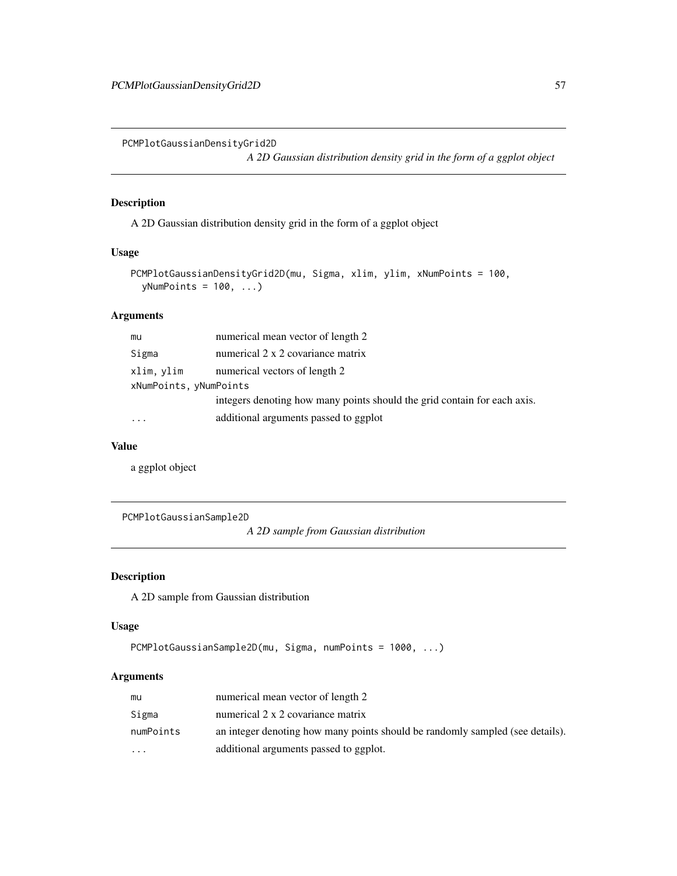PCMPlotGaussianDensityGrid2D

*A 2D Gaussian distribution density grid in the form of a ggplot object*

## Description

A 2D Gaussian distribution density grid in the form of a ggplot object

### Usage

```
PCMPlotGaussianDensityGrid2D(mu, Sigma, xlim, ylim, xNumPoints = 100,
 yNumPoints = 100, \ldots)
```
# Arguments

| mu                     | numerical mean vector of length 2                                        |  |  |
|------------------------|--------------------------------------------------------------------------|--|--|
| Sigma                  | numerical 2 x 2 covariance matrix                                        |  |  |
| xlim, ylim             | numerical vectors of length 2                                            |  |  |
| xNumPoints, yNumPoints |                                                                          |  |  |
|                        | integers denoting how many points should the grid contain for each axis. |  |  |
|                        | additional arguments passed to ggplot                                    |  |  |

### Value

a ggplot object

PCMPlotGaussianSample2D

*A 2D sample from Gaussian distribution*

# Description

A 2D sample from Gaussian distribution

# Usage

```
PCMPlotGaussianSample2D(mu, Sigma, numPoints = 1000, ...)
```
# Arguments

| mu        | numerical mean vector of length 2                                             |
|-----------|-------------------------------------------------------------------------------|
| Sigma     | numerical 2 x 2 covariance matrix                                             |
| numPoints | an integer denoting how many points should be randomly sampled (see details). |
| $\ddotsc$ | additional arguments passed to ggplot.                                        |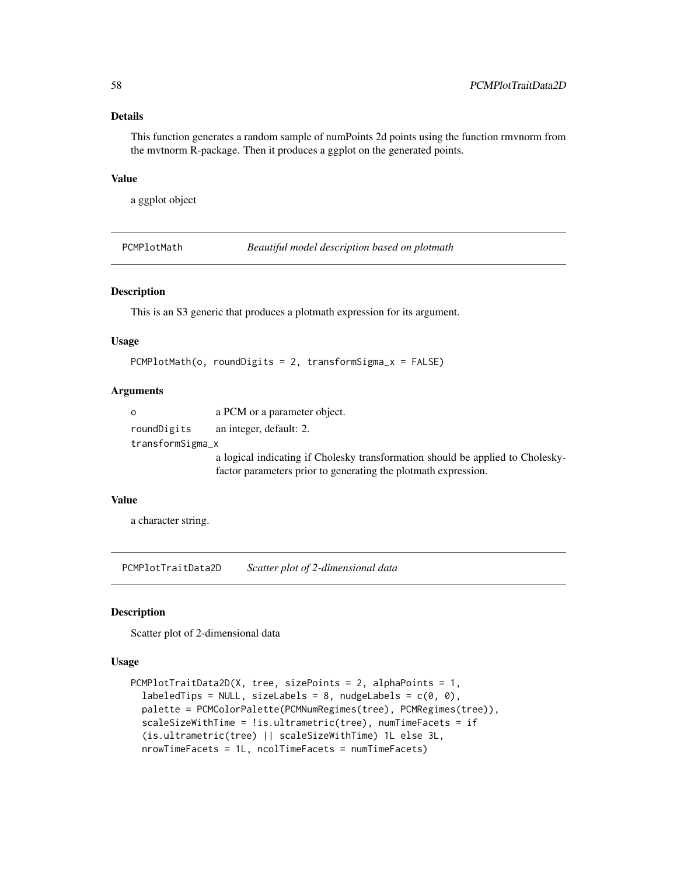## Details

This function generates a random sample of numPoints 2d points using the function rmvnorm from the mvtnorm R-package. Then it produces a ggplot on the generated points.

## Value

a ggplot object

PCMPlotMath *Beautiful model description based on plotmath*

# Description

This is an S3 generic that produces a plotmath expression for its argument.

### Usage

PCMPlotMath(o, roundDigits = 2, transformSigma\_x = FALSE)

### Arguments

| - 0              | a PCM or a parameter object.                                                   |
|------------------|--------------------------------------------------------------------------------|
| roundDigits      | an integer, default: 2.                                                        |
| transformSigma_x |                                                                                |
|                  | a logical indicating if Cholesky transformation should be applied to Cholesky- |
|                  | factor parameters prior to generating the plotmath expression.                 |

## Value

a character string.

PCMPlotTraitData2D *Scatter plot of 2-dimensional data*

### Description

Scatter plot of 2-dimensional data

## Usage

```
PCMPlotTraitData2D(X, tree, sizePoints = 2, alphaPoints = 1,
  labeledTips = NULL, sizeLabels = 8, nudgeLabels = c(\theta, \theta),
  palette = PCMColorPalette(PCMNumRegimes(tree), PCMRegimes(tree)),
  scaleSizeWithTime = !is.ultrametric(tree), numTimeFacets = if
  (is.ultrametric(tree) || scaleSizeWithTime) 1L else 3L,
  nrowTimeFacets = 1L, ncolTimeFacets = numTimeFacets)
```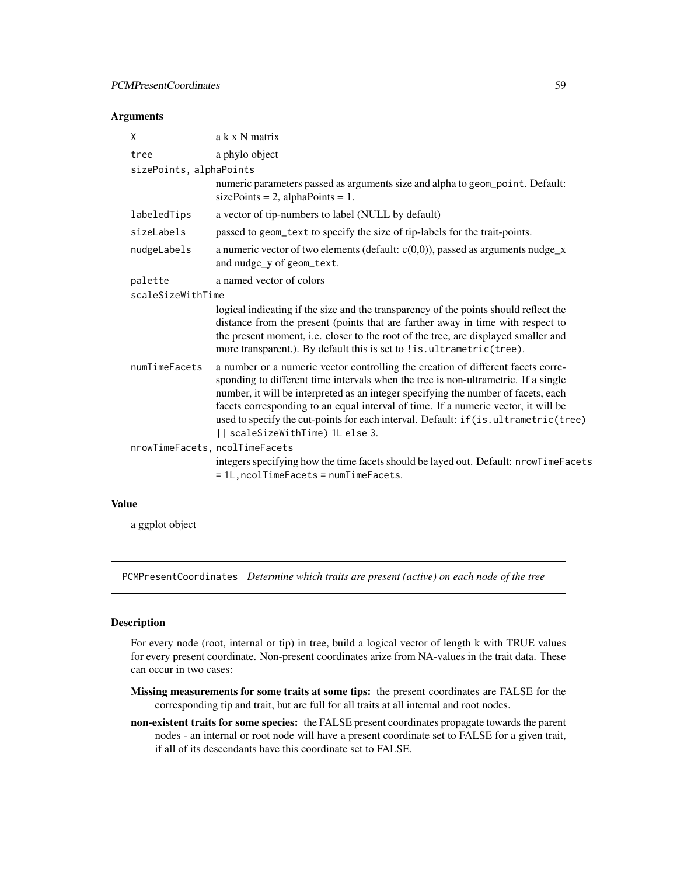## Arguments

| X                       | a k x N matrix                                                                                                                                                                                                                                                                                                                                                                                                                                                                |  |  |
|-------------------------|-------------------------------------------------------------------------------------------------------------------------------------------------------------------------------------------------------------------------------------------------------------------------------------------------------------------------------------------------------------------------------------------------------------------------------------------------------------------------------|--|--|
| tree                    | a phylo object                                                                                                                                                                                                                                                                                                                                                                                                                                                                |  |  |
| sizePoints, alphaPoints |                                                                                                                                                                                                                                                                                                                                                                                                                                                                               |  |  |
|                         | numeric parameters passed as arguments size and alpha to geom_point. Default:<br>sizePoints = 2, alphaPoints = 1.                                                                                                                                                                                                                                                                                                                                                             |  |  |
| labeledTips             | a vector of tip-numbers to label (NULL by default)                                                                                                                                                                                                                                                                                                                                                                                                                            |  |  |
| sizeLabels              | passed to geom_text to specify the size of tip-labels for the trait-points.                                                                                                                                                                                                                                                                                                                                                                                                   |  |  |
| nudgeLabels             | a numeric vector of two elements (default: $c(0,0)$ ), passed as arguments nudge_x<br>and nudge_y of geom_text.                                                                                                                                                                                                                                                                                                                                                               |  |  |
| palette                 | a named vector of colors                                                                                                                                                                                                                                                                                                                                                                                                                                                      |  |  |
| scaleSizeWithTime       |                                                                                                                                                                                                                                                                                                                                                                                                                                                                               |  |  |
|                         | logical indicating if the size and the transparency of the points should reflect the<br>distance from the present (points that are farther away in time with respect to<br>the present moment, i.e. closer to the root of the tree, are displayed smaller and<br>more transparent.). By default this is set to ! is.ultrametric(tree).                                                                                                                                        |  |  |
| numTimeFacets           | a number or a numeric vector controlling the creation of different facets corre-<br>sponding to different time intervals when the tree is non-ultrametric. If a single<br>number, it will be interpreted as an integer specifying the number of facets, each<br>facets corresponding to an equal interval of time. If a numeric vector, it will be<br>used to specify the cut-points for each interval. Default: if (is.ultrametric(tree)<br>   scaleSizeWithTime) 1L else 3. |  |  |
|                         | nrowTimeFacets, ncolTimeFacets                                                                                                                                                                                                                                                                                                                                                                                                                                                |  |  |
|                         | integers specifying how the time facets should be layed out. Default: nrowTimeFacets<br>= 1L, ncolTimeFacets = numTimeFacets.                                                                                                                                                                                                                                                                                                                                                 |  |  |

### Value

a ggplot object

<span id="page-58-0"></span>PCMPresentCoordinates *Determine which traits are present (active) on each node of the tree*

## Description

For every node (root, internal or tip) in tree, build a logical vector of length k with TRUE values for every present coordinate. Non-present coordinates arize from NA-values in the trait data. These can occur in two cases:

- Missing measurements for some traits at some tips: the present coordinates are FALSE for the corresponding tip and trait, but are full for all traits at all internal and root nodes.
- non-existent traits for some species: the FALSE present coordinates propagate towards the parent nodes - an internal or root node will have a present coordinate set to FALSE for a given trait, if all of its descendants have this coordinate set to FALSE.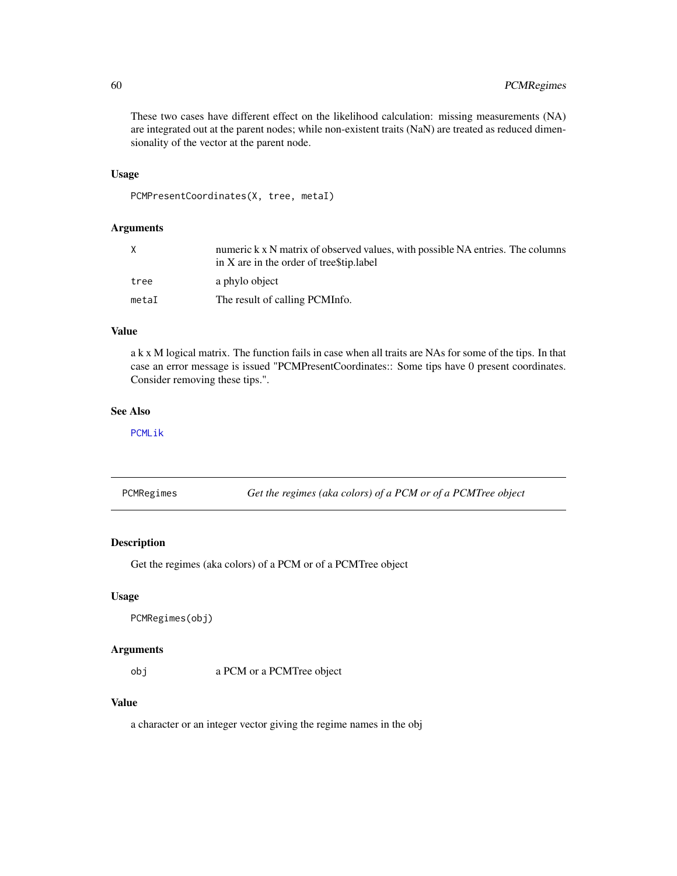These two cases have different effect on the likelihood calculation: missing measurements (NA) are integrated out at the parent nodes; while non-existent traits (NaN) are treated as reduced dimensionality of the vector at the parent node.

### Usage

```
PCMPresentCoordinates(X, tree, metaI)
```
### Arguments

| X     | numeric k x N matrix of observed values, with possible NA entries. The columns<br>in X are in the order of treestip. label |
|-------|----------------------------------------------------------------------------------------------------------------------------|
| tree  | a phylo object                                                                                                             |
| metaI | The result of calling PCMInfo.                                                                                             |

# Value

a k x M logical matrix. The function fails in case when all traits are NAs for some of the tips. In that case an error message is issued "PCMPresentCoordinates:: Some tips have 0 present coordinates. Consider removing these tips.".

### See Also

[PCMLik](#page-31-0)

PCMRegimes *Get the regimes (aka colors) of a PCM or of a PCMTree object*

## Description

Get the regimes (aka colors) of a PCM or of a PCMTree object

## Usage

PCMRegimes(obj)

### Arguments

obj a PCM or a PCMTree object

### Value

a character or an integer vector giving the regime names in the obj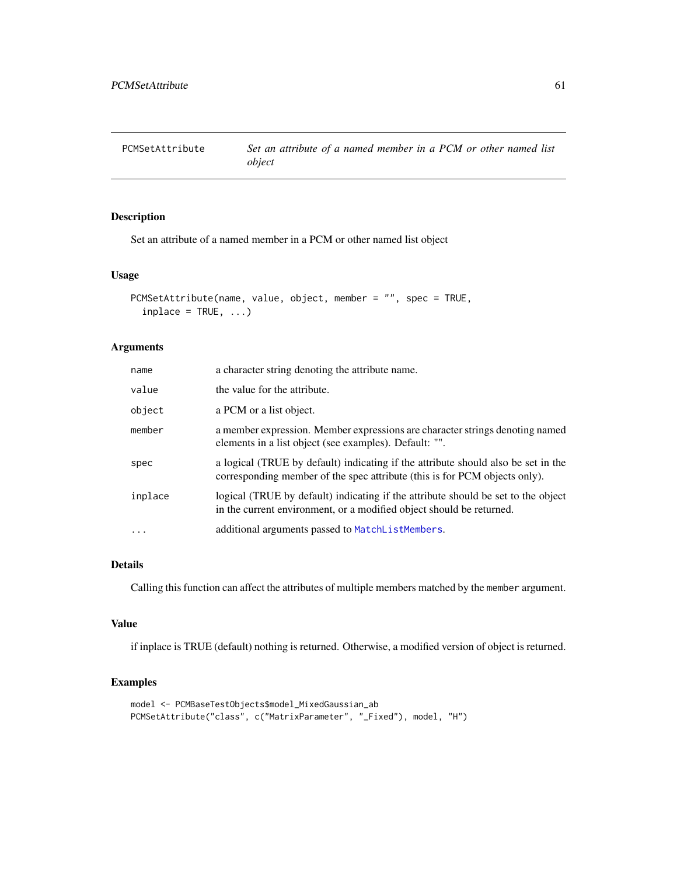PCMSetAttribute *Set an attribute of a named member in a PCM or other named list object*

# Description

Set an attribute of a named member in a PCM or other named list object

# Usage

```
PCMSetAttribute(name, value, object, member = "", spec = TRUE,
  inplace = TRUE, ...)
```
# Arguments

| name    | a character string denoting the attribute name.                                                                                                                 |
|---------|-----------------------------------------------------------------------------------------------------------------------------------------------------------------|
| value   | the value for the attribute.                                                                                                                                    |
| object  | a PCM or a list object.                                                                                                                                         |
| member  | a member expression. Member expressions are character strings denoting named<br>elements in a list object (see examples). Default: "".                          |
| spec    | a logical (TRUE by default) indicating if the attribute should also be set in the<br>corresponding member of the spec attribute (this is for PCM objects only). |
| inplace | logical (TRUE by default) indicating if the attribute should be set to the object<br>in the current environment, or a modified object should be returned.       |
| $\cdot$ | additional arguments passed to MatchListMembers.                                                                                                                |

# Details

Calling this function can affect the attributes of multiple members matched by the member argument.

# Value

if inplace is TRUE (default) nothing is returned. Otherwise, a modified version of object is returned.

## Examples

```
model <- PCMBaseTestObjects$model_MixedGaussian_ab
PCMSetAttribute("class", c("MatrixParameter", "_Fixed"), model, "H")
```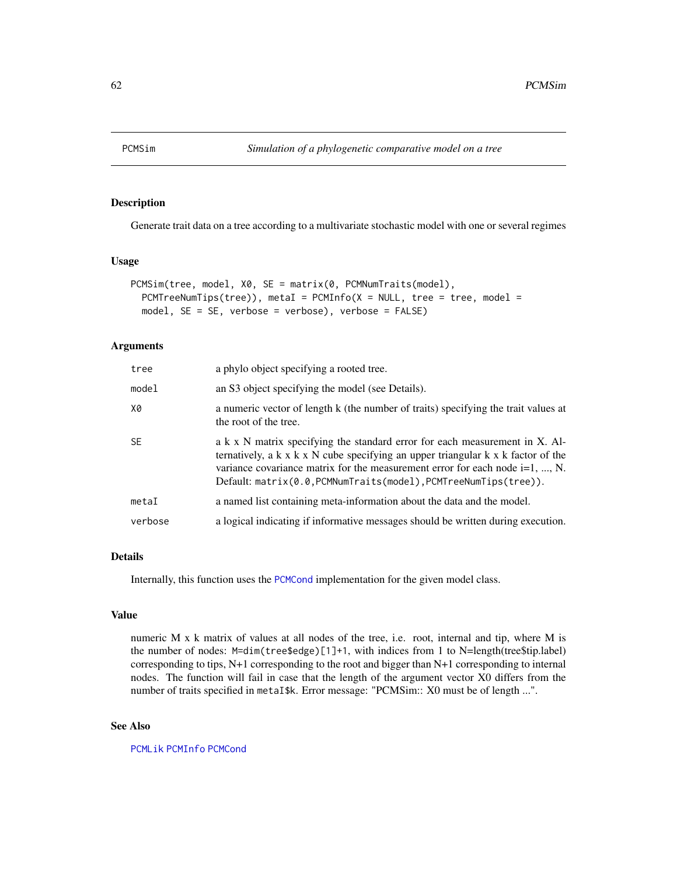# Description

Generate trait data on a tree according to a multivariate stochastic model with one or several regimes

## Usage

```
PCMSim(tree, model, X0, SE = matrix(0, PCMNumTraits(model),
 PCMTreeNumTips(tree)), metaI = PCMInfo(X = NULL, tree = tree, model =
 model, SE = SE, verbose = verbose), verbose = FALSE)
```
### Arguments

| tree    | a phylo object specifying a rooted tree.                                                                                                                                                                                                                                                                                                    |
|---------|---------------------------------------------------------------------------------------------------------------------------------------------------------------------------------------------------------------------------------------------------------------------------------------------------------------------------------------------|
| model   | an S3 object specifying the model (see Details).                                                                                                                                                                                                                                                                                            |
| Х0      | a numeric vector of length k (the number of traits) specifying the trait values at<br>the root of the tree.                                                                                                                                                                                                                                 |
| SE.     | a k x N matrix specifying the standard error for each measurement in X. Al-<br>ternatively, a $k \times k \times N$ cube specifying an upper triangular $k \times k$ factor of the<br>variance covariance matrix for the measurement error for each node $i=1, , N$ .<br>$Default: matrix(0.0, PCMNumTraits(model), PCMTreeNumTips(tree)).$ |
| metaI   | a named list containing meta-information about the data and the model.                                                                                                                                                                                                                                                                      |
| verbose | a logical indicating if informative messages should be written during execution.                                                                                                                                                                                                                                                            |

## Details

Internally, this function uses the [PCMCond](#page-18-0) implementation for the given model class.

### Value

numeric M x k matrix of values at all nodes of the tree, i.e. root, internal and tip, where M is the number of nodes: M=dim(tree\$edge)[1]+1, with indices from 1 to N=length(tree\$tip.label) corresponding to tips, N+1 corresponding to the root and bigger than N+1 corresponding to internal nodes. The function will fail in case that the length of the argument vector X0 differs from the number of traits specified in metaI\$k. Error message: "PCMSim:: X0 must be of length ...".

### See Also

[PCMLik](#page-31-0) [PCMInfo](#page-29-0) [PCMCond](#page-18-0)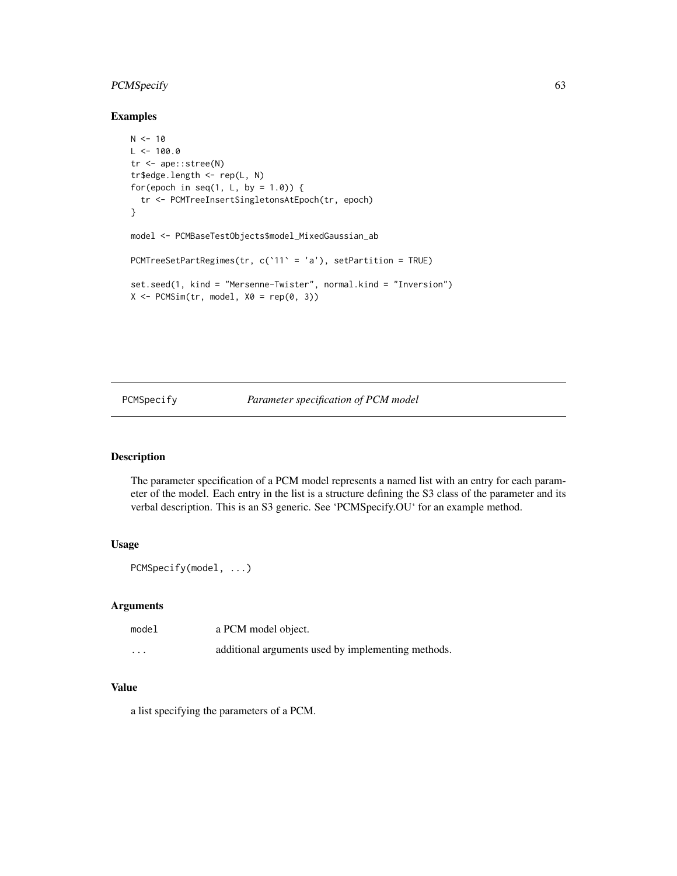# PCMSpecify 63

## Examples

```
N < -10L < -100.0tr <- ape::stree(N)
tr$edge.length <- rep(L, N)
for(epoch in seq(1, L, by = 1.0)) {
  tr <- PCMTreeInsertSingletonsAtEpoch(tr, epoch)
}
model <- PCMBaseTestObjects$model_MixedGaussian_ab
PCMTreeSetPartRegimes(tr, c(`11` = 'a'), setPartition = TRUE)
set.seed(1, kind = "Mersenne-Twister", normal.kind = "Inversion")
X \leftarrow PCMSim(tr, model, X0 = rep(0, 3))
```
## <span id="page-62-0"></span>PCMSpecify *Parameter specification of PCM model*

# Description

The parameter specification of a PCM model represents a named list with an entry for each parameter of the model. Each entry in the list is a structure defining the S3 class of the parameter and its verbal description. This is an S3 generic. See 'PCMSpecify.OU' for an example method.

# Usage

```
PCMSpecify(model, ...)
```
### Arguments

| model    | a PCM model object.                                |
|----------|----------------------------------------------------|
| $\cdots$ | additional arguments used by implementing methods. |

# Value

a list specifying the parameters of a PCM.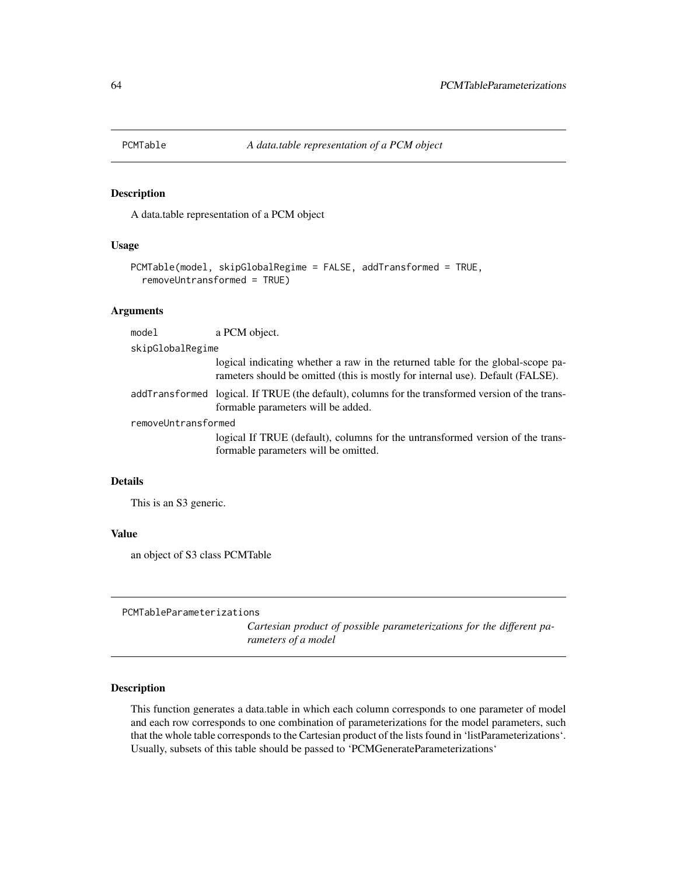# Description

A data.table representation of a PCM object

### Usage

```
PCMTable(model, skipGlobalRegime = FALSE, addTransformed = TRUE,
  removeUntransformed = TRUE)
```
# Arguments

| model               | a PCM object.                                                                                                                                                     |  |
|---------------------|-------------------------------------------------------------------------------------------------------------------------------------------------------------------|--|
| skipGlobalRegime    |                                                                                                                                                                   |  |
|                     | logical indicating whether a raw in the returned table for the global-scope pa-<br>rameters should be omitted (this is mostly for internal use). Default (FALSE). |  |
|                     | addTransformed logical. If TRUE (the default), columns for the transformed version of the trans-<br>formable parameters will be added.                            |  |
| removeUntransformed |                                                                                                                                                                   |  |
|                     | logical If TRUE (default), columns for the untransformed version of the trans-<br>formable parameters will be omitted.                                            |  |
|                     |                                                                                                                                                                   |  |

# Details

This is an S3 generic.

### Value

an object of S3 class PCMTable

PCMTableParameterizations

*Cartesian product of possible parameterizations for the different parameters of a model*

## Description

This function generates a data.table in which each column corresponds to one parameter of model and each row corresponds to one combination of parameterizations for the model parameters, such that the whole table corresponds to the Cartesian product of the lists found in 'listParameterizations'. Usually, subsets of this table should be passed to 'PCMGenerateParameterizations'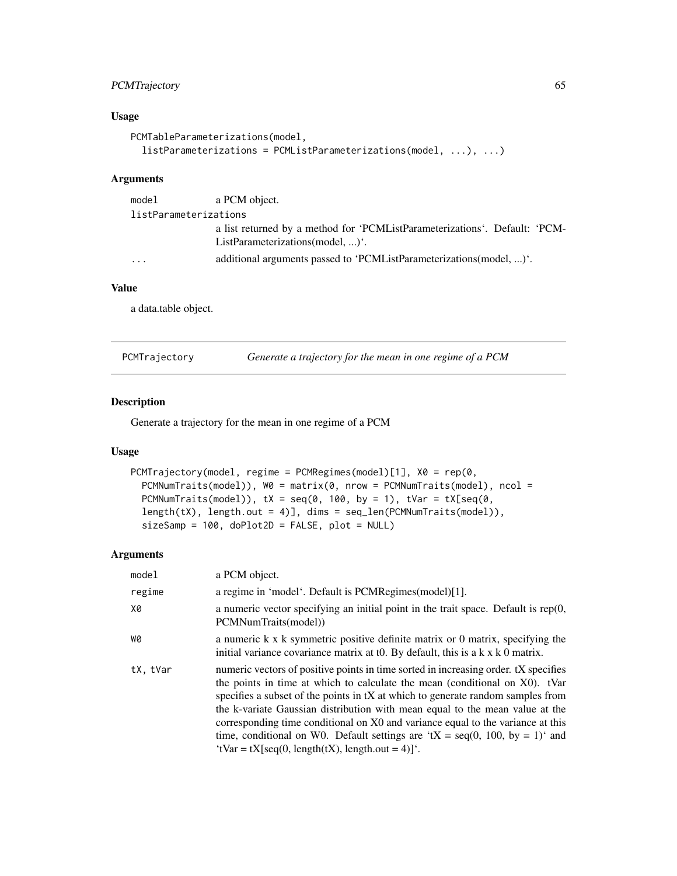# PCMTrajectory 65

## Usage

```
PCMTableParameterizations(model,
  listParameterizations = PCMListParameterizations(model, ...), ...)
```
# Arguments

| model                 | a PCM object.                                                                                                          |  |
|-----------------------|------------------------------------------------------------------------------------------------------------------------|--|
| listParameterizations |                                                                                                                        |  |
|                       | a list returned by a method for 'PCMListParameterizations'. Default: 'PCM-<br>ListParameterizations(model, ) $\cdot$ . |  |
| .                     | additional arguments passed to 'PCMListParameterizations(model, )'.                                                    |  |

# Value

a data.table object.

| PCMTrajectory |  |  | Generate a trajectory for the mean in one regime of a PCM |  |  |  |
|---------------|--|--|-----------------------------------------------------------|--|--|--|
|---------------|--|--|-----------------------------------------------------------|--|--|--|

# Description

Generate a trajectory for the mean in one regime of a PCM

## Usage

```
PCMTrajectory(model, regime = PCMRegimes(model)[1], X0 = rep(0,
 PCMNumTraits(model)), W0 = matrix(0, nrow = PCMNumTraits(model), ncol =
 PCMNumTraits(model)), tX = seq(0, 100, by = 1), tVar = tX[seq(0,length(tX), length.out = 4)], dims = seq_len(PCMNumTraits(model)),
  sizeSamp = 100, doPlot2D = FALSE, plot = NULL)
```
## Arguments

| model    | a PCM object.                                                                                                                                                                                                                                                                                                                                                                                                                                                                                                                                                       |
|----------|---------------------------------------------------------------------------------------------------------------------------------------------------------------------------------------------------------------------------------------------------------------------------------------------------------------------------------------------------------------------------------------------------------------------------------------------------------------------------------------------------------------------------------------------------------------------|
| regime   | a regime in 'model'. Default is PCMRegimes(model)[1].                                                                                                                                                                                                                                                                                                                                                                                                                                                                                                               |
| X0       | a numeric vector specifying an initial point in the trait space. Default is $rep(0,$<br>PCMNumTraits(model))                                                                                                                                                                                                                                                                                                                                                                                                                                                        |
| WØ       | a numeric k x k symmetric positive definite matrix or 0 matrix, specifying the<br>initial variance covariance matrix at t0. By default, this is a $k \times k$ 0 matrix.                                                                                                                                                                                                                                                                                                                                                                                            |
| tX, tVar | numeric vectors of positive points in time sorted in increasing order. tX specifies<br>the points in time at which to calculate the mean (conditional on X0). tVar<br>specifies a subset of the points in tX at which to generate random samples from<br>the k-variate Gaussian distribution with mean equal to the mean value at the<br>corresponding time conditional on X0 and variance equal to the variance at this<br>time, conditional on W0. Default settings are 'tX = seq(0, 100, by = 1)' and<br>'tVar = $tX$ [seq(0, length( $tX$ ), length.out = 4)]'. |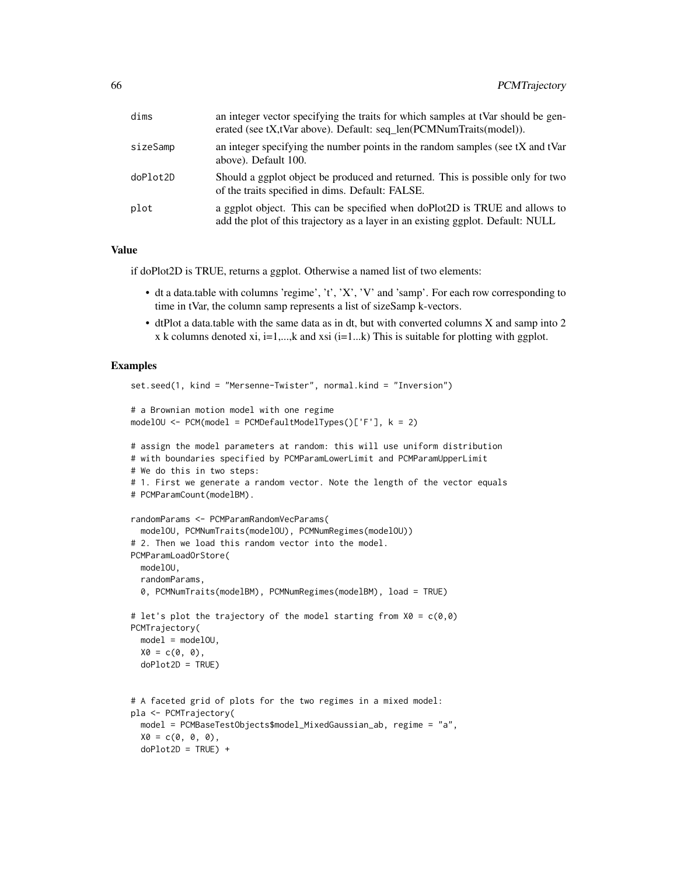| dims     | an integer vector specifying the traits for which samples at tVar should be gen-<br>erated (see tX,tVar above). Default: seq_len(PCMNumTraits(model)).        |
|----------|---------------------------------------------------------------------------------------------------------------------------------------------------------------|
| sizeSamp | an integer specifying the number points in the random samples (see tX and tVar<br>above). Default 100.                                                        |
| doPlot2D | Should a ggplot object be produced and returned. This is possible only for two<br>of the traits specified in dims. Default: FALSE.                            |
| plot     | a ggplot object. This can be specified when doPlot2D is TRUE and allows to<br>add the plot of this trajectory as a layer in an existing ggplot. Default: NULL |

### Value

if doPlot2D is TRUE, returns a ggplot. Otherwise a named list of two elements:

- dt a data.table with columns 'regime', 't', 'X', 'V' and 'samp'. For each row corresponding to time in tVar, the column samp represents a list of sizeSamp k-vectors.
- dtPlot a data.table with the same data as in dt, but with converted columns X and samp into 2 x k columns denoted xi, i=1,...,k and xsi (i=1...k) This is suitable for plotting with ggplot.

### Examples

```
set.seed(1, kind = "Mersenne-Twister", normal.kind = "Inversion")
# a Brownian motion model with one regime
modelOU <- PCM(model = PCMDefaultModelTypes()['F'], k = 2)
# assign the model parameters at random: this will use uniform distribution
# with boundaries specified by PCMParamLowerLimit and PCMParamUpperLimit
# We do this in two steps:
# 1. First we generate a random vector. Note the length of the vector equals
# PCMParamCount(modelBM).
randomParams <- PCMParamRandomVecParams(
  modelOU, PCMNumTraits(modelOU), PCMNumRegimes(modelOU))
# 2. Then we load this random vector into the model.
PCMParamLoadOrStore(
  modelOU,
  randomParams,
  0, PCMNumTraits(modelBM), PCMNumRegimes(modelBM), load = TRUE)
# let's plot the trajectory of the model starting from X0 = c(0,0)PCMTrajectory(
  model = modelOU,
  X0 = c(0, 0),doPlot2D = TRUE)
```

```
# A faceted grid of plots for the two regimes in a mixed model:
pla <- PCMTrajectory(
 model = PCMBaseTestObjects$model_MixedGaussian_ab, regime = "a",
 X0 = c(0, 0, 0),doPlot2D = TRUE) +
```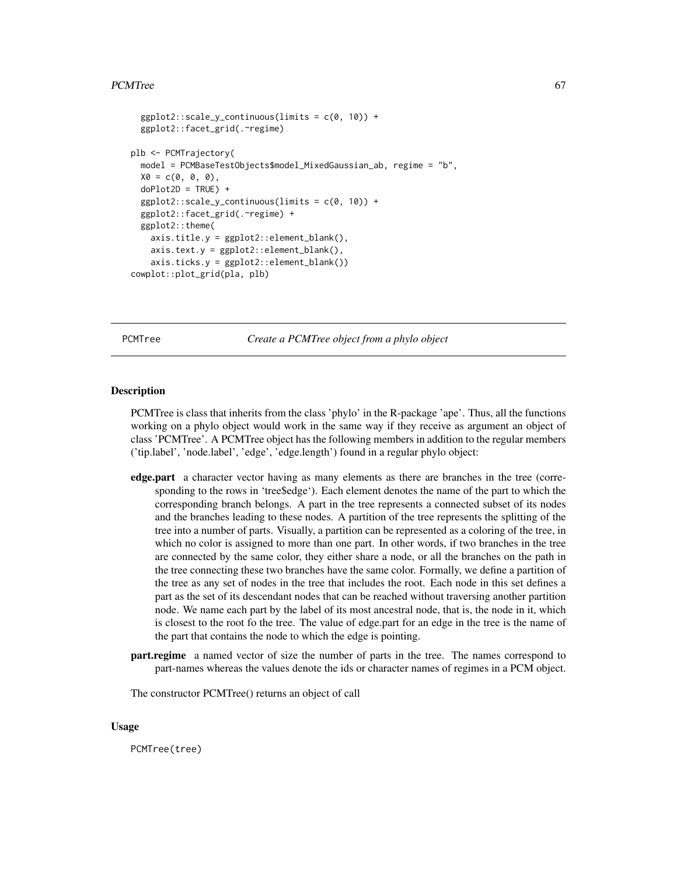### PCMTree 67

```
ggplot2::scale_y_{continuous}(limits = c(0, 10)) +ggplot2::facet_grid(.~regime)
plb <- PCMTrajectory(
 model = PCMBaseTestObjects$model_MixedGaussian_ab, regime = "b",
 X0 = c(0, 0, 0),
 doPlot2D = TRUE) +
 ggplot2::scale_y_{continuous}(limits = c(0, 10)) +ggplot2::facet_grid(.~regime) +
 ggplot2::theme(
   axis.title.y = ggplot2::element_blank(),
   axis.text.y = ggplot2::element_blank(),
   axis.ticks.y = ggplot2::element_blank())
cowplot::plot_grid(pla, plb)
```
PCMTree *Create a PCMTree object from a phylo object*

### **Description**

PCMTree is class that inherits from the class 'phylo' in the R-package 'ape'. Thus, all the functions working on a phylo object would work in the same way if they receive as argument an object of class 'PCMTree'. A PCMTree object has the following members in addition to the regular members ('tip.label', 'node.label', 'edge', 'edge.length') found in a regular phylo object:

- edge.part a character vector having as many elements as there are branches in the tree (corresponding to the rows in 'tree\$edge'). Each element denotes the name of the part to which the corresponding branch belongs. A part in the tree represents a connected subset of its nodes and the branches leading to these nodes. A partition of the tree represents the splitting of the tree into a number of parts. Visually, a partition can be represented as a coloring of the tree, in which no color is assigned to more than one part. In other words, if two branches in the tree are connected by the same color, they either share a node, or all the branches on the path in the tree connecting these two branches have the same color. Formally, we define a partition of the tree as any set of nodes in the tree that includes the root. Each node in this set defines a part as the set of its descendant nodes that can be reached without traversing another partition node. We name each part by the label of its most ancestral node, that is, the node in it, which is closest to the root fo the tree. The value of edge.part for an edge in the tree is the name of the part that contains the node to which the edge is pointing.
- part.regime a named vector of size the number of parts in the tree. The names correspond to part-names whereas the values denote the ids or character names of regimes in a PCM object.

The constructor PCMTree() returns an object of call

#### Usage

PCMTree(tree)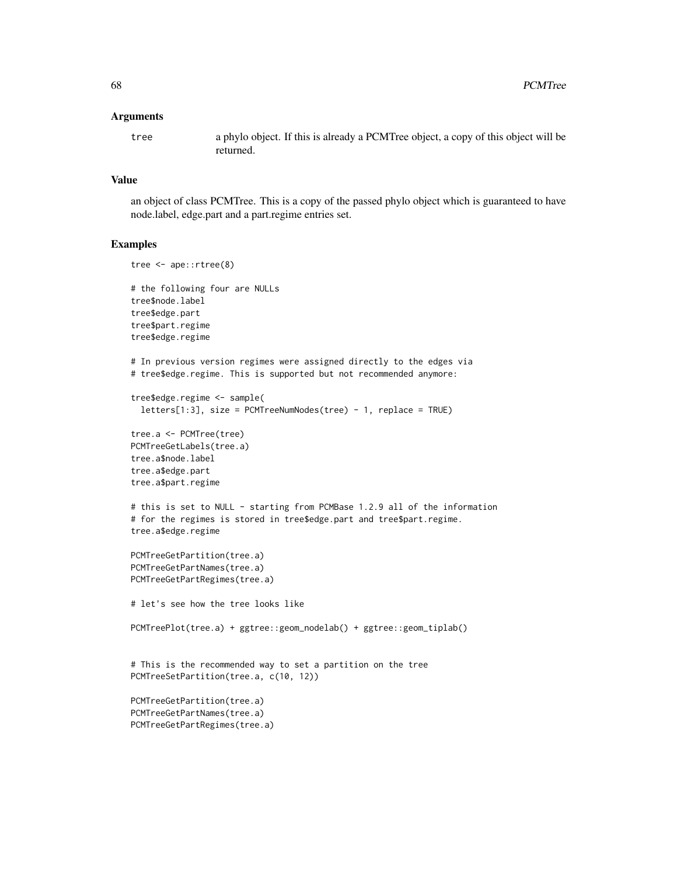### Arguments

tree a phylo object. If this is already a PCMTree object, a copy of this object will be returned.

### Value

an object of class PCMTree. This is a copy of the passed phylo object which is guaranteed to have node.label, edge.part and a part.regime entries set.

#### Examples

```
tree <- ape::rtree(8)
# the following four are NULLs
tree$node.label
tree$edge.part
tree$part.regime
tree$edge.regime
# In previous version regimes were assigned directly to the edges via
# tree$edge.regime. This is supported but not recommended anymore:
tree$edge.regime <- sample(
  letters[1:3], size = PCMTreeNumNodes(tree) - 1, replace = TRUE)
tree.a <- PCMTree(tree)
PCMTreeGetLabels(tree.a)
tree.a$node.label
tree.a$edge.part
tree.a$part.regime
# this is set to NULL - starting from PCMBase 1.2.9 all of the information
# for the regimes is stored in tree$edge.part and tree$part.regime.
tree.a$edge.regime
PCMTreeGetPartition(tree.a)
PCMTreeGetPartNames(tree.a)
PCMTreeGetPartRegimes(tree.a)
# let's see how the tree looks like
PCMTreePlot(tree.a) + ggtree::geom_nodelab() + ggtree::geom_tiplab()
# This is the recommended way to set a partition on the tree
PCMTreeSetPartition(tree.a, c(10, 12))
PCMTreeGetPartition(tree.a)
PCMTreeGetPartNames(tree.a)
PCMTreeGetPartRegimes(tree.a)
```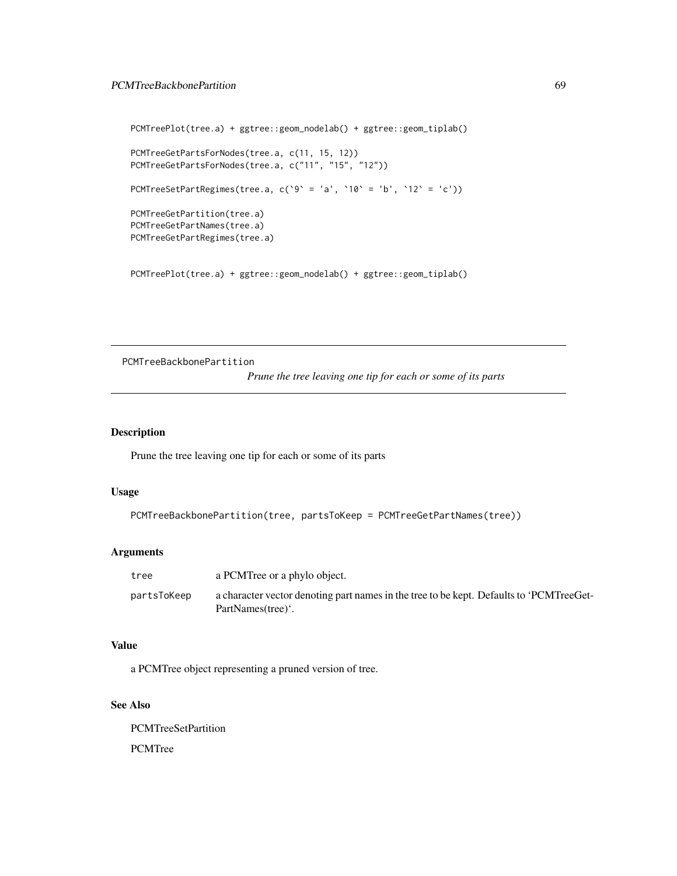# PCMTreeBackbonePartition 69

```
PCMTreePlot(tree.a) + ggtree::geom_nodelab() + ggtree::geom_tiplab()
PCMTreeGetPartsForNodes(tree.a, c(11, 15, 12))
PCMTreeGetPartsForNodes(tree.a, c("11", "15", "12"))
PCMTreeSetPartRegimes(tree.a, c('9' = 'a', '10' = 'b', '12' = 'c'))PCMTreeGetPartition(tree.a)
PCMTreeGetPartNames(tree.a)
PCMTreeGetPartRegimes(tree.a)
```
PCMTreePlot(tree.a) + ggtree::geom\_nodelab() + ggtree::geom\_tiplab()

PCMTreeBackbonePartition

*Prune the tree leaving one tip for each or some of its parts*

## Description

Prune the tree leaving one tip for each or some of its parts

## Usage

```
PCMTreeBackbonePartition(tree, partsToKeep = PCMTreeGetPartNames(tree))
```
### Arguments

| tree        | a PCMTree or a phylo object.                                                                                 |
|-------------|--------------------------------------------------------------------------------------------------------------|
| partsToKeep | a character vector denoting part names in the tree to be kept. Defaults to 'PCMTreeGet-<br>PartNames(tree)'. |

#### Value

a PCMTree object representing a pruned version of tree.

# See Also

PCMTreeSetPartition PCMTree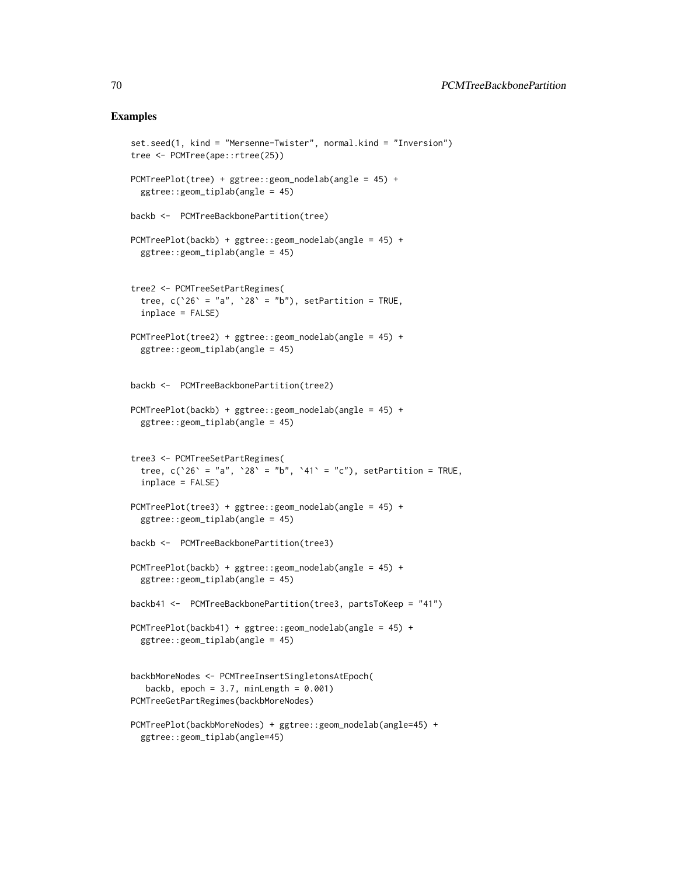### Examples

```
set.seed(1, kind = "Mersenne-Twister", normal.kind = "Inversion")
tree <- PCMTree(ape::rtree(25))
PCMTreePlot(tree) + ggtree::geom_nodelab(angle = 45) +
 ggtree::geom_tiplab(angle = 45)
backb <- PCMTreeBackbonePartition(tree)
PCMTreePlot(backb) + ggtree::geom_nodelab(angle = 45) +
 ggtree::geom_tiplab(angle = 45)
tree2 <- PCMTreeSetPartRegimes(
 tree, c('26' = "a", '28' = "b"), setPartition = TRUE,
 inplace = FALSE)
PCMTreePlot(tree2) + ggtree::geom_nodelab(angle = 45) +
 ggtree::geom_tiplab(angle = 45)
backb <- PCMTreeBackbonePartition(tree2)
PCMTreePlot(backb) + ggtree::geom_nodelab(angle = 45) +
 ggtree::geom_tiplab(angle = 45)
tree3 <- PCMTreeSetPartRegimes(
 tree, c('26' = "a", '28' = "b", '41' = "c"), setPartition = TRUE,inplace = FALSE)
PCMTreePlot(tree3) + ggtree::geom_nodelab(angle = 45) +
 ggtree::geom_tiplab(angle = 45)
backb <- PCMTreeBackbonePartition(tree3)
PCMTreePlot(backb) + ggtree::geom_nodelab(angle = 45) +
 ggtree::geom_tiplab(angle = 45)
backb41 <- PCMTreeBackbonePartition(tree3, partsToKeep = "41")
PCMTreePlot(backb41) + ggtree::geom_nodelab(angle = 45) +
 ggtree::geom_tiplab(angle = 45)
backbMoreNodes <- PCMTreeInsertSingletonsAtEpoch(
  backb, epoch = 3.7, minLength = 0.001)
PCMTreeGetPartRegimes(backbMoreNodes)
PCMTreePlot(backbMoreNodes) + ggtree::geom_nodelab(angle=45) +
 ggtree::geom_tiplab(angle=45)
```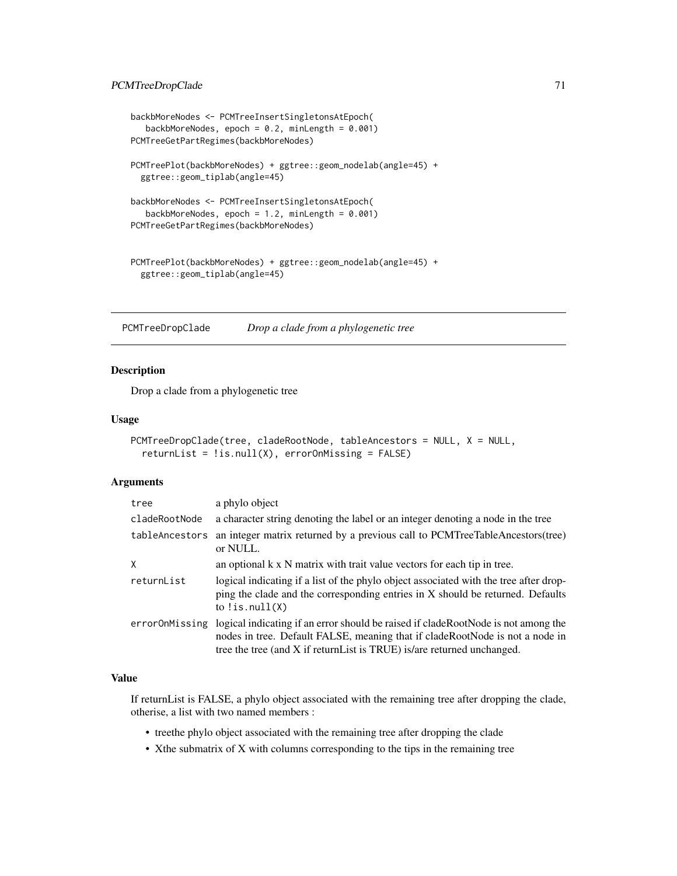```
backbMoreNodes <- PCMTreeInsertSingletonsAtEpoch(
   backbMoreNodes, epoch = 0.2, minLength = 0.001)
PCMTreeGetPartRegimes(backbMoreNodes)
PCMTreePlot(backbMoreNodes) + ggtree::geom_nodelab(angle=45) +
  ggtree::geom_tiplab(angle=45)
backbMoreNodes <- PCMTreeInsertSingletonsAtEpoch(
   backbMoreNodes, epoch = 1.2, minLength = 0.001)
PCMTreeGetPartRegimes(backbMoreNodes)
PCMTreePlot(backbMoreNodes) + ggtree::geom_nodelab(angle=45) +
  ggtree::geom_tiplab(angle=45)
```
PCMTreeDropClade *Drop a clade from a phylogenetic tree*

### Description

Drop a clade from a phylogenetic tree

### Usage

```
PCMTreeDropClade(tree, cladeRootNode, tableAncestors = NULL, X = NULL,
  returnList = !is.null(X), errorOnMissing = FALSE)
```
### Arguments

| tree           | a phylo object                                                                                                                                                                                                                               |
|----------------|----------------------------------------------------------------------------------------------------------------------------------------------------------------------------------------------------------------------------------------------|
| cladeRootNode  | a character string denoting the label or an integer denoting a node in the tree                                                                                                                                                              |
| tableAncestors | an integer matrix returned by a previous call to PCMTreeTableAncestors(tree)<br>or NULL.                                                                                                                                                     |
| X              | an optional k x N matrix with trait value vectors for each tip in tree.                                                                                                                                                                      |
| returnList     | logical indicating if a list of the phylo object associated with the tree after drop-<br>ping the clade and the corresponding entries in X should be returned. Defaults<br>to $lis.null(X)$                                                  |
| errorOnMissing | logical indicating if an error should be raised if cladeRootNode is not among the<br>nodes in tree. Default FALSE, meaning that if cladeRootNode is not a node in<br>tree the tree (and X if return List is TRUE) is/are returned unchanged. |

# Value

If returnList is FALSE, a phylo object associated with the remaining tree after dropping the clade, otherise, a list with two named members :

- treethe phylo object associated with the remaining tree after dropping the clade
- Xthe submatrix of X with columns corresponding to the tips in the remaining tree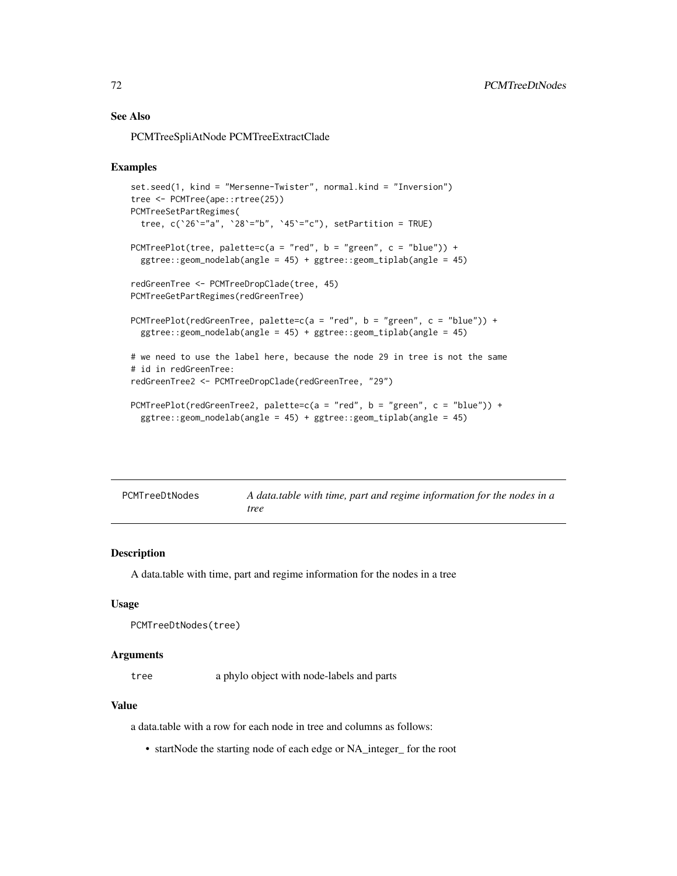# See Also

PCMTreeSpliAtNode PCMTreeExtractClade

### Examples

```
set.seed(1, kind = "Mersenne-Twister", normal.kind = "Inversion")
tree <- PCMTree(ape::rtree(25))
PCMTreeSetPartRegimes(
 tree, c('26'="a", '28'="b", '45'="c"), setPartition = TRUE)
PCMTreePlot(tree, palette=c(a = "red", b = "green", c = "blue")) +
  ggtree::geom_nodelab(angle = 45) + ggtree::geom_tiplab(angle = 45)
redGreenTree <- PCMTreeDropClade(tree, 45)
PCMTreeGetPartRegimes(redGreenTree)
PCMTreePlot(redGreenTree, palette=c(a = "red", b = "green", c = "blue")) +
  ggtree::geom_nodelab(angle = 45) + ggtree::geom_tiplab(angle = 45)
# we need to use the label here, because the node 29 in tree is not the same
# id in redGreenTree:
redGreenTree2 <- PCMTreeDropClade(redGreenTree, "29")
PCMTreePlot(redGreenTree2, palette=c(a = "red", b = "green", c = "blue")) +
  ggtree::geom_nodelab(angle = 45) + ggtree::geom_tiplab(angle = 45)
```

| PCMTreeDtNodes | A data table with time, part and regime information for the nodes in a |
|----------------|------------------------------------------------------------------------|
|                | tree                                                                   |

# Description

A data.table with time, part and regime information for the nodes in a tree

#### Usage

```
PCMTreeDtNodes(tree)
```
### Arguments

tree a phylo object with node-labels and parts

## Value

a data.table with a row for each node in tree and columns as follows:

• startNode the starting node of each edge or NA\_integer\_ for the root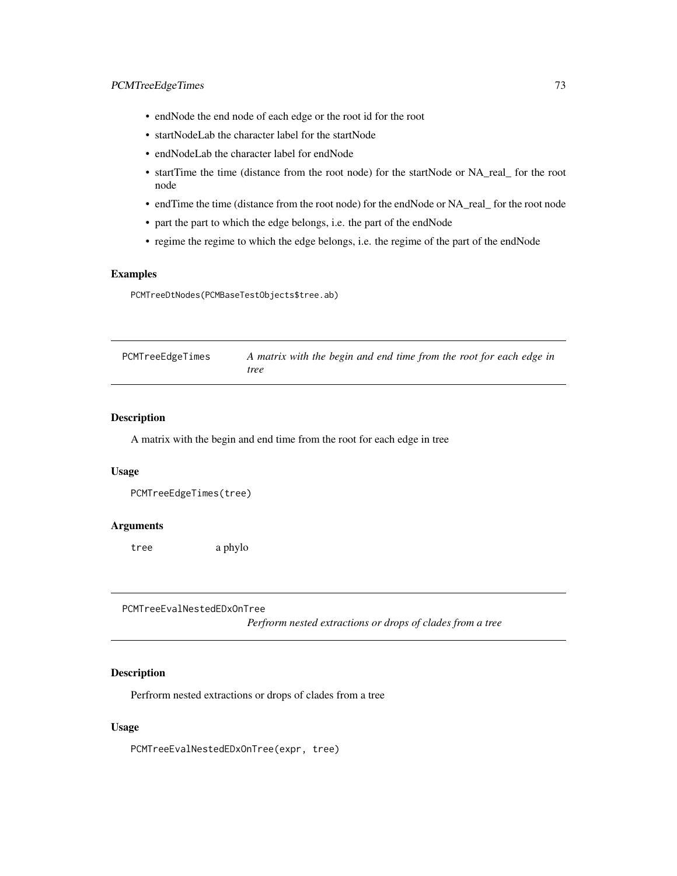- endNode the end node of each edge or the root id for the root
- startNodeLab the character label for the startNode
- endNodeLab the character label for endNode
- startTime the time (distance from the root node) for the startNode or NA\_real\_ for the root node
- endTime the time (distance from the root node) for the endNode or NA\_real\_ for the root node
- part the part to which the edge belongs, i.e. the part of the endNode
- regime the regime to which the edge belongs, i.e. the regime of the part of the endNode

## Examples

PCMTreeDtNodes(PCMBaseTestObjects\$tree.ab)

<span id="page-72-0"></span>

| PCMTreeEdgeTimes | A matrix with the begin and end time from the root for each edge in |
|------------------|---------------------------------------------------------------------|
|                  | tree                                                                |

## Description

A matrix with the begin and end time from the root for each edge in tree

### Usage

```
PCMTreeEdgeTimes(tree)
```
#### Arguments

tree a phylo

PCMTreeEvalNestedEDxOnTree

*Perfrorm nested extractions or drops of clades from a tree*

# Description

Perfrorm nested extractions or drops of clades from a tree

### Usage

PCMTreeEvalNestedEDxOnTree(expr, tree)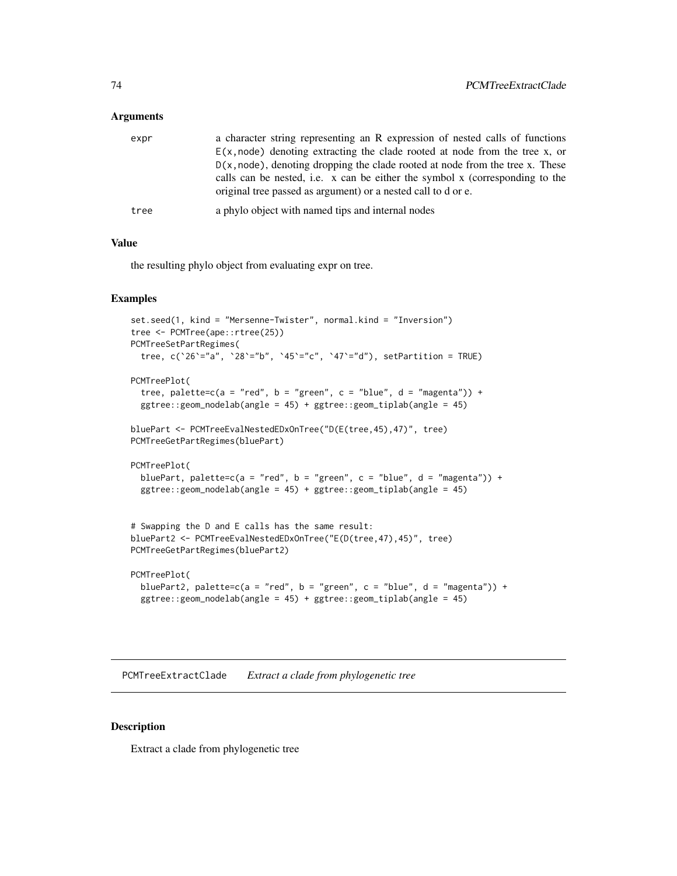### Arguments

| expr | a character string representing an R expression of nested calls of functions     |
|------|----------------------------------------------------------------------------------|
|      | $E(x, node)$ denoting extracting the clade rooted at node from the tree x, or    |
|      | $D(x, node)$ , denoting dropping the clade rooted at node from the tree x. These |
|      | calls can be nested, i.e. x can be either the symbol x (corresponding to the     |
|      | original tree passed as argument) or a nested call to d or e.                    |
| tree | a phylo object with named tips and internal nodes                                |

# Value

the resulting phylo object from evaluating expr on tree.

## Examples

```
set.seed(1, kind = "Mersenne-Twister", normal.kind = "Inversion")
tree <- PCMTree(ape::rtree(25))
PCMTreeSetPartRegimes(
  tree, c('26'="a", '28'="b", '45'="c", '47'="d"), setPartition = TRUE)PCMTreePlot(
  tree, palette=c(a = "red", b = "green", c = "blue", d = "magenta")) +
  ggtree::geom_nodelab(angle = 45) + ggtree::geom_tiplab(angle = 45)
bluePart <- PCMTreeEvalNestedEDxOnTree("D(E(tree,45),47)", tree)
PCMTreeGetPartRegimes(bluePart)
PCMTreePlot(
  bluePart, palette=c(a = "red", b = "green", c = "blue", d = "magenta")) +
  ggtree::geom_nodelab(angle = 45) + ggtree::geom_tiplab(angle = 45)
# Swapping the D and E calls has the same result:
bluePart2 <- PCMTreeEvalNestedEDxOnTree("E(D(tree,47),45)", tree)
PCMTreeGetPartRegimes(bluePart2)
PCMTreePlot(
```

```
bluePart2, palette=c(a = "red", b = "green", c = "blue", d = "magenta")) +
ggtree::geom_nodelab(angle = 45) + ggtree::geom_tiplab(angle = 45)
```
PCMTreeExtractClade *Extract a clade from phylogenetic tree*

### Description

Extract a clade from phylogenetic tree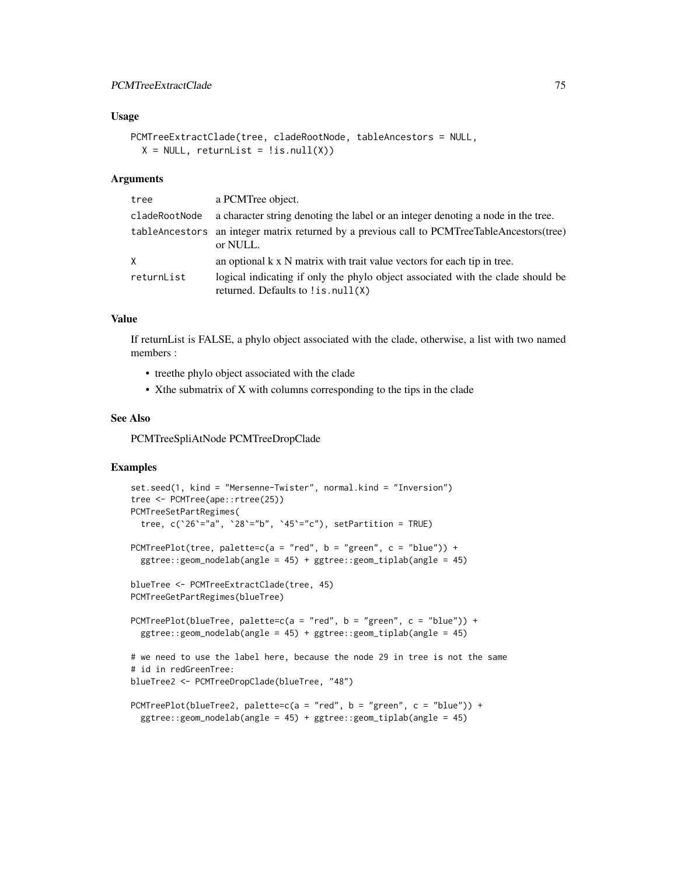## PCMTreeExtractClade 75

### Usage

```
PCMTreeExtractClade(tree, cladeRootNode, tableAncestors = NULL,
 X = NULL, returnList = !is.null(X))
```
### Arguments

| tree          | a PCMTree object.                                                                                                    |
|---------------|----------------------------------------------------------------------------------------------------------------------|
| cladeRootNode | a character string denoting the label or an integer denoting a node in the tree.                                     |
|               | table Ancestors an integer matrix returned by a previous call to PCMTreeTable Ancestors (tree)<br>or NULL.           |
| X             | an optional $k \times N$ matrix with trait value vectors for each tip in tree.                                       |
| returnList    | logical indicating if only the phylo object associated with the clade should be<br>returned. Defaults to !is.null(X) |

### Value

If returnList is FALSE, a phylo object associated with the clade, otherwise, a list with two named members :

- treethe phylo object associated with the clade
- Xthe submatrix of X with columns corresponding to the tips in the clade

### See Also

PCMTreeSpliAtNode PCMTreeDropClade

```
set.seed(1, kind = "Mersenne-Twister", normal.kind = "Inversion")
tree <- PCMTree(ape::rtree(25))
PCMTreeSetPartRegimes(
  tree, c('26'="a", '28'="b", '45'="c"), setPartition = TRUE)
PCMTreePlot(tree, palette=c(a = "red", b = "green", c = "blue")) +
  ggtree::geom_nodelab(angle = 45) + ggtree::geom_tiplab(angle = 45)
blueTree <- PCMTreeExtractClade(tree, 45)
PCMTreeGetPartRegimes(blueTree)
PCMTreePlot(blueTree, palette=c(a = "red", b = "green", c = "blue")) +
  ggtree::geom_nodelab(angle = 45) + ggtree::geom_tiplab(angle = 45)
# we need to use the label here, because the node 29 in tree is not the same
# id in redGreenTree:
blueTree2 <- PCMTreeDropClade(blueTree, "48")
PCMTreePlot(blueTree2, palette=c(a = "red", b = "green", c = "blue")) +
  ggtree::geom_nodelab(angle = 45) + ggtree::geom_tiplab(angle = 45)
```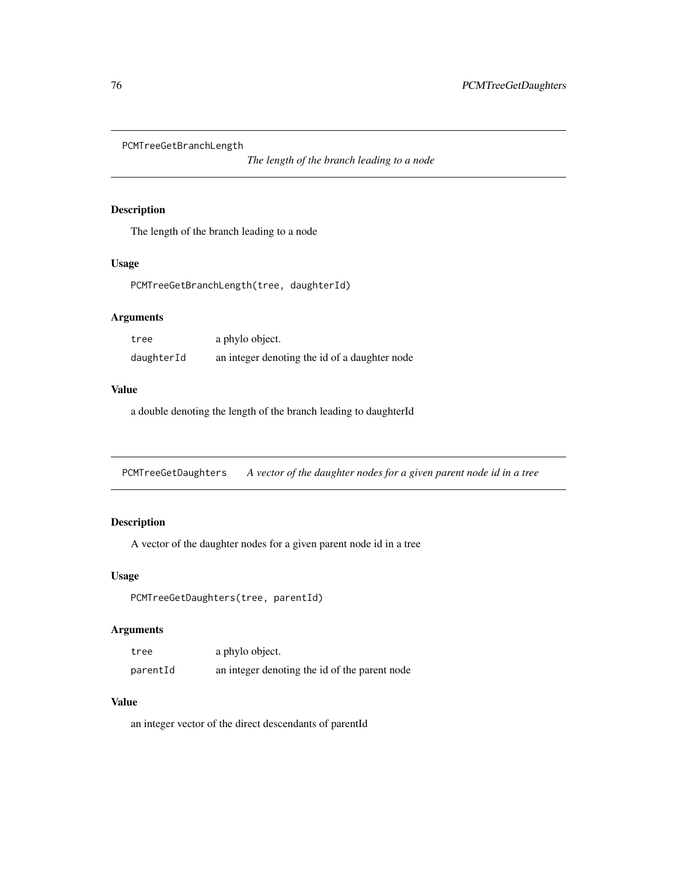PCMTreeGetBranchLength

*The length of the branch leading to a node*

# Description

The length of the branch leading to a node

## Usage

PCMTreeGetBranchLength(tree, daughterId)

# Arguments

| tree       | a phylo object.                               |
|------------|-----------------------------------------------|
| daughterId | an integer denoting the id of a daughter node |

# Value

a double denoting the length of the branch leading to daughterId

PCMTreeGetDaughters *A vector of the daughter nodes for a given parent node id in a tree*

# Description

A vector of the daughter nodes for a given parent node id in a tree

### Usage

PCMTreeGetDaughters(tree, parentId)

# Arguments

| tree     | a phylo object.                               |
|----------|-----------------------------------------------|
| parentId | an integer denoting the id of the parent node |

# Value

an integer vector of the direct descendants of parentId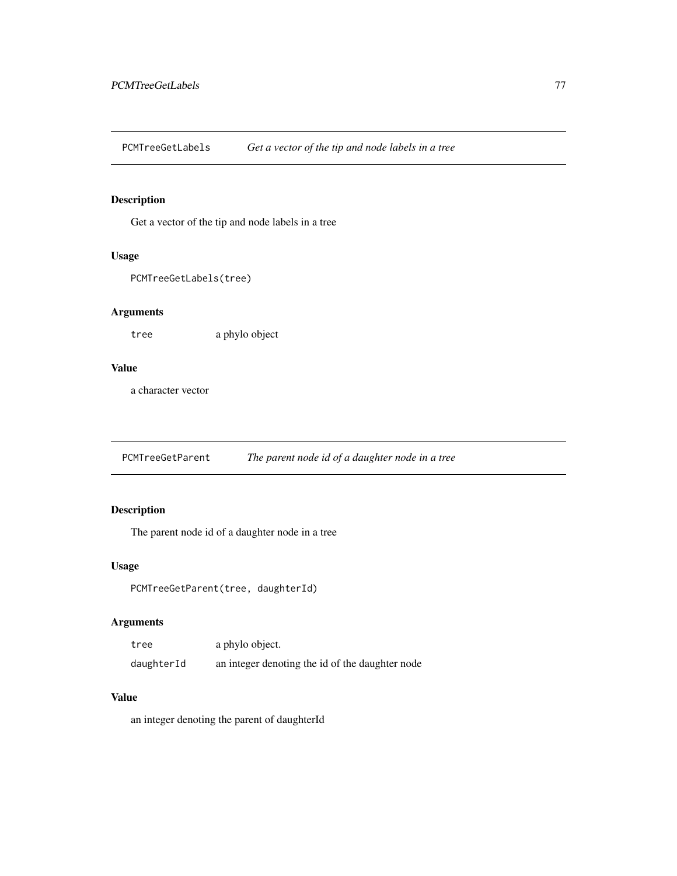PCMTreeGetLabels *Get a vector of the tip and node labels in a tree*

# Description

Get a vector of the tip and node labels in a tree

### Usage

```
PCMTreeGetLabels(tree)
```
# Arguments

tree a phylo object

## Value

a character vector

PCMTreeGetParent *The parent node id of a daughter node in a tree*

# Description

The parent node id of a daughter node in a tree

# Usage

PCMTreeGetParent(tree, daughterId)

# Arguments

| tree       | a phylo object.                                 |
|------------|-------------------------------------------------|
| daughterId | an integer denoting the id of the daughter node |

# Value

an integer denoting the parent of daughterId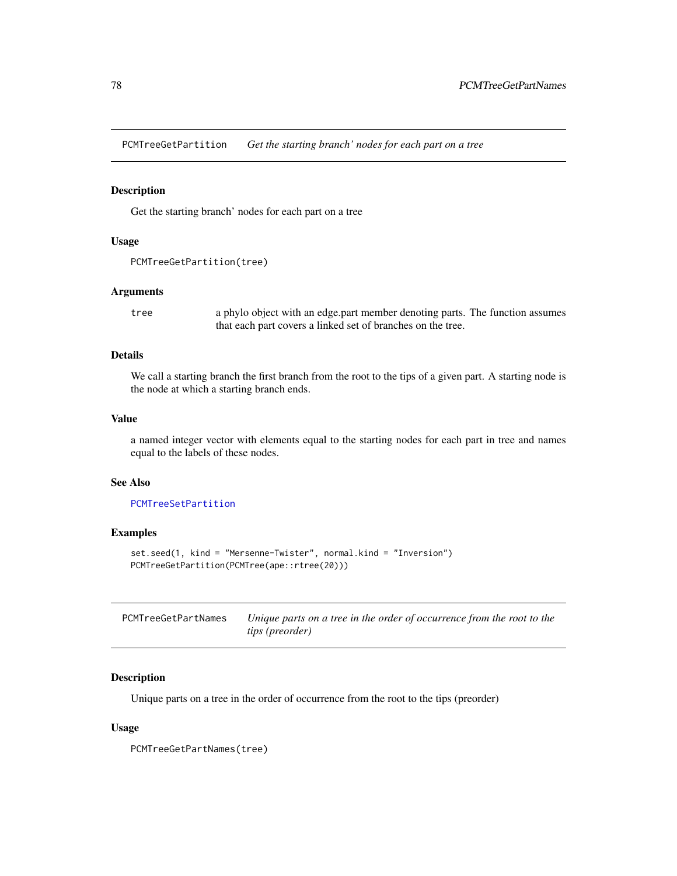<span id="page-77-1"></span>PCMTreeGetPartition *Get the starting branch' nodes for each part on a tree*

## Description

Get the starting branch' nodes for each part on a tree

### Usage

```
PCMTreeGetPartition(tree)
```
### Arguments

tree a phylo object with an edge.part member denoting parts. The function assumes that each part covers a linked set of branches on the tree.

## Details

We call a starting branch the first branch from the root to the tips of a given part. A starting node is the node at which a starting branch ends.

### Value

a named integer vector with elements equal to the starting nodes for each part in tree and names equal to the labels of these nodes.

### See Also

[PCMTreeSetPartition](#page-96-0)

### Examples

```
set.seed(1, kind = "Mersenne-Twister", normal.kind = "Inversion")
PCMTreeGetPartition(PCMTree(ape::rtree(20)))
```
<span id="page-77-0"></span>

| PCMTreeGetPartNames | Unique parts on a tree in the order of occurrence from the root to the |
|---------------------|------------------------------------------------------------------------|
|                     | <i>tips (preorder)</i>                                                 |

### Description

Unique parts on a tree in the order of occurrence from the root to the tips (preorder)

### Usage

PCMTreeGetPartNames(tree)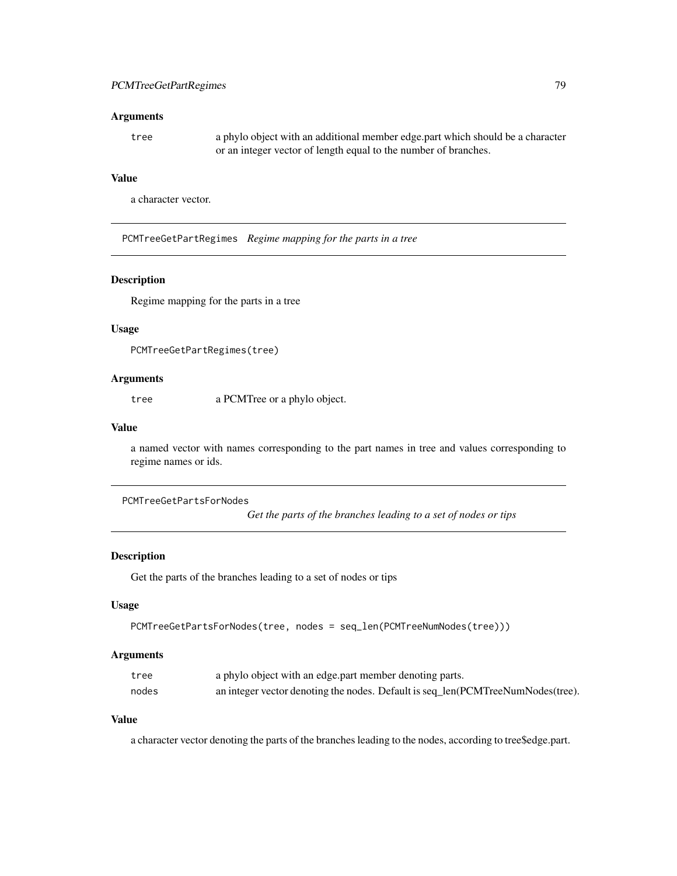### Arguments

tree a phylo object with an additional member edge.part which should be a character or an integer vector of length equal to the number of branches.

## Value

a character vector.

<span id="page-78-0"></span>PCMTreeGetPartRegimes *Regime mapping for the parts in a tree*

## Description

Regime mapping for the parts in a tree

#### Usage

```
PCMTreeGetPartRegimes(tree)
```
### Arguments

tree a PCMTree or a phylo object.

# Value

a named vector with names corresponding to the part names in tree and values corresponding to regime names or ids.

```
PCMTreeGetPartsForNodes
```
*Get the parts of the branches leading to a set of nodes or tips*

# Description

Get the parts of the branches leading to a set of nodes or tips

## Usage

```
PCMTreeGetPartsForNodes(tree, nodes = seq_len(PCMTreeNumNodes(tree)))
```
#### Arguments

| tree  | a phylo object with an edge part member denoting parts.                         |
|-------|---------------------------------------------------------------------------------|
| nodes | an integer vector denoting the nodes. Default is seq_len(PCMTreeNumNodes(tree). |

## Value

a character vector denoting the parts of the branches leading to the nodes, according to tree\$edge.part.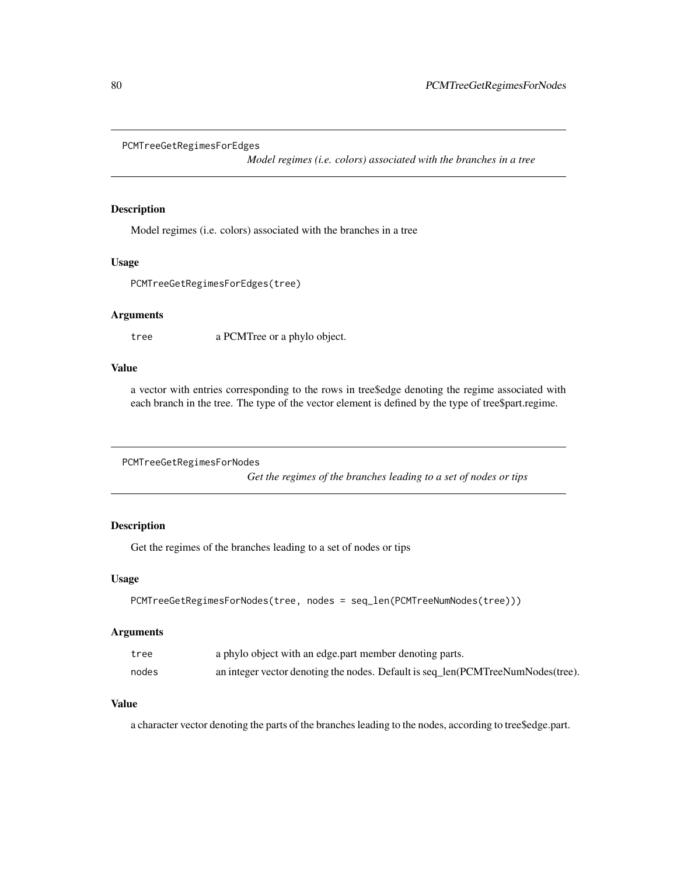```
PCMTreeGetRegimesForEdges
```
*Model regimes (i.e. colors) associated with the branches in a tree*

### Description

Model regimes (i.e. colors) associated with the branches in a tree

### Usage

```
PCMTreeGetRegimesForEdges(tree)
```
### Arguments

tree a PCMTree or a phylo object.

### Value

a vector with entries corresponding to the rows in tree\$edge denoting the regime associated with each branch in the tree. The type of the vector element is defined by the type of tree\$part.regime.

```
PCMTreeGetRegimesForNodes
```
*Get the regimes of the branches leading to a set of nodes or tips*

# Description

Get the regimes of the branches leading to a set of nodes or tips

#### Usage

```
PCMTreeGetRegimesForNodes(tree, nodes = seq_len(PCMTreeNumNodes(tree)))
```
# Arguments

| tree  | a phylo object with an edge part member denoting parts.                         |
|-------|---------------------------------------------------------------------------------|
| nodes | an integer vector denoting the nodes. Default is seq_len(PCMTreeNumNodes(tree). |

#### Value

a character vector denoting the parts of the branches leading to the nodes, according to tree\$edge.part.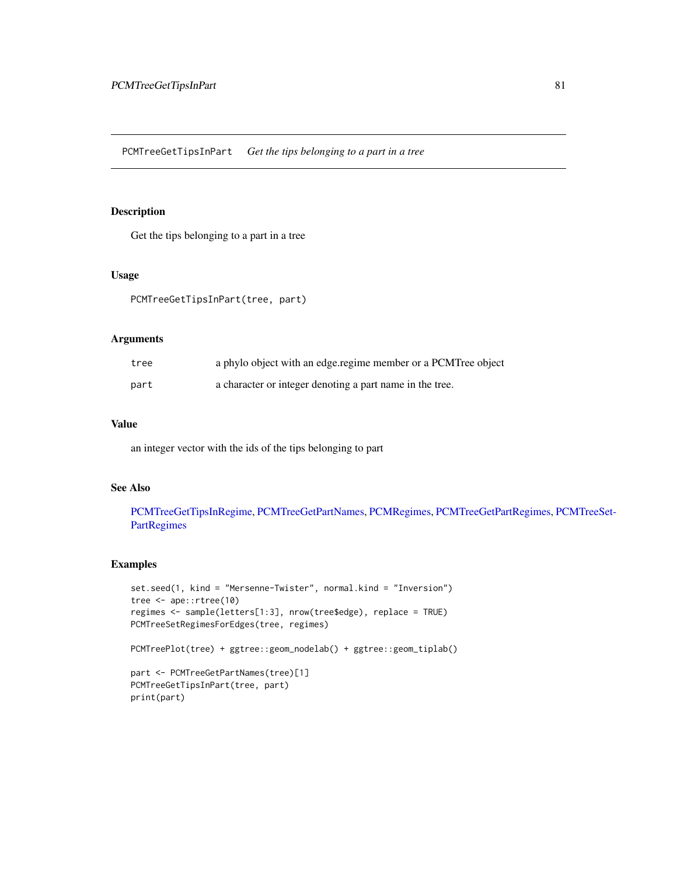# <span id="page-80-0"></span>Description

Get the tips belonging to a part in a tree

### Usage

PCMTreeGetTipsInPart(tree, part)

### Arguments

| tree | a phylo object with an edge regime member or a PCMTree object |
|------|---------------------------------------------------------------|
| part | a character or integer denoting a part name in the tree.      |

### Value

an integer vector with the ids of the tips belonging to part

## See Also

[PCMTreeGetTipsInRegime,](#page-81-0) [PCMTreeGetPartNames,](#page-77-0) [PCMRegimes,](#page-59-0) [PCMTreeGetPartRegimes,](#page-78-0) [PC](#page-97-0)MTreeSet-[PartRegimes](#page-97-0)

```
set.seed(1, kind = "Mersenne-Twister", normal.kind = "Inversion")
tree <- ape::rtree(10)
regimes <- sample(letters[1:3], nrow(tree$edge), replace = TRUE)
PCMTreeSetRegimesForEdges(tree, regimes)
PCMTreePlot(tree) + ggtree::geom_nodelab() + ggtree::geom_tiplab()
part <- PCMTreeGetPartNames(tree)[1]
PCMTreeGetTipsInPart(tree, part)
print(part)
```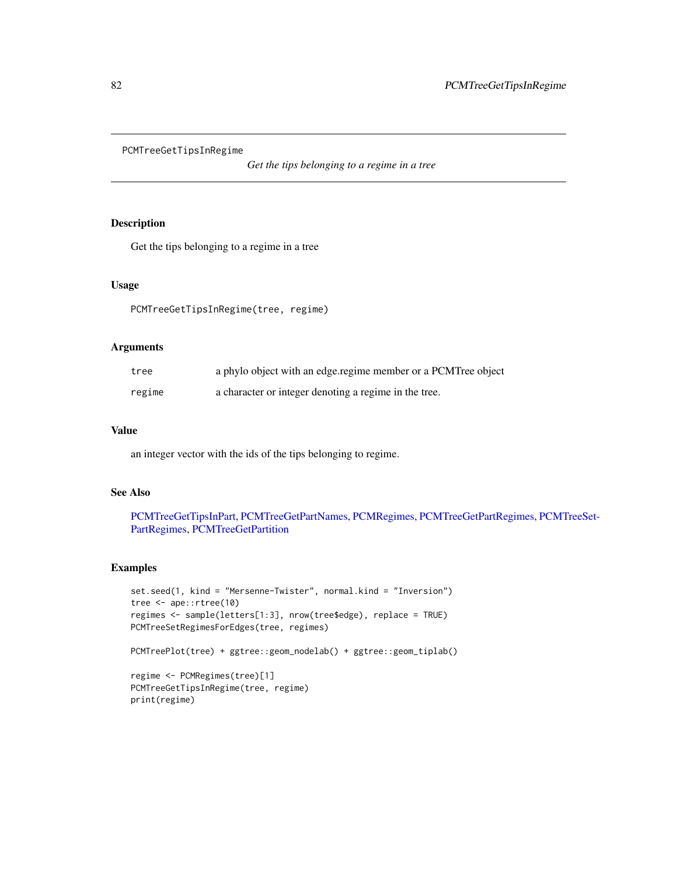<span id="page-81-0"></span>PCMTreeGetTipsInRegime

*Get the tips belonging to a regime in a tree*

## Description

Get the tips belonging to a regime in a tree

## Usage

PCMTreeGetTipsInRegime(tree, regime)

# Arguments

| tree   | a phylo object with an edge regime member or a PCMTree object |
|--------|---------------------------------------------------------------|
| regime | a character or integer denoting a regime in the tree.         |

# Value

an integer vector with the ids of the tips belonging to regime.

### See Also

[PCMTreeGetTipsInPart,](#page-80-0) [PCMTreeGetPartNames,](#page-77-0) [PCMRegimes,](#page-59-0) [PCMTreeGetPartRegimes,](#page-78-0) [PCMT](#page-97-0)reeSet-[PartRegimes,](#page-97-0) [PCMTreeGetPartition](#page-77-1)

```
set.seed(1, kind = "Mersenne-Twister", normal.kind = "Inversion")
tree <- ape::rtree(10)
regimes <- sample(letters[1:3], nrow(tree$edge), replace = TRUE)
PCMTreeSetRegimesForEdges(tree, regimes)
PCMTreePlot(tree) + ggtree::geom_nodelab() + ggtree::geom_tiplab()
regime <- PCMRegimes(tree)[1]
PCMTreeGetTipsInRegime(tree, regime)
print(regime)
```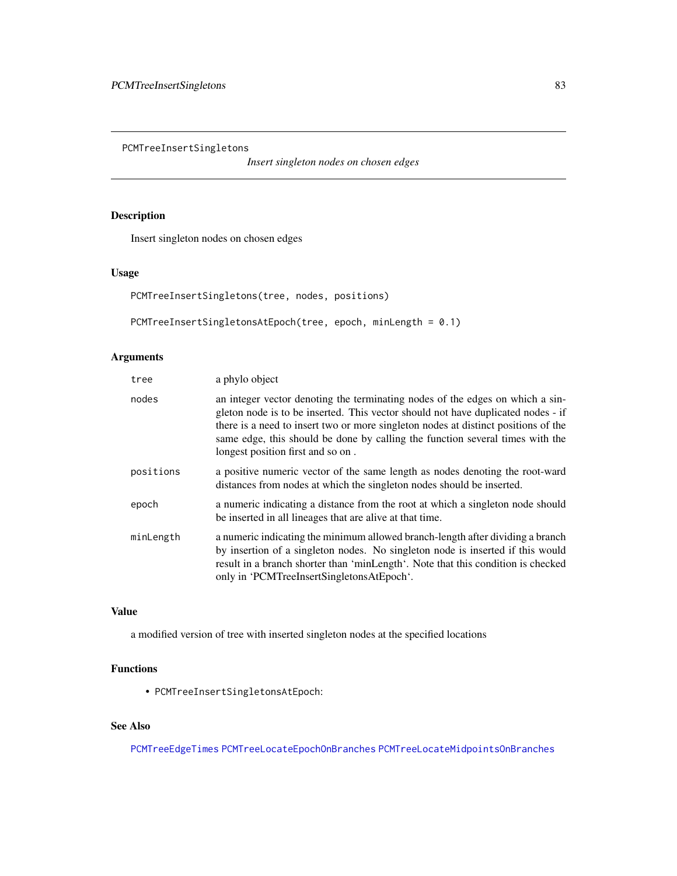PCMTreeInsertSingletons

*Insert singleton nodes on chosen edges*

# Description

Insert singleton nodes on chosen edges

# Usage

```
PCMTreeInsertSingletons(tree, nodes, positions)
```
PCMTreeInsertSingletonsAtEpoch(tree, epoch, minLength = 0.1)

# Arguments

| tree      | a phylo object                                                                                                                                                                                                                                                                                                                                                                |
|-----------|-------------------------------------------------------------------------------------------------------------------------------------------------------------------------------------------------------------------------------------------------------------------------------------------------------------------------------------------------------------------------------|
| nodes     | an integer vector denoting the terminating nodes of the edges on which a sin-<br>gleton node is to be inserted. This vector should not have duplicated nodes - if<br>there is a need to insert two or more singleton nodes at distinct positions of the<br>same edge, this should be done by calling the function several times with the<br>longest position first and so on. |
| positions | a positive numeric vector of the same length as nodes denoting the root-ward<br>distances from nodes at which the singleton nodes should be inserted.                                                                                                                                                                                                                         |
| epoch     | a numeric indicating a distance from the root at which a singleton node should<br>be inserted in all lineages that are alive at that time.                                                                                                                                                                                                                                    |
| minLength | a numeric indicating the minimum allowed branch-length after dividing a branch<br>by insertion of a singleton nodes. No singleton node is inserted if this would<br>result in a branch shorter than 'minLength'. Note that this condition is checked<br>only in 'PCMTreeInsertSingletonsAtEpoch'.                                                                             |

## Value

a modified version of tree with inserted singleton nodes at the specified locations

## Functions

• PCMTreeInsertSingletonsAtEpoch:

# See Also

[PCMTreeEdgeTimes](#page-72-0) [PCMTreeLocateEpochOnBranches](#page-88-0) [PCMTreeLocateMidpointsOnBranches](#page-88-1)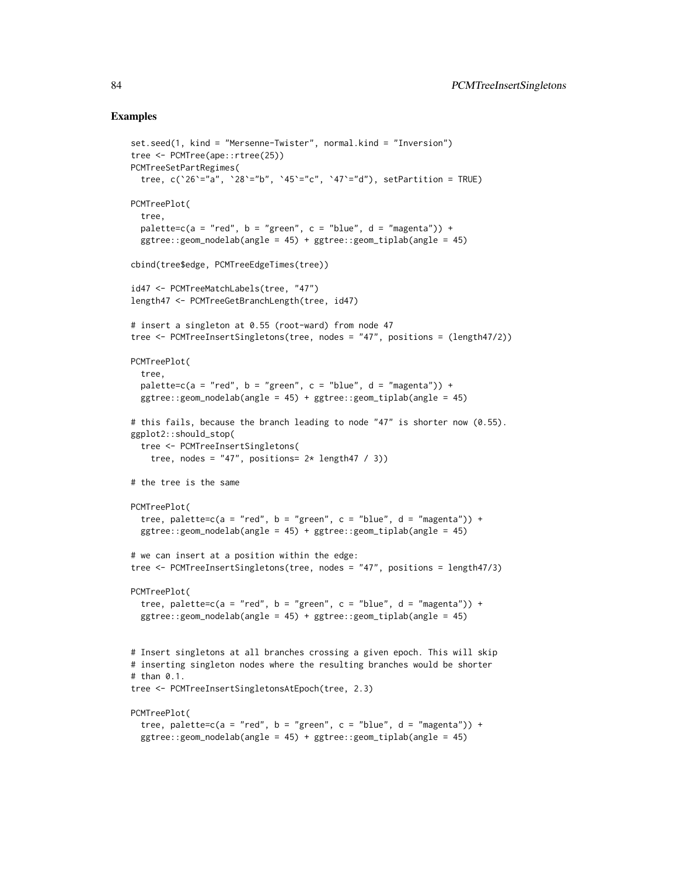```
set.seed(1, kind = "Mersenne-Twister", normal.kind = "Inversion")
tree <- PCMTree(ape::rtree(25))
PCMTreeSetPartRegimes(
  tree, c('26'="a", '28'="b", '45'="c", '47'="d"), setPartition = TRUE)PCMTreePlot(
  tree,
  palette=c(a = "red", b = "green", c = "blue", d = "magenta")) +
  ggtree::geom_nodelab(angle = 45) + ggtree::geom_tiplab(angle = 45)
cbind(tree$edge, PCMTreeEdgeTimes(tree))
id47 <- PCMTreeMatchLabels(tree, "47")
length47 <- PCMTreeGetBranchLength(tree, id47)
# insert a singleton at 0.55 (root-ward) from node 47
tree <- PCMTreeInsertSingletons(tree, nodes = "47", positions = (length47/2))
PCMTreePlot(
  tree,
  palette=c(a = "red", b = "green", c = "blue", d = "magenta")) +
  ggtree::geom_nodelab(angle = 45) + ggtree::geom_tiplab(angle = 45)
# this fails, because the branch leading to node "47" is shorter now (0.55).
ggplot2::should_stop(
  tree <- PCMTreeInsertSingletons(
    tree, nodes = "47", positions= 2* length47 / 3))
# the tree is the same
PCMTreePlot(
  tree, palette=c(a = "red", b = "green", c = "blue", d = "magenta")) +
  ggtree::geom_nodelab(angle = 45) + ggtree::geom_tiplab(angle = 45)
# we can insert at a position within the edge:
tree <- PCMTreeInsertSingletons(tree, nodes = "47", positions = length47/3)
PCMTreePlot(
  tree, palette=c(a = "red", b = "green", c = "blue", d = "magenta")) +
  ggtree::geom_nodelab(angle = 45) + ggtree::geom_tiplab(angle = 45)
# Insert singletons at all branches crossing a given epoch. This will skip
# inserting singleton nodes where the resulting branches would be shorter
# than 0.1.
tree <- PCMTreeInsertSingletonsAtEpoch(tree, 2.3)
PCMTreePlot(
  tree, palette=c(a = "red", b = "green", c = "blue", d = "magenta")) +
  ggtree::geom\_nodelab(angle = 45) + ggtree::geom\_tiplab(angle = 45)
```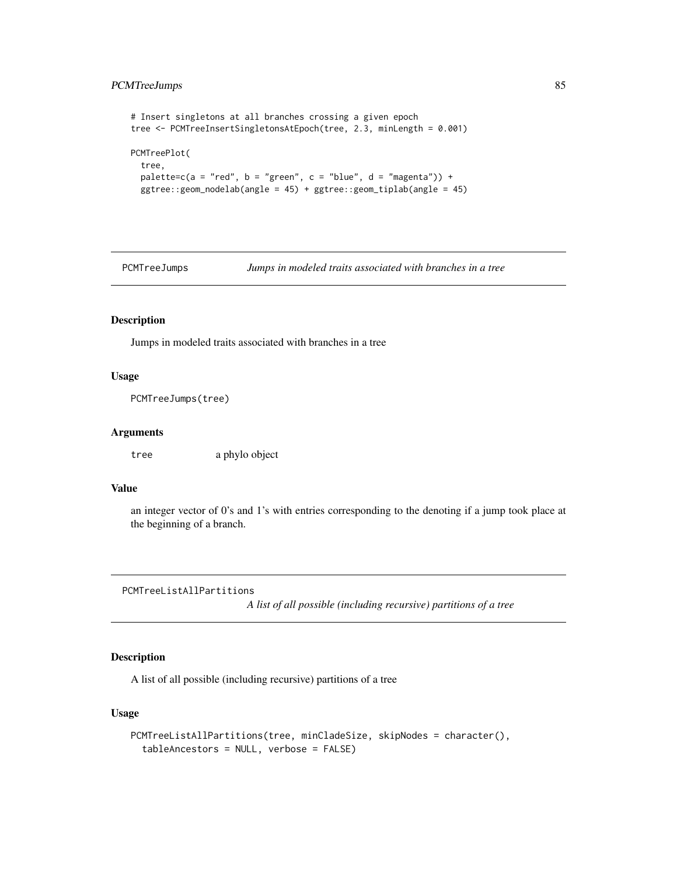# PCMTreeJumps 85

```
# Insert singletons at all branches crossing a given epoch
tree <- PCMTreeInsertSingletonsAtEpoch(tree, 2.3, minLength = 0.001)
PCMTreePlot(
 tree,
 palette=c(a = "red", b = "green", c = "blue", d = "magenta")) +
 ggtree::geom_nodelab(angle = 45) + ggtree::geom_tiplab(angle = 45)
```
PCMTreeJumps *Jumps in modeled traits associated with branches in a tree*

### Description

Jumps in modeled traits associated with branches in a tree

### Usage

```
PCMTreeJumps(tree)
```
## Arguments

tree a phylo object

## Value

an integer vector of 0's and 1's with entries corresponding to the denoting if a jump took place at the beginning of a branch.

PCMTreeListAllPartitions

*A list of all possible (including recursive) partitions of a tree*

# Description

A list of all possible (including recursive) partitions of a tree

### Usage

```
PCMTreeListAllPartitions(tree, minCladeSize, skipNodes = character(),
  tableAncestors = NULL, verbose = FALSE)
```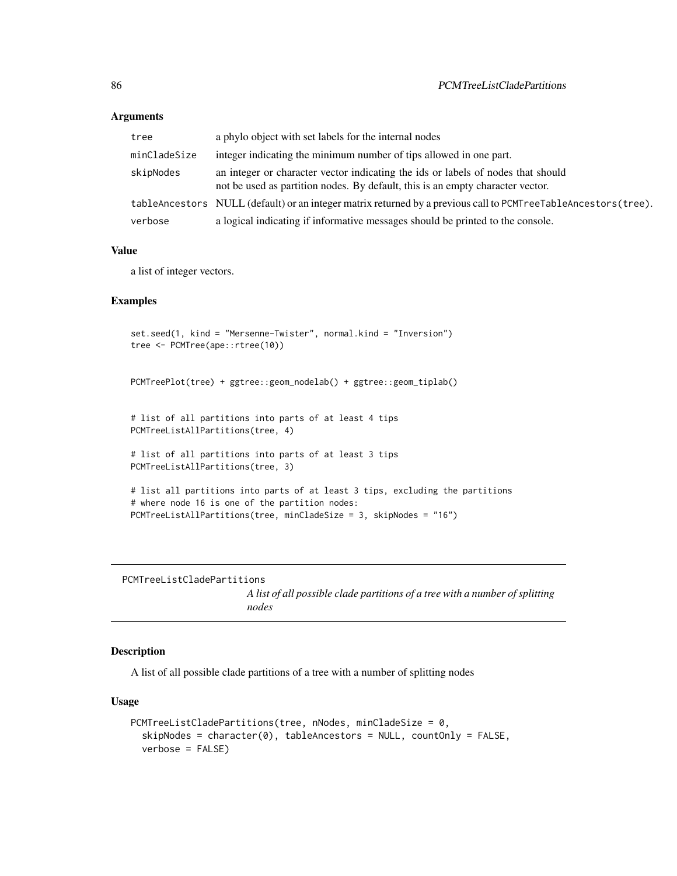### Arguments

| tree         | a phylo object with set labels for the internal nodes                                                                                                              |
|--------------|--------------------------------------------------------------------------------------------------------------------------------------------------------------------|
| minCladeSize | integer indicating the minimum number of tips allowed in one part.                                                                                                 |
| skipNodes    | an integer or character vector indicating the ids or labels of nodes that should<br>not be used as partition nodes. By default, this is an empty character vector. |
|              | tableAncestors NULL (default) or an integer matrix returned by a previous call to PCMTreeTableAncestors(tree).                                                     |
| verbose      | a logical indicating if informative messages should be printed to the console.                                                                                     |

### Value

a list of integer vectors.

### Examples

```
set.seed(1, kind = "Mersenne-Twister", normal.kind = "Inversion")
tree <- PCMTree(ape::rtree(10))
PCMTreePlot(tree) + ggtree::geom_nodelab() + ggtree::geom_tiplab()
# list of all partitions into parts of at least 4 tips
PCMTreeListAllPartitions(tree, 4)
# list of all partitions into parts of at least 3 tips
PCMTreeListAllPartitions(tree, 3)
# list all partitions into parts of at least 3 tips, excluding the partitions
# where node 16 is one of the partition nodes:
PCMTreeListAllPartitions(tree, minCladeSize = 3, skipNodes = "16")
```
PCMTreeListCladePartitions

*A list of all possible clade partitions of a tree with a number of splitting nodes*

## Description

A list of all possible clade partitions of a tree with a number of splitting nodes

### Usage

```
PCMTreeListCladePartitions(tree, nNodes, minCladeSize = 0,
  skipNodes = character(0), tableAncestors = NULL, countOnly = FALSE,
  verbose = FALSE)
```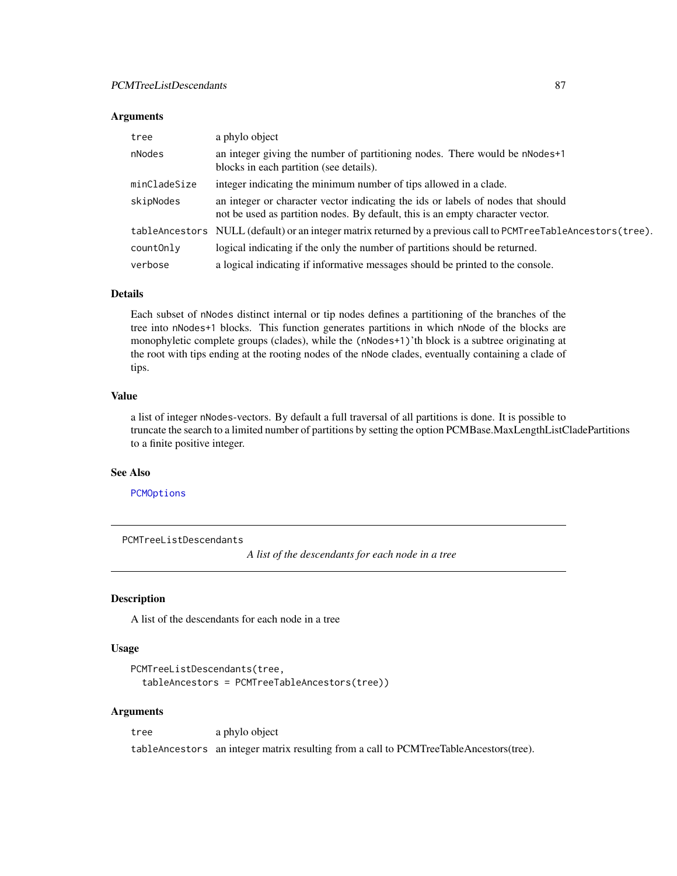### Arguments

| tree         | a phylo object                                                                                                                                                     |
|--------------|--------------------------------------------------------------------------------------------------------------------------------------------------------------------|
| nNodes       | an integer giving the number of partitioning nodes. There would be nNodes+1<br>blocks in each partition (see details).                                             |
| minCladeSize | integer indicating the minimum number of tips allowed in a clade.                                                                                                  |
| skipNodes    | an integer or character vector indicating the ids or labels of nodes that should<br>not be used as partition nodes. By default, this is an empty character vector. |
|              | tableAncestors NULL (default) or an integer matrix returned by a previous call to PCMTreeTableAncestors(tree).                                                     |
| countOnly    | logical indicating if the only the number of partitions should be returned.                                                                                        |
| verbose      | a logical indicating if informative messages should be printed to the console.                                                                                     |

## Details

Each subset of nNodes distinct internal or tip nodes defines a partitioning of the branches of the tree into nNodes+1 blocks. This function generates partitions in which nNode of the blocks are monophyletic complete groups (clades), while the (nNodes+1)'th block is a subtree originating at the root with tips ending at the rooting nodes of the nNode clades, eventually containing a clade of tips.

## Value

a list of integer nNodes-vectors. By default a full traversal of all partitions is done. It is possible to truncate the search to a limited number of partitions by setting the option PCMBase.MaxLengthListCladePartitions to a finite positive integer.

### See Also

[PCMOptions](#page-42-0)

PCMTreeListDescendants

*A list of the descendants for each node in a tree*

### Description

A list of the descendants for each node in a tree

### Usage

```
PCMTreeListDescendants(tree,
  tableAncestors = PCMTreeTableAncestors(tree))
```
### Arguments

tree a phylo object tableAncestors an integer matrix resulting from a call to PCMTreeTableAncestors(tree).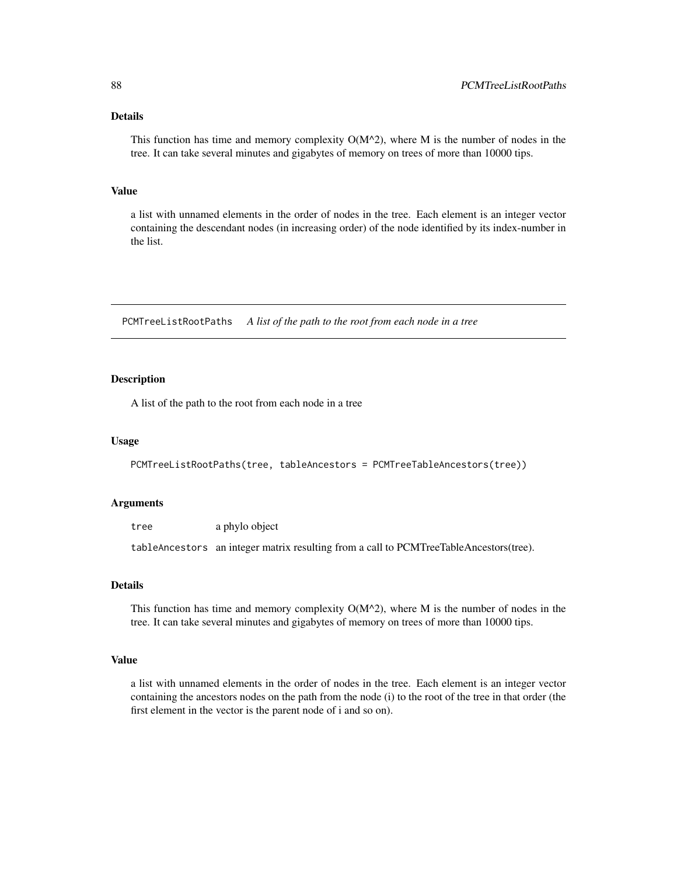## Details

This function has time and memory complexity  $O(M^2)$ , where M is the number of nodes in the tree. It can take several minutes and gigabytes of memory on trees of more than 10000 tips.

# Value

a list with unnamed elements in the order of nodes in the tree. Each element is an integer vector containing the descendant nodes (in increasing order) of the node identified by its index-number in the list.

PCMTreeListRootPaths *A list of the path to the root from each node in a tree*

### Description

A list of the path to the root from each node in a tree

#### Usage

PCMTreeListRootPaths(tree, tableAncestors = PCMTreeTableAncestors(tree))

### Arguments

tree a phylo object

tableAncestors an integer matrix resulting from a call to PCMTreeTableAncestors(tree).

### Details

This function has time and memory complexity  $O(M^2)$ , where M is the number of nodes in the tree. It can take several minutes and gigabytes of memory on trees of more than 10000 tips.

#### Value

a list with unnamed elements in the order of nodes in the tree. Each element is an integer vector containing the ancestors nodes on the path from the node (i) to the root of the tree in that order (the first element in the vector is the parent node of i and so on).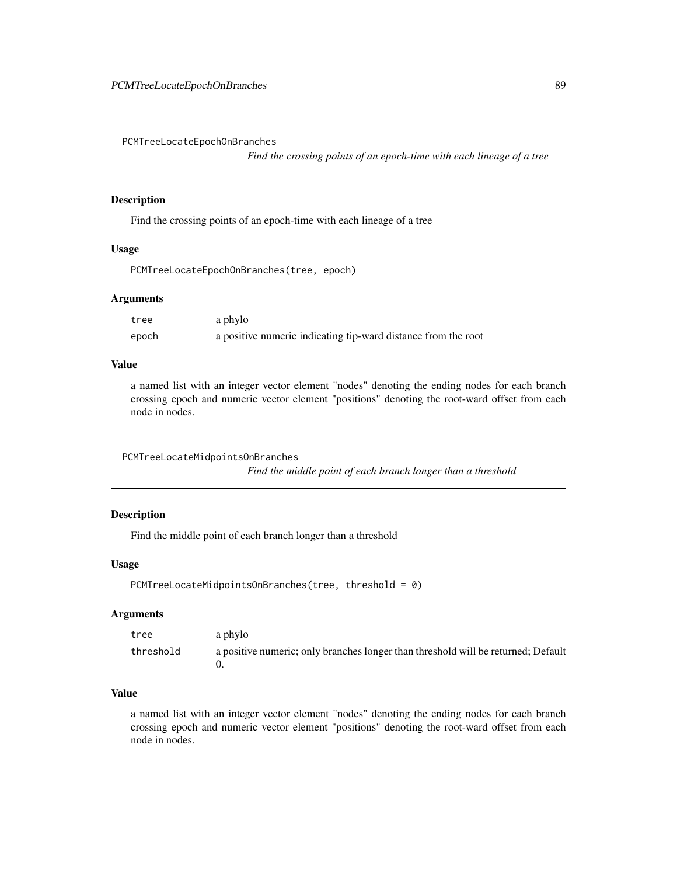<span id="page-88-0"></span>PCMTreeLocateEpochOnBranches

*Find the crossing points of an epoch-time with each lineage of a tree*

## Description

Find the crossing points of an epoch-time with each lineage of a tree

# Usage

```
PCMTreeLocateEpochOnBranches(tree, epoch)
```
# Arguments

| tree  | a phylo                                                       |
|-------|---------------------------------------------------------------|
| epoch | a positive numeric indicating tip-ward distance from the root |

### Value

a named list with an integer vector element "nodes" denoting the ending nodes for each branch crossing epoch and numeric vector element "positions" denoting the root-ward offset from each node in nodes.

<span id="page-88-1"></span>PCMTreeLocateMidpointsOnBranches

*Find the middle point of each branch longer than a threshold*

## Description

Find the middle point of each branch longer than a threshold

# Usage

```
PCMTreeLocateMidpointsOnBranches(tree, threshold = 0)
```
## Arguments

| tree      | a phylo                                                                           |
|-----------|-----------------------------------------------------------------------------------|
| threshold | a positive numeric; only branches longer than threshold will be returned; Default |

# Value

a named list with an integer vector element "nodes" denoting the ending nodes for each branch crossing epoch and numeric vector element "positions" denoting the root-ward offset from each node in nodes.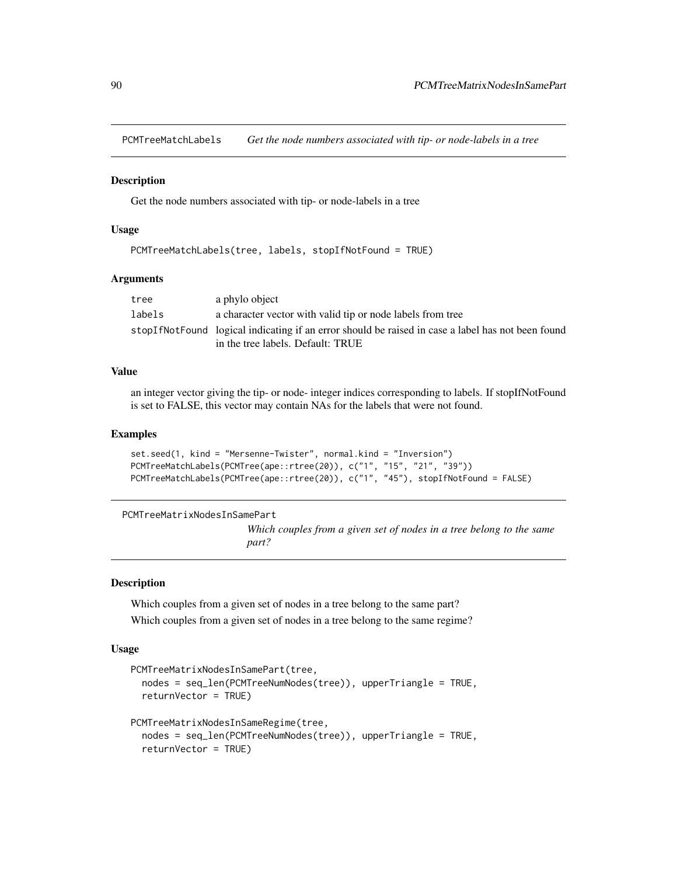PCMTreeMatchLabels *Get the node numbers associated with tip- or node-labels in a tree*

### **Description**

Get the node numbers associated with tip- or node-labels in a tree

### Usage

```
PCMTreeMatchLabels(tree, labels, stopIfNotFound = TRUE)
```
### Arguments

| tree   | a phylo object                                                                                       |
|--------|------------------------------------------------------------------------------------------------------|
| labels | a character vector with valid tip or node labels from tree                                           |
|        | stop If Not Found logical indicating if an error should be raised in case a label has not been found |
|        | in the tree labels. Default: TRUE                                                                    |

## Value

an integer vector giving the tip- or node- integer indices corresponding to labels. If stopIfNotFound is set to FALSE, this vector may contain NAs for the labels that were not found.

#### Examples

```
set.seed(1, kind = "Mersenne-Twister", normal.kind = "Inversion")
PCMTreeMatchLabels(PCMTree(ape::rtree(20)), c("1", "15", "21", "39"))
PCMTreeMatchLabels(PCMTree(ape::rtree(20)), c("1", "45"), stopIfNotFound = FALSE)
```
PCMTreeMatrixNodesInSamePart

*Which couples from a given set of nodes in a tree belong to the same part?*

### Description

Which couples from a given set of nodes in a tree belong to the same part? Which couples from a given set of nodes in a tree belong to the same regime?

#### Usage

```
PCMTreeMatrixNodesInSamePart(tree,
  nodes = seq_len(PCMTreeNumNodes(tree)), upperTriangle = TRUE,
  returnVector = TRUE)
PCMTreeMatrixNodesInSameRegime(tree,
  nodes = seq_len(PCMTreeNumNodes(tree)), upperTriangle = TRUE,
  returnVector = TRUE)
```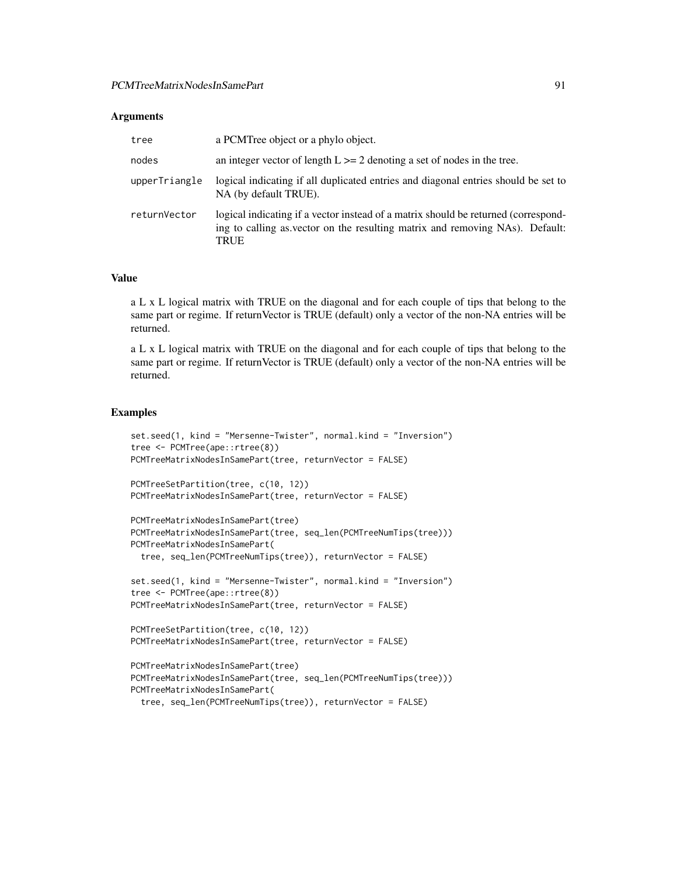#### Arguments

| tree          | a PCMTree object or a phylo object.                                                                                                                                        |
|---------------|----------------------------------------------------------------------------------------------------------------------------------------------------------------------------|
| nodes         | an integer vector of length $L \ge 2$ denoting a set of nodes in the tree.                                                                                                 |
| upperTriangle | logical indicating if all duplicated entries and diagonal entries should be set to<br>NA (by default TRUE).                                                                |
| returnVector  | logical indicating if a vector instead of a matrix should be returned (correspond-<br>ing to calling as vector on the resulting matrix and removing NAs). Default:<br>TRUE |

#### Value

a L x L logical matrix with TRUE on the diagonal and for each couple of tips that belong to the same part or regime. If returnVector is TRUE (default) only a vector of the non-NA entries will be returned.

a L x L logical matrix with TRUE on the diagonal and for each couple of tips that belong to the same part or regime. If returnVector is TRUE (default) only a vector of the non-NA entries will be returned.

```
set.seed(1, kind = "Mersenne-Twister", normal.kind = "Inversion")
tree <- PCMTree(ape::rtree(8))
PCMTreeMatrixNodesInSamePart(tree, returnVector = FALSE)
PCMTreeSetPartition(tree, c(10, 12))
PCMTreeMatrixNodesInSamePart(tree, returnVector = FALSE)
PCMTreeMatrixNodesInSamePart(tree)
PCMTreeMatrixNodesInSamePart(tree, seq_len(PCMTreeNumTips(tree)))
PCMTreeMatrixNodesInSamePart(
  tree, seq_len(PCMTreeNumTips(tree)), returnVector = FALSE)
set.seed(1, kind = "Mersenne-Twister", normal.kind = "Inversion")
tree <- PCMTree(ape::rtree(8))
PCMTreeMatrixNodesInSamePart(tree, returnVector = FALSE)
PCMTreeSetPartition(tree, c(10, 12))
PCMTreeMatrixNodesInSamePart(tree, returnVector = FALSE)
```

```
PCMTreeMatrixNodesInSamePart(tree)
PCMTreeMatrixNodesInSamePart(tree, seq_len(PCMTreeNumTips(tree)))
PCMTreeMatrixNodesInSamePart(
  tree, seq_len(PCMTreeNumTips(tree)), returnVector = FALSE)
```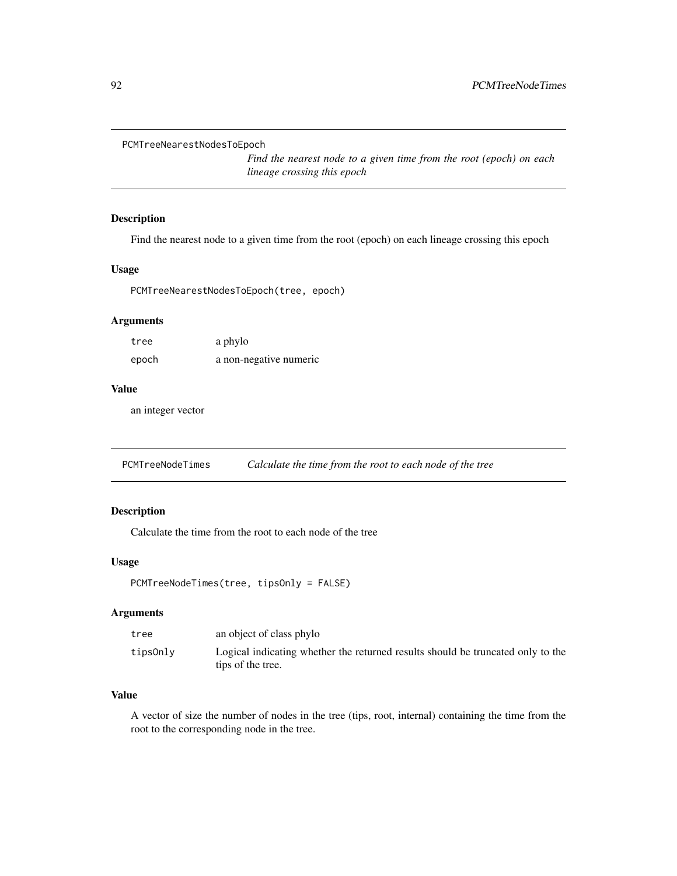```
PCMTreeNearestNodesToEpoch
```
*Find the nearest node to a given time from the root (epoch) on each lineage crossing this epoch*

# Description

Find the nearest node to a given time from the root (epoch) on each lineage crossing this epoch

# Usage

PCMTreeNearestNodesToEpoch(tree, epoch)

## Arguments

| tree  | a phylo                |
|-------|------------------------|
| epoch | a non-negative numeric |

# Value

an integer vector

PCMTreeNodeTimes *Calculate the time from the root to each node of the tree*

# Description

Calculate the time from the root to each node of the tree

### Usage

```
PCMTreeNodeTimes(tree, tipsOnly = FALSE)
```
### Arguments

| tree     | an object of class phylo                                                                             |
|----------|------------------------------------------------------------------------------------------------------|
| tipsOnly | Logical indicating whether the returned results should be truncated only to the<br>tips of the tree. |

# Value

A vector of size the number of nodes in the tree (tips, root, internal) containing the time from the root to the corresponding node in the tree.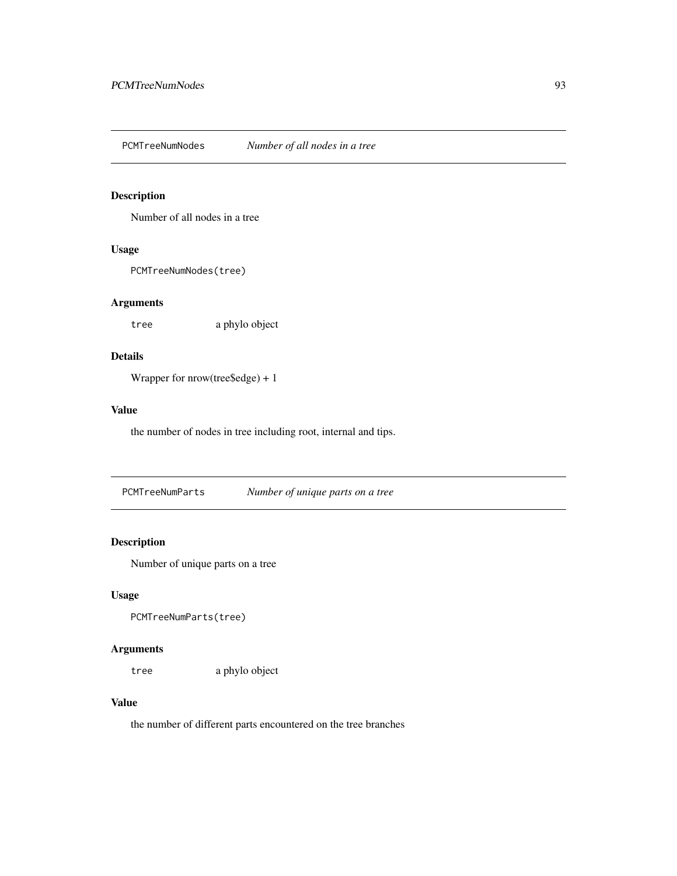PCMTreeNumNodes *Number of all nodes in a tree*

## Description

Number of all nodes in a tree

# Usage

PCMTreeNumNodes(tree)

# Arguments

tree a phylo object

# Details

Wrapper for nrow(tree\$edge) + 1

# Value

the number of nodes in tree including root, internal and tips.

PCMTreeNumParts *Number of unique parts on a tree*

# Description

Number of unique parts on a tree

## Usage

PCMTreeNumParts(tree)

# Arguments

tree a phylo object

# Value

the number of different parts encountered on the tree branches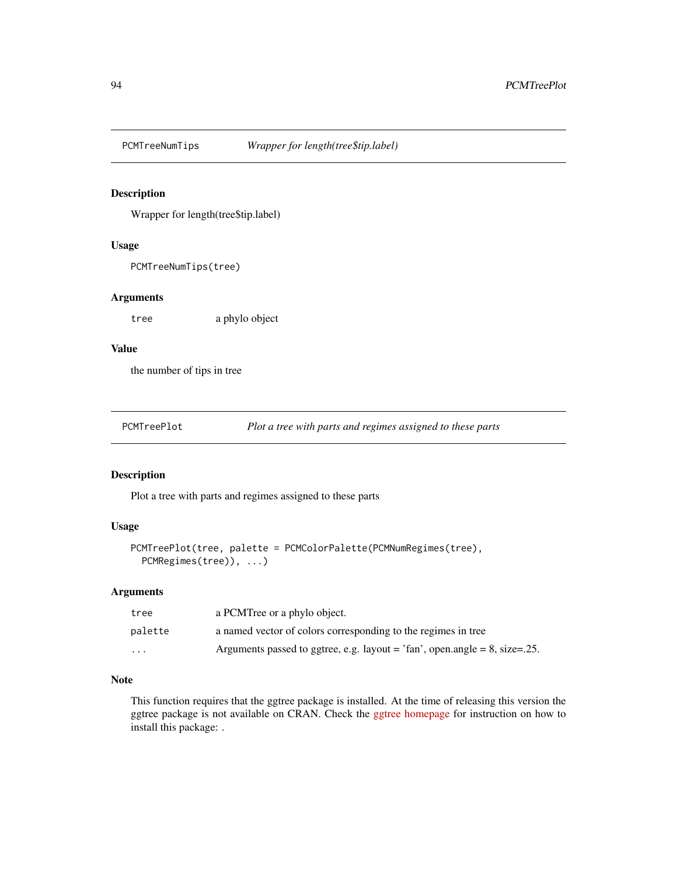# Description

Wrapper for length(tree\$tip.label)

## Usage

PCMTreeNumTips(tree)

### Arguments

tree a phylo object

# Value

the number of tips in tree

| PCMTreePlot | Plot a tree with parts and regimes assigned to these parts |  |  |
|-------------|------------------------------------------------------------|--|--|
|-------------|------------------------------------------------------------|--|--|

# Description

Plot a tree with parts and regimes assigned to these parts

# Usage

```
PCMTreePlot(tree, palette = PCMColorPalette(PCMNumRegimes(tree),
 PCMRegimes(tree)), ...)
```
### Arguments

| tree     | a PCMTree or a phylo object.                                                       |
|----------|------------------------------------------------------------------------------------|
| palette  | a named vector of colors corresponding to the regimes in tree                      |
| $\cdots$ | Arguments passed to ggtree, e.g. layout = $\text{tan}$ , open.angle = 8, size=.25. |

### Note

This function requires that the ggtree package is installed. At the time of releasing this version the ggtree package is not available on CRAN. Check the [ggtree homepage](https://guangchuangyu.github.io/software/ggtree/) for instruction on how to install this package: .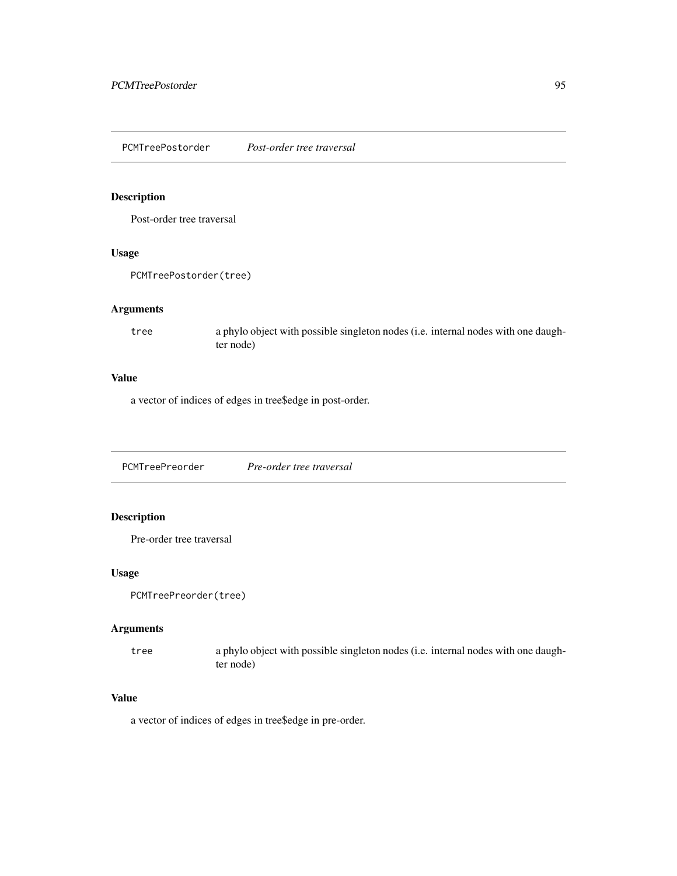PCMTreePostorder *Post-order tree traversal*

### Description

Post-order tree traversal

### Usage

PCMTreePostorder(tree)

# Arguments

tree a phylo object with possible singleton nodes (i.e. internal nodes with one daughter node)

# Value

a vector of indices of edges in tree\$edge in post-order.

PCMTreePreorder *Pre-order tree traversal*

# Description

Pre-order tree traversal

## Usage

```
PCMTreePreorder(tree)
```
### Arguments

tree a phylo object with possible singleton nodes (i.e. internal nodes with one daughter node)

## Value

a vector of indices of edges in tree\$edge in pre-order.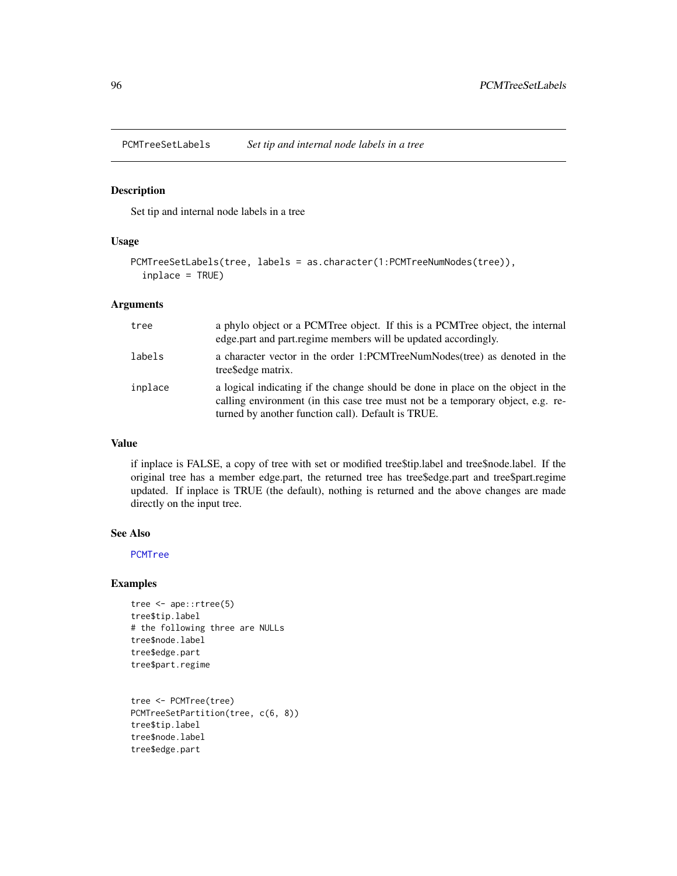## Description

Set tip and internal node labels in a tree

### Usage

```
PCMTreeSetLabels(tree, labels = as.character(1:PCMTreeNumNodes(tree)),
  inplace = TRUE)
```
## Arguments

| tree    | a phylo object or a PCMTree object. If this is a PCMTree object, the internal<br>edge.part and part.regime members will be updated accordingly.                                                                          |
|---------|--------------------------------------------------------------------------------------------------------------------------------------------------------------------------------------------------------------------------|
| labels  | a character vector in the order 1:PCMTreeNumNodes(tree) as denoted in the<br>tree Sedge matrix.                                                                                                                          |
| inplace | a logical indicating if the change should be done in place on the object in the<br>calling environment (in this case tree must not be a temporary object, e.g. re-<br>turned by another function call). Default is TRUE. |

## Value

if inplace is FALSE, a copy of tree with set or modified tree\$tip.label and tree\$node.label. If the original tree has a member edge.part, the returned tree has tree\$edge.part and tree\$part.regime updated. If inplace is TRUE (the default), nothing is returned and the above changes are made directly on the input tree.

#### See Also

[PCMTree](#page-66-0)

```
tree <- ape::rtree(5)
tree$tip.label
# the following three are NULLs
tree$node.label
tree$edge.part
tree$part.regime
```

```
tree <- PCMTree(tree)
PCMTreeSetPartition(tree, c(6, 8))
tree$tip.label
tree$node.label
tree$edge.part
```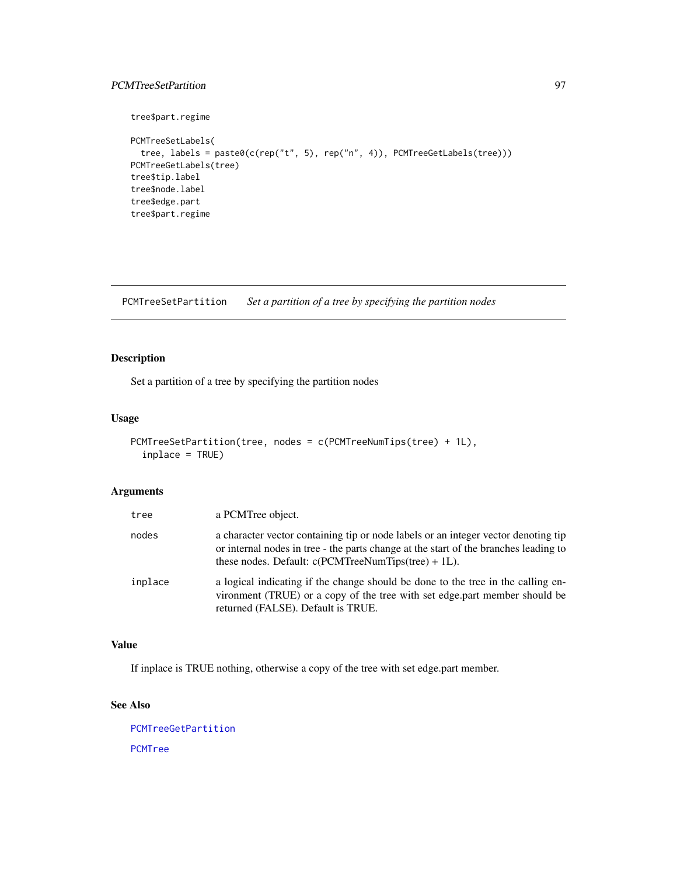# PCMTreeSetPartition 97

```
tree$part.regime
PCMTreeSetLabels(
  tree, labels = paste0(c(rep("t", 5), rep("n", 4)), PCMTreeGetLabels(tree)))
PCMTreeGetLabels(tree)
tree$tip.label
tree$node.label
tree$edge.part
tree$part.regime
```
<span id="page-96-0"></span>PCMTreeSetPartition *Set a partition of a tree by specifying the partition nodes*

# Description

Set a partition of a tree by specifying the partition nodes

# Usage

```
PCMTreeSetPartition(tree, nodes = c(PCMTreeNumTips(tree) + 1L),
  inplace = TRUE)
```
# Arguments

| tree    | a PCMTree object.                                                                                                                                                                                                                    |
|---------|--------------------------------------------------------------------------------------------------------------------------------------------------------------------------------------------------------------------------------------|
| nodes   | a character vector containing tip or node labels or an integer vector denoting tip<br>or internal nodes in tree - the parts change at the start of the branches leading to<br>these nodes. Default: $c$ (PCMTreeNumTips(tree) + 1L). |
| inplace | a logical indicating if the change should be done to the tree in the calling en-<br>vironment (TRUE) or a copy of the tree with set edge part member should be<br>returned (FALSE). Default is TRUE.                                 |

### Value

If inplace is TRUE nothing, otherwise a copy of the tree with set edge.part member.

# See Also

[PCMTreeGetPartition](#page-77-1) [PCMTree](#page-66-0)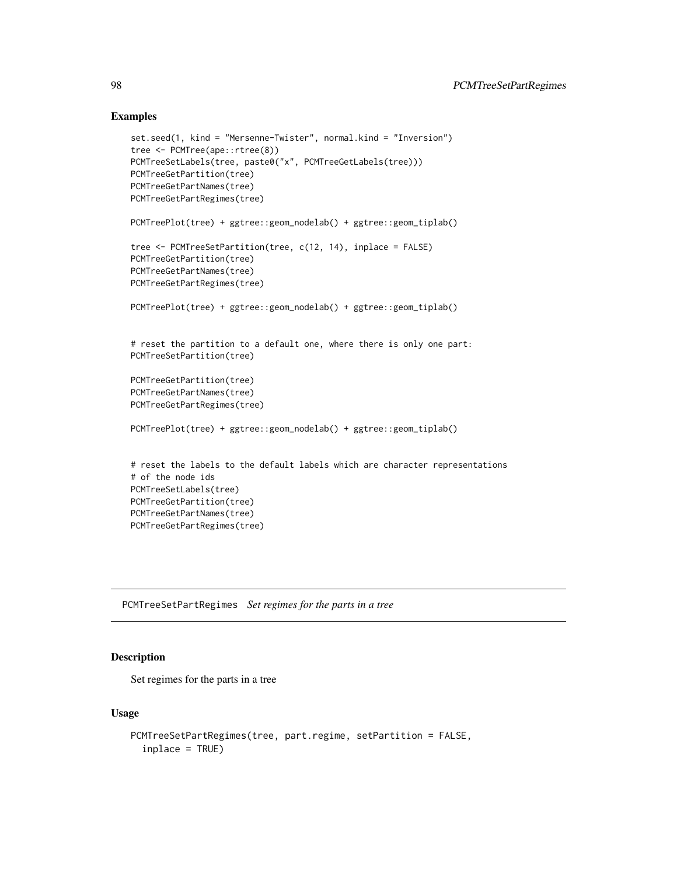### Examples

```
set.seed(1, kind = "Mersenne-Twister", normal.kind = "Inversion")
tree <- PCMTree(ape::rtree(8))
PCMTreeSetLabels(tree, paste0("x", PCMTreeGetLabels(tree)))
PCMTreeGetPartition(tree)
PCMTreeGetPartNames(tree)
PCMTreeGetPartRegimes(tree)
PCMTreePlot(tree) + ggtree::geom_nodelab() + ggtree::geom_tiplab()
tree <- PCMTreeSetPartition(tree, c(12, 14), inplace = FALSE)
PCMTreeGetPartition(tree)
PCMTreeGetPartNames(tree)
PCMTreeGetPartRegimes(tree)
PCMTreePlot(tree) + ggtree::geom_nodelab() + ggtree::geom_tiplab()
# reset the partition to a default one, where there is only one part:
PCMTreeSetPartition(tree)
PCMTreeGetPartition(tree)
PCMTreeGetPartNames(tree)
PCMTreeGetPartRegimes(tree)
PCMTreePlot(tree) + ggtree::geom_nodelab() + ggtree::geom_tiplab()
# reset the labels to the default labels which are character representations
# of the node ids
PCMTreeSetLabels(tree)
PCMTreeGetPartition(tree)
PCMTreeGetPartNames(tree)
PCMTreeGetPartRegimes(tree)
```
<span id="page-97-0"></span>PCMTreeSetPartRegimes *Set regimes for the parts in a tree*

# Description

Set regimes for the parts in a tree

### Usage

```
PCMTreeSetPartRegimes(tree, part.regime, setPartition = FALSE,
  inplace = TRUE)
```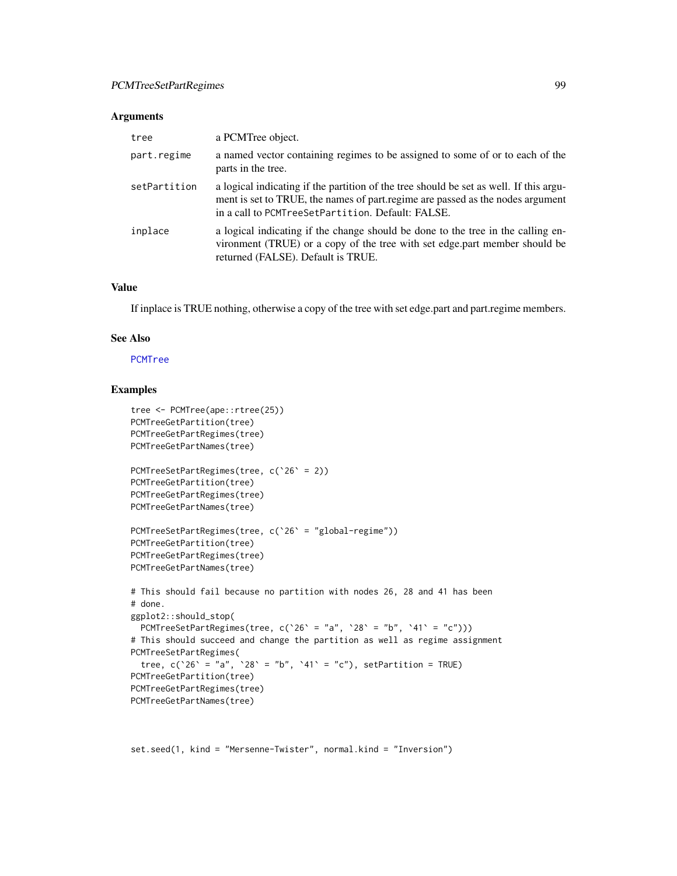### Arguments

| tree         | a PCMTree object.                                                                                                                                                                                                             |
|--------------|-------------------------------------------------------------------------------------------------------------------------------------------------------------------------------------------------------------------------------|
| part.regime  | a named vector containing regimes to be assigned to some of or to each of the<br>parts in the tree.                                                                                                                           |
| setPartition | a logical indicating if the partition of the tree should be set as well. If this argu-<br>ment is set to TRUE, the names of part regime are passed as the nodes argument<br>in a call to PCMTreeSetPartition. Default: FALSE. |
| inplace      | a logical indicating if the change should be done to the tree in the calling en-<br>vironment (TRUE) or a copy of the tree with set edge part member should be<br>returned (FALSE). Default is TRUE.                          |

## Value

If inplace is TRUE nothing, otherwise a copy of the tree with set edge.part and part.regime members.

### See Also

### [PCMTree](#page-66-0)

# Examples

```
tree <- PCMTree(ape::rtree(25))
PCMTreeGetPartition(tree)
PCMTreeGetPartRegimes(tree)
PCMTreeGetPartNames(tree)
PCMTreeSetPartRegimes(tree, c(`26` = 2))
PCMTreeGetPartition(tree)
PCMTreeGetPartRegimes(tree)
PCMTreeGetPartNames(tree)
PCMTreeSetPartRegimes(tree, c(`26` = "global-regime"))
PCMTreeGetPartition(tree)
PCMTreeGetPartRegimes(tree)
PCMTreeGetPartNames(tree)
# This should fail because no partition with nodes 26, 28 and 41 has been
# done.
ggplot2::should_stop(
 PCMTreeSetPartRegimes(tree, c('26' = "a", '28' = "b", '41' = "c")))
# This should succeed and change the partition as well as regime assignment
PCMTreeSetPartRegimes(
  tree, c('26) = "a", '28' = "b", '41' = "c"), setPartition = TRUE)PCMTreeGetPartition(tree)
PCMTreeGetPartRegimes(tree)
PCMTreeGetPartNames(tree)
```
set.seed(1, kind = "Mersenne-Twister", normal.kind = "Inversion")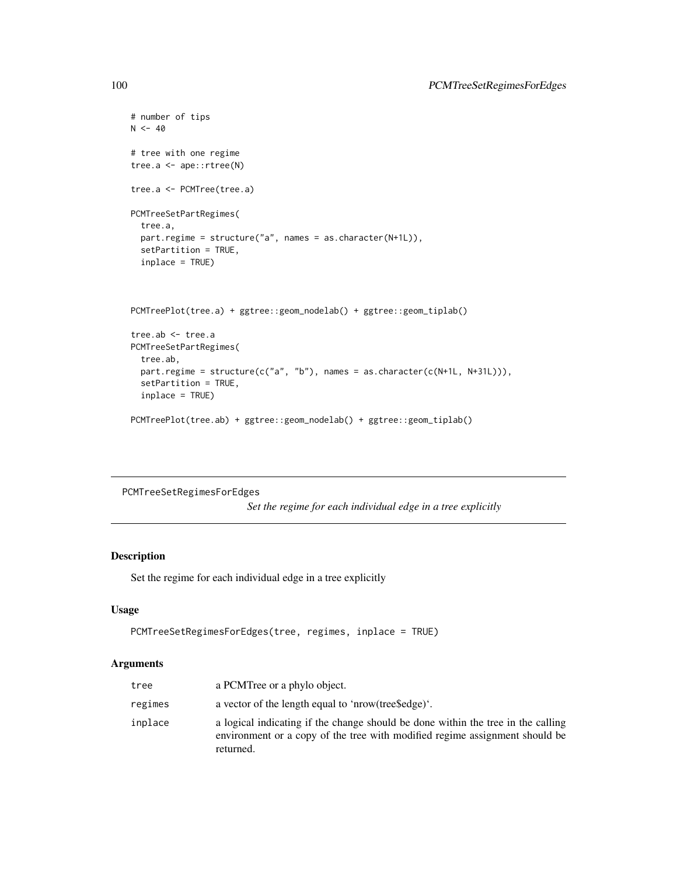```
# number of tips
N < -40# tree with one regime
tree.a <- ape::rtree(N)
tree.a <- PCMTree(tree.a)
PCMTreeSetPartRegimes(
  tree.a,
  part.regime = structure("a", names = as.character(N+1L)),
  setPartition = TRUE,
  inplace = TRUE)
PCMTreePlot(tree.a) + ggtree::geom_nodelab() + ggtree::geom_tiplab()
tree.ab <- tree.a
PCMTreeSetPartRegimes(
  tree.ab,
  part.regime = structure(c("a", "b"), names = as.character(c(N+1L, N+31L))),
  setPartition = TRUE,
  inplace = TRUE)
PCMTreePlot(tree.ab) + ggtree::geom_nodelab() + ggtree::geom_tiplab()
```
PCMTreeSetRegimesForEdges

*Set the regime for each individual edge in a tree explicitly*

# Description

Set the regime for each individual edge in a tree explicitly

### Usage

```
PCMTreeSetRegimesForEdges(tree, regimes, inplace = TRUE)
```
## Arguments

| tree    | a PCMTree or a phylo object.                                                                                                                                                 |
|---------|------------------------------------------------------------------------------------------------------------------------------------------------------------------------------|
| regimes | a vector of the length equal to 'nrow(tree \$edge)'.                                                                                                                         |
| inplace | a logical indicating if the change should be done within the tree in the calling<br>environment or a copy of the tree with modified regime assignment should be<br>returned. |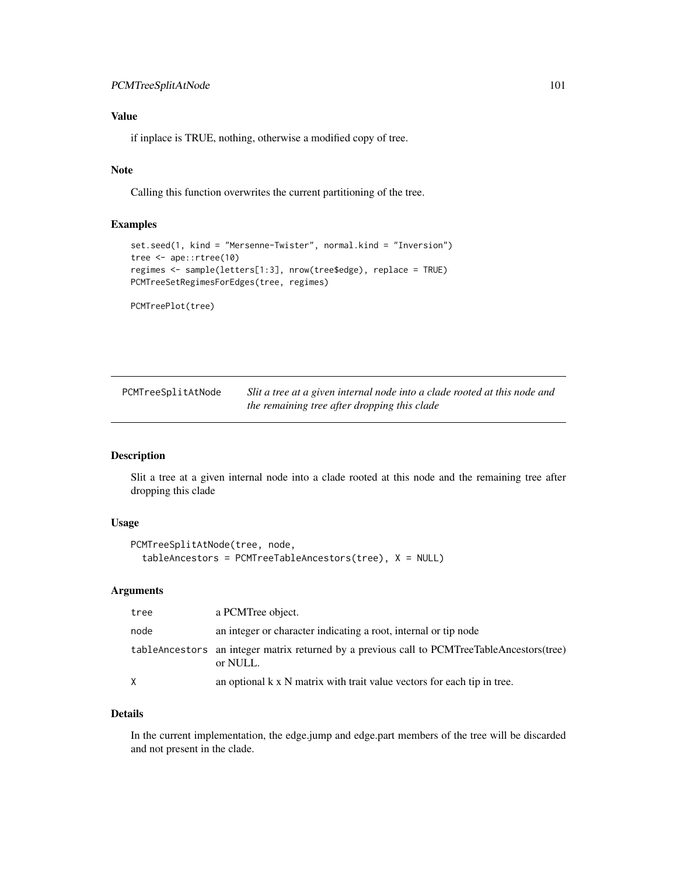# PCMTreeSplitAtNode 101

# Value

if inplace is TRUE, nothing, otherwise a modified copy of tree.

# Note

Calling this function overwrites the current partitioning of the tree.

# Examples

```
set.seed(1, kind = "Mersenne-Twister", normal.kind = "Inversion")
tree <- ape::rtree(10)
regimes <- sample(letters[1:3], nrow(tree$edge), replace = TRUE)
PCMTreeSetRegimesForEdges(tree, regimes)
```

```
PCMTreePlot(tree)
```

| PCMTreeSplitAtNode | Slit a tree at a given internal node into a clade rooted at this node and |
|--------------------|---------------------------------------------------------------------------|
|                    | the remaining tree after dropping this clade                              |

# Description

Slit a tree at a given internal node into a clade rooted at this node and the remaining tree after dropping this clade

# Usage

```
PCMTreeSplitAtNode(tree, node,
  tableAncestors = PCMTreeTableAncestors(tree), X = NULL)
```
## Arguments

| tree | a PCMTree object.                                                                                        |
|------|----------------------------------------------------------------------------------------------------------|
| node | an integer or character indicating a root, internal or tip node                                          |
|      | table Ancestors an integer matrix returned by a previous call to PCMTreeTableAncestors(tree)<br>or NULL. |
| X    | an optional $k \times N$ matrix with trait value vectors for each tip in tree.                           |

## Details

In the current implementation, the edge.jump and edge.part members of the tree will be discarded and not present in the clade.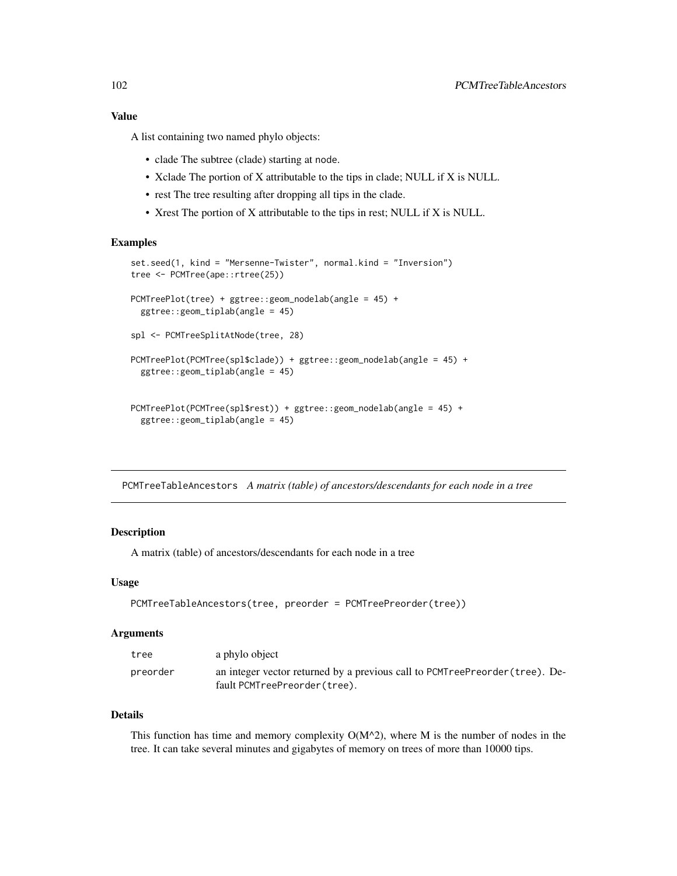## Value

A list containing two named phylo objects:

- clade The subtree (clade) starting at node.
- Xclade The portion of X attributable to the tips in clade; NULL if X is NULL.
- rest The tree resulting after dropping all tips in the clade.
- Xrest The portion of X attributable to the tips in rest; NULL if X is NULL.

# Examples

```
set.seed(1, kind = "Mersenne-Twister", normal.kind = "Inversion")
tree <- PCMTree(ape::rtree(25))
PCMTreePlot(tree) + ggtree::geom_nodelab(angle = 45) +
 ggtree::geom_tiplab(angle = 45)
spl <- PCMTreeSplitAtNode(tree, 28)
PCMTreePlot(PCMTree(spl$clade)) + ggtree::geom_nodelab(angle = 45) +
 ggtree::geom_tiplab(angle = 45)
PCMTreePlot(PCMTree(spl$rest)) + ggtree::geom_nodelab(angle = 45) +
 ggtree::geom_tiplab(angle = 45)
```
PCMTreeTableAncestors *A matrix (table) of ancestors/descendants for each node in a tree*

### Description

A matrix (table) of ancestors/descendants for each node in a tree

### Usage

```
PCMTreeTableAncestors(tree, preorder = PCMTreePreorder(tree))
```
#### Arguments

| tree     | a phylo object                                                                                               |
|----------|--------------------------------------------------------------------------------------------------------------|
| preorder | an integer vector returned by a previous call to PCMTreePreorder (tree). De-<br>fault PCMTreePreorder(tree). |

### Details

This function has time and memory complexity  $O(M^2)$ , where M is the number of nodes in the tree. It can take several minutes and gigabytes of memory on trees of more than 10000 tips.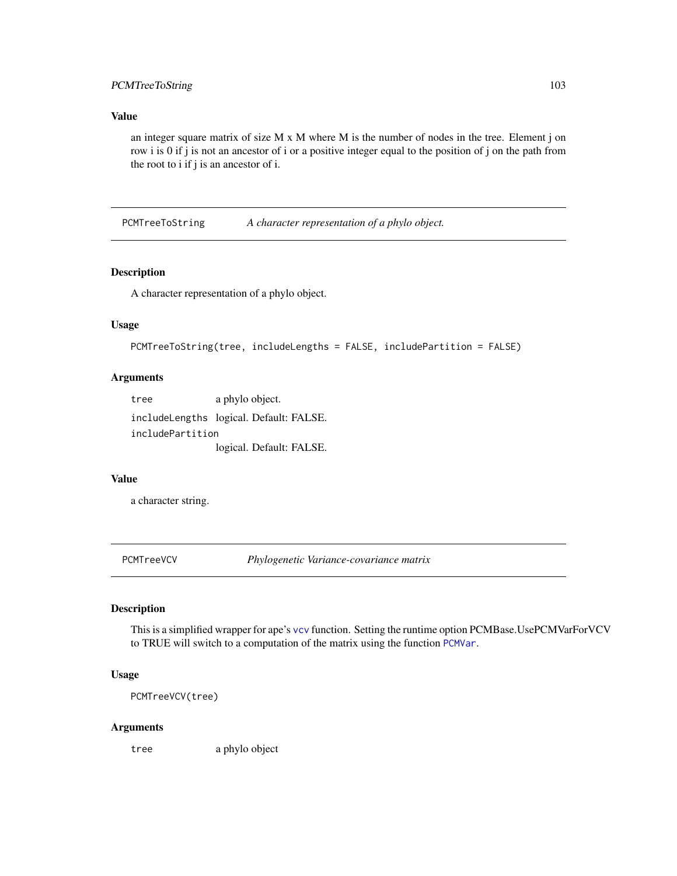# PCMTreeToString 103

### Value

an integer square matrix of size  $M \times M$  where  $M$  is the number of nodes in the tree. Element j on row i is 0 if j is not an ancestor of i or a positive integer equal to the position of j on the path from the root to i if j is an ancestor of i.

PCMTreeToString *A character representation of a phylo object.*

### Description

A character representation of a phylo object.

## Usage

```
PCMTreeToString(tree, includeLengths = FALSE, includePartition = FALSE)
```
### Arguments

tree a phylo object. includeLengths logical. Default: FALSE. includePartition logical. Default: FALSE.

#### Value

a character string.

PCMTreeVCV *Phylogenetic Variance-covariance matrix*

# Description

This is a simplified wrapper for ape's [vcv](#page-0-0) function. Setting the runtime option PCMBase.UsePCMVarForVCV to TRUE will switch to a computation of the matrix using the function [PCMVar](#page-103-0).

# Usage

PCMTreeVCV(tree)

#### Arguments

tree a phylo object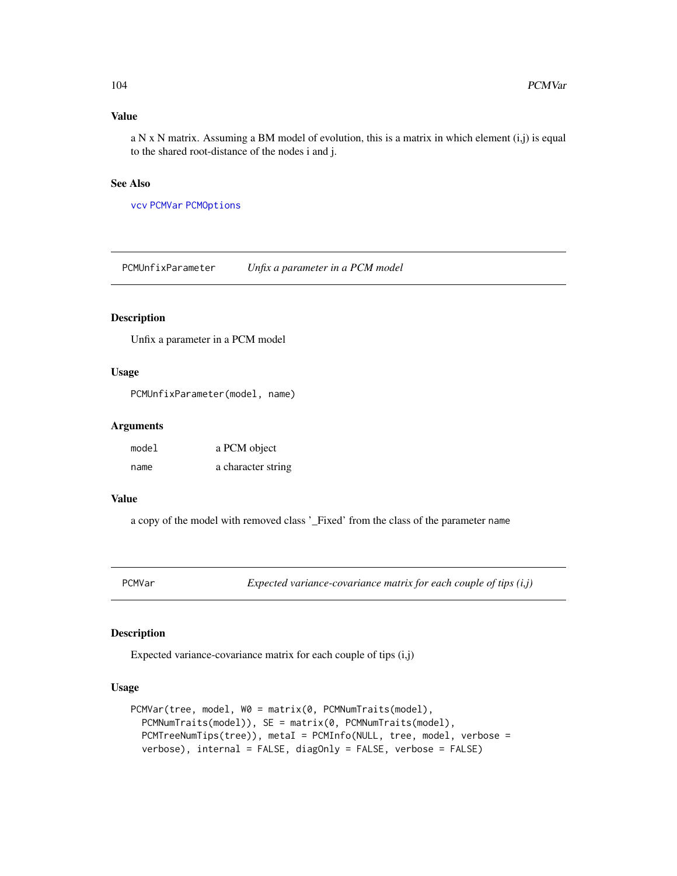### Value

a N x N matrix. Assuming a BM model of evolution, this is a matrix in which element  $(i,j)$  is equal to the shared root-distance of the nodes i and j.

## See Also

[vcv](#page-0-0) [PCMVar](#page-103-0) [PCMOptions](#page-42-0)

PCMUnfixParameter *Unfix a parameter in a PCM model*

## Description

Unfix a parameter in a PCM model

## Usage

PCMUnfixParameter(model, name)

### Arguments

| model | a PCM object       |
|-------|--------------------|
| name  | a character string |

## Value

a copy of the model with removed class '\_Fixed' from the class of the parameter name

<span id="page-103-0"></span>PCMVar *Expected variance-covariance matrix for each couple of tips (i,j)*

# Description

Expected variance-covariance matrix for each couple of tips (i,j)

# Usage

```
PCMVar(tree, model, W0 = matrix(0, PCMNumTraits(model),
 PCMNumTraits(model)), SE = matrix(0, PCMNumTraits(model),
 PCMTreeNumTips(tree)), metaI = PCMInfo(NULL, tree, model, verbose =
  verbose), internal = FALSE, diagOnly = FALSE, verbose = FALSE)
```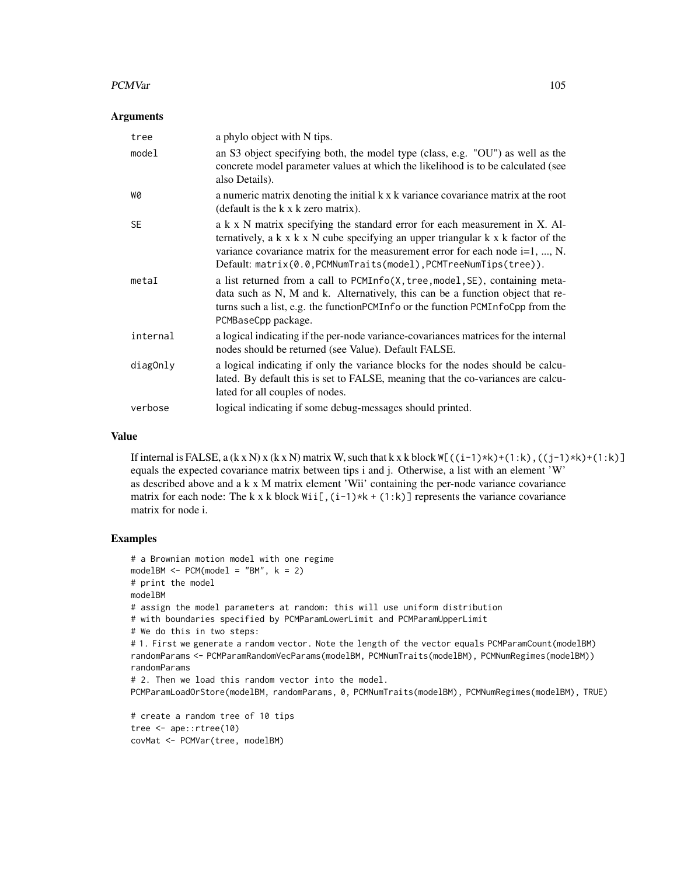### PCMVar 105

### Arguments

| tree      | a phylo object with N tips.                                                                                                                                                                                                                                                                                                                 |
|-----------|---------------------------------------------------------------------------------------------------------------------------------------------------------------------------------------------------------------------------------------------------------------------------------------------------------------------------------------------|
| model     | an S3 object specifying both, the model type (class, e.g. "OU") as well as the<br>concrete model parameter values at which the likelihood is to be calculated (see<br>also Details).                                                                                                                                                        |
| W0        | a numeric matrix denoting the initial k x k variance covariance matrix at the root<br>(default is the k x k zero matrix).                                                                                                                                                                                                                   |
| <b>SE</b> | a k x N matrix specifying the standard error for each measurement in X. Al-<br>ternatively, a $k \times k \times N$ cube specifying an upper triangular $k \times k$ factor of the<br>variance covariance matrix for the measurement error for each node $i=1, , N$ .<br>$Default: matrix(0.0, PCMNumTraits(model), PCMTreeNumTips(tree)).$ |
| metaI     | a list returned from a call to PCMInfo(X, tree, model, SE), containing meta-<br>data such as N, M and k. Alternatively, this can be a function object that re-<br>turns such a list, e.g. the function PCM Info or the function PCM InfoCpp from the<br>PCMBaseCpp package.                                                                 |
| internal  | a logical indicating if the per-node variance-covariances matrices for the internal<br>nodes should be returned (see Value). Default FALSE.                                                                                                                                                                                                 |
| diagOnly  | a logical indicating if only the variance blocks for the nodes should be calcu-<br>lated. By default this is set to FALSE, meaning that the co-variances are calcu-<br>lated for all couples of nodes.                                                                                                                                      |
| verbose   | logical indicating if some debug-messages should printed.                                                                                                                                                                                                                                                                                   |

### Value

If internal is FALSE, a  $(k \times N) \times (k \times N)$  matrix W, such that  $k \times k$  block  $W[(i-1)\times k)+(1:k)$ ,  $((j-1)\times k)+(1:k)$ equals the expected covariance matrix between tips i and j. Otherwise, a list with an element 'W' as described above and a k x M matrix element 'Wii' containing the per-node variance covariance matrix for each node: The k x k block  $Wii[$ ,  $(i-1)*k + (1:k)$ ] represents the variance covariance matrix for node i.

```
# a Brownian motion model with one regime
modelBM < - PCM(model = "BM", k = 2)# print the model
modelBM
# assign the model parameters at random: this will use uniform distribution
# with boundaries specified by PCMParamLowerLimit and PCMParamUpperLimit
# We do this in two steps:
# 1. First we generate a random vector. Note the length of the vector equals PCMParamCount(modelBM)
randomParams <- PCMParamRandomVecParams(modelBM, PCMNumTraits(modelBM), PCMNumRegimes(modelBM))
randomParams
# 2. Then we load this random vector into the model.
PCMParamLoadOrStore(modelBM, randomParams, 0, PCMNumTraits(modelBM), PCMNumRegimes(modelBM), TRUE)
# create a random tree of 10 tips
tree <- ape::rtree(10)
covMat <- PCMVar(tree, modelBM)
```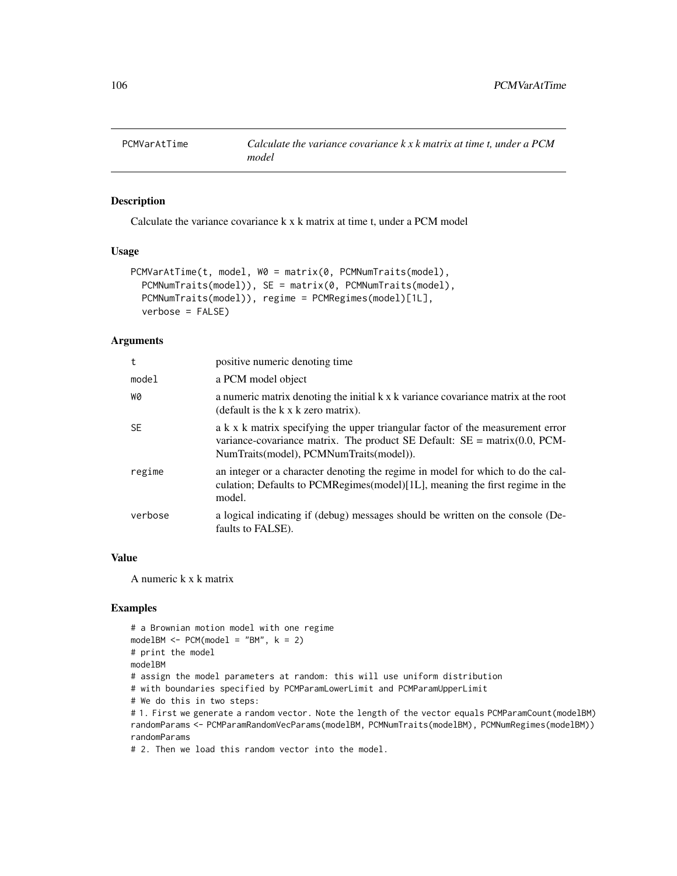# Description

Calculate the variance covariance k x k matrix at time t, under a PCM model

### Usage

```
PCMVarAtTime(t, model, W0 = matrix(0, PCMNumTraits(model),
 PCMNumTraits(model)), SE = matrix(0, PCMNumTraits(model),
 PCMNumTraits(model)), regime = PCMRegimes(model)[1L],
  verbose = FALSE)
```
### Arguments

| t         | positive numeric denoting time                                                                                                                                                                                                                           |
|-----------|----------------------------------------------------------------------------------------------------------------------------------------------------------------------------------------------------------------------------------------------------------|
| model     | a PCM model object                                                                                                                                                                                                                                       |
| WØ        | a numeric matrix denoting the initial k x k variance covariance matrix at the root<br>(default is the k x k zero matrix).                                                                                                                                |
| <b>SE</b> | a k x k matrix specifying the upper triangular factor of the measurement error<br>variance-covariance matrix. The product SE Default: $SE = \text{matrix}(0.0, \text{PCM} - \text{error}(0.0, \text{prox})))$<br>NumTraits(model), PCMNumTraits(model)). |
| regime    | an integer or a character denoting the regime in model for which to do the cal-<br>culation; Defaults to PCMRegimes(model) $[1L]$ , meaning the first regime in the<br>model.                                                                            |
| verbose   | a logical indicating if (debug) messages should be written on the console (De-<br>faults to FALSE).                                                                                                                                                      |

#### Value

A numeric k x k matrix

# Examples

```
# a Brownian motion model with one regime
modelBM < - PCM(model = "BM", k = 2)# print the model
modelBM
# assign the model parameters at random: this will use uniform distribution
# with boundaries specified by PCMParamLowerLimit and PCMParamUpperLimit
# We do this in two steps:
# 1. First we generate a random vector. Note the length of the vector equals PCMParamCount(modelBM)
randomParams <- PCMParamRandomVecParams(modelBM, PCMNumTraits(modelBM), PCMNumRegimes(modelBM))
randomParams
```
# 2. Then we load this random vector into the model.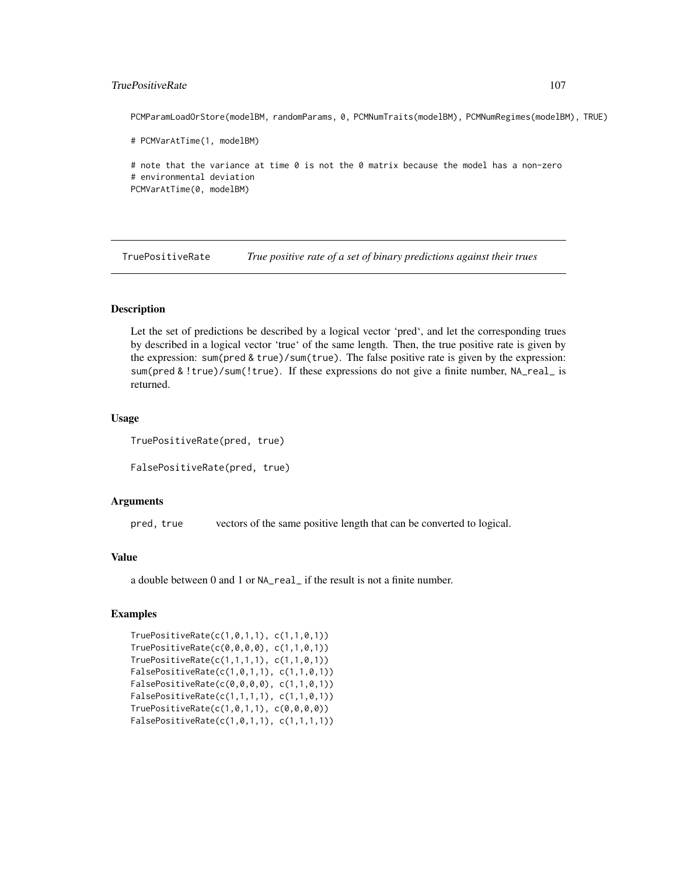## TruePositiveRate 107

PCMParamLoadOrStore(modelBM, randomParams, 0, PCMNumTraits(modelBM), PCMNumRegimes(modelBM), TRUE)

# PCMVarAtTime(1, modelBM)

# note that the variance at time 0 is not the 0 matrix because the model has a non-zero # environmental deviation PCMVarAtTime(0, modelBM)

TruePositiveRate *True positive rate of a set of binary predictions against their trues*

# **Description**

Let the set of predictions be described by a logical vector 'pred', and let the corresponding trues by described in a logical vector 'true' of the same length. Then, the true positive rate is given by the expression: sum(pred & true)/sum(true). The false positive rate is given by the expression: sum(pred & !true)/sum(!true). If these expressions do not give a finite number, NA\_real\_ is returned.

## Usage

TruePositiveRate(pred, true)

FalsePositiveRate(pred, true)

## Arguments

pred, true vectors of the same positive length that can be converted to logical.

#### Value

a double between 0 and 1 or NA\_real\_ if the result is not a finite number.

```
TruePositiveRate(c(1,0,1,1), c(1,1,0,1))
TruePositiveRate(c(0,0,0,0), c(1,1,0,1))
TruePositiveRate(c(1,1,1,1), c(1,1,0,1))
FalsePositiveRate(c(1,0,1,1), c(1,1,0,1))
FalsePositiveRate(c(0,0,0,0), c(1,1,0,1))
FalsePositiveRate(c(1,1,1,1), c(1,1,0,1))
TruePositiveRate(c(1,0,1,1), c(0,0,0,0))
FalsePositiveRate(c(1,0,1,1), c(1,1,1,1))
```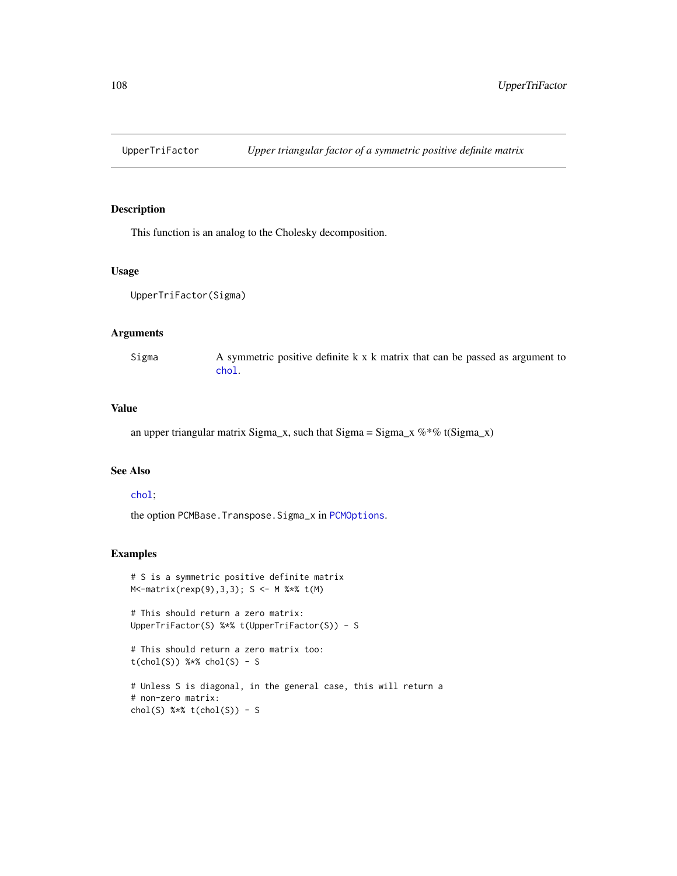# Description

This function is an analog to the Cholesky decomposition.

# Usage

```
UpperTriFactor(Sigma)
```
## Arguments

Sigma  $\alpha$  A symmetric positive definite k x k matrix that can be passed as argument to [chol](#page-0-0).

# Value

an upper triangular matrix Sigma\_x, such that Sigma = Sigma\_x  $\%$  \*% t(Sigma\_x)

# See Also

### [chol](#page-0-0);

the option PCMBase.Transpose.Sigma\_x in [PCMOptions](#page-42-0).

```
# S is a symmetric positive definite matrix
M<-matrix(rexp(9),3,3); S <- M %*% t(M)
```

```
# This should return a zero matrix:
UpperTriFactor(S) %*% t(UpperTriFactor(S)) - S
```

```
# This should return a zero matrix too:
t(chol(S)) %*% chol(S) - S
# Unless S is diagonal, in the general case, this will return a
# non-zero matrix:
```

```
chol(S) % * t(chol(S)) - S
```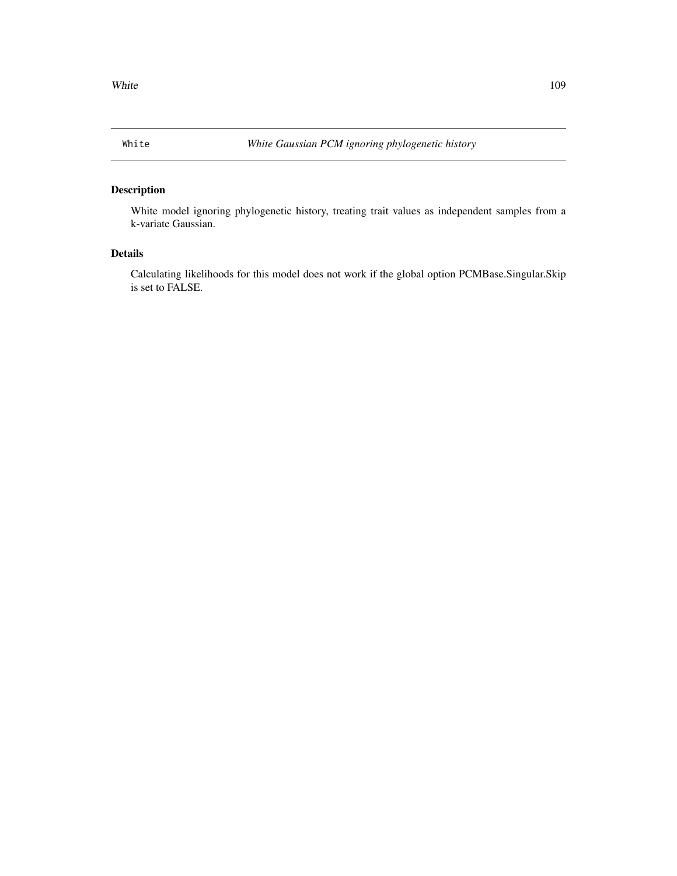## <span id="page-108-0"></span>Description

White model ignoring phylogenetic history, treating trait values as independent samples from a k-variate Gaussian.

## Details

Calculating likelihoods for this model does not work if the global option PCMBase.Singular.Skip is set to FALSE.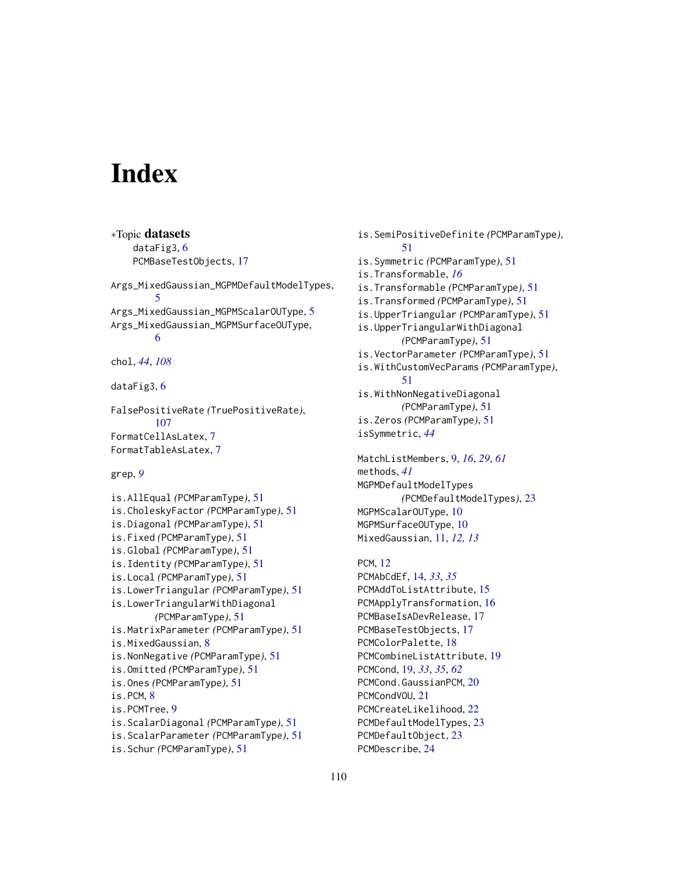## **Index**

∗Topic datasets dataFig3, [6](#page-5-0) PCMBaseTestObjects, [17](#page-16-0) Args\_MixedGaussian\_MGPMDefaultModelTypes, [5](#page-4-0) Args\_MixedGaussian\_MGPMScalarOUType, [5](#page-4-0) Args\_MixedGaussian\_MGPMSurfaceOUType, [6](#page-5-0) chol, *[44](#page-43-0)*, *[108](#page-107-0)* dataFig3, [6](#page-5-0) FalsePositiveRate *(*TruePositiveRate*)*, [107](#page-106-0) FormatCellAsLatex, [7](#page-6-0) FormatTableAsLatex, [7](#page-6-0) grep, *[9](#page-8-0)* is.AllEqual *(*PCMParamType*)*, [51](#page-50-0) is.CholeskyFactor *(*PCMParamType*)*, [51](#page-50-0) is.Diagonal *(*PCMParamType*)*, [51](#page-50-0) is.Fixed *(*PCMParamType*)*, [51](#page-50-0) is.Global *(*PCMParamType*)*, [51](#page-50-0) is.Identity *(*PCMParamType*)*, [51](#page-50-0) is.Local *(*PCMParamType*)*, [51](#page-50-0) is.LowerTriangular *(*PCMParamType*)*, [51](#page-50-0) is.LowerTriangularWithDiagonal *(*PCMParamType*)*, [51](#page-50-0) is.MatrixParameter *(*PCMParamType*)*, [51](#page-50-0) is.MixedGaussian, [8](#page-7-0) is.NonNegative *(*PCMParamType*)*, [51](#page-50-0) is.Omitted *(*PCMParamType*)*, [51](#page-50-0) is.Ones *(*PCMParamType*)*, [51](#page-50-0) is.PCM, [8](#page-7-0) is.PCMTree, [9](#page-8-0) is.ScalarDiagonal *(*PCMParamType*)*, [51](#page-50-0) is.ScalarParameter *(*PCMParamType*)*, [51](#page-50-0) is.Schur *(*PCMParamType*)*, [51](#page-50-0)

is.SemiPositiveDefinite *(*PCMParamType*)*, [51](#page-50-0) is.Symmetric *(*PCMParamType*)*, [51](#page-50-0) is.Transformable, *[16](#page-15-0)* is.Transformable *(*PCMParamType*)*, [51](#page-50-0) is.Transformed *(*PCMParamType*)*, [51](#page-50-0) is.UpperTriangular *(*PCMParamType*)*, [51](#page-50-0) is.UpperTriangularWithDiagonal *(*PCMParamType*)*, [51](#page-50-0) is.VectorParameter *(*PCMParamType*)*, [51](#page-50-0) is.WithCustomVecParams *(*PCMParamType*)*, [51](#page-50-0) is.WithNonNegativeDiagonal *(*PCMParamType*)*, [51](#page-50-0) is.Zeros *(*PCMParamType*)*, [51](#page-50-0) isSymmetric, *[44](#page-43-0)* MatchListMembers, [9,](#page-8-0) *[16](#page-15-0)*, *[29](#page-28-0)*, *[61](#page-60-0)* methods, *[41](#page-40-0)* MGPMDefaultModelTypes *(*PCMDefaultModelTypes*)*, [23](#page-22-0) MGPMScalarOUType, [10](#page-9-0) MGPMSurfaceOUType, [10](#page-9-0) MixedGaussian, [11,](#page-10-0) *[12,](#page-11-0) [13](#page-12-0)* PCM, [12](#page-11-0) PCMAbCdEf, [14,](#page-13-0) *[33](#page-32-0)*, *[35](#page-34-0)* PCMAddToListAttribute, [15](#page-14-0) PCMApplyTransformation, [16](#page-15-0) PCMBaseIsADevRelease, [17](#page-16-0) PCMBaseTestObjects, [17](#page-16-0) PCMColorPalette, [18](#page-17-0) PCMCombineListAttribute, [19](#page-18-0) PCMCond, [19,](#page-18-0) *[33](#page-32-0)*, *[35](#page-34-0)*, *[62](#page-61-0)* PCMCond.GaussianPCM, [20](#page-19-0) PCMCondVOU, [21](#page-20-0) PCMCreateLikelihood, [22](#page-21-0) PCMDefaultModelTypes, [23](#page-22-0) PCMDefaultObject, [23](#page-22-0)

PCMDescribe, [24](#page-23-0)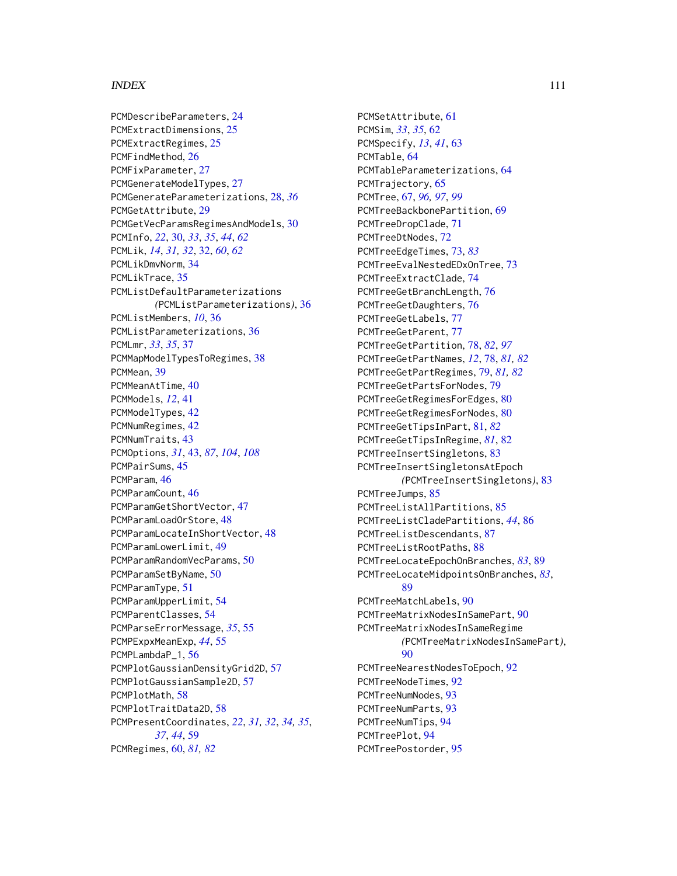## INDEX 111

PCMDescribeParameters, [24](#page-23-0) PCMExtractDimensions, [25](#page-24-0) PCMExtractRegimes, [25](#page-24-0) PCMFindMethod, [26](#page-25-0) PCMFixParameter, [27](#page-26-0) PCMGenerateModelTypes, [27](#page-26-0) PCMGenerateParameterizations, [28,](#page-27-0) *[36](#page-35-0)* PCMGetAttribute, [29](#page-28-0) PCMGetVecParamsRegimesAndModels, [30](#page-29-0) PCMInfo, *[22](#page-21-0)*, [30,](#page-29-0) *[33](#page-32-0)*, *[35](#page-34-0)*, *[44](#page-43-0)*, *[62](#page-61-0)* PCMLik, *[14](#page-13-0)*, *[31,](#page-30-0) [32](#page-31-0)*, [32,](#page-31-0) *[60](#page-59-0)*, *[62](#page-61-0)* PCMLikDmvNorm, [34](#page-33-0) PCMLikTrace, [35](#page-34-0) PCMListDefaultParameterizations *(*PCMListParameterizations*)*, [36](#page-35-0) PCMListMembers, *[10](#page-9-0)*, [36](#page-35-0) PCMListParameterizations, [36](#page-35-0) PCMLmr, *[33](#page-32-0)*, *[35](#page-34-0)*, [37](#page-36-0) PCMMapModelTypesToRegimes, [38](#page-37-0) PCMMean, [39](#page-38-0) PCMMeanAtTime, [40](#page-39-0) PCMModels, *[12](#page-11-0)*, [41](#page-40-0) PCMModelTypes, [42](#page-41-0) PCMNumRegimes, [42](#page-41-0) PCMNumTraits, [43](#page-42-0) PCMOptions, *[31](#page-30-0)*, [43,](#page-42-0) *[87](#page-86-0)*, *[104](#page-103-0)*, *[108](#page-107-0)* PCMPairSums, [45](#page-44-0) PCMParam, [46](#page-45-0) PCMParamCount, [46](#page-45-0) PCMParamGetShortVector, [47](#page-46-0) PCMParamLoadOrStore, [48](#page-47-0) PCMParamLocateInShortVector, [48](#page-47-0) PCMParamLowerLimit, [49](#page-48-0) PCMParamRandomVecParams, [50](#page-49-0) PCMParamSetByName, [50](#page-49-0) PCMParamType, [51](#page-50-0) PCMParamUpperLimit, [54](#page-53-0) PCMParentClasses, [54](#page-53-0) PCMParseErrorMessage, *[35](#page-34-0)*, [55](#page-54-0) PCMPExpxMeanExp, *[44](#page-43-0)*, [55](#page-54-0) PCMPLambdaP\_1, [56](#page-55-0) PCMPlotGaussianDensityGrid2D, [57](#page-56-0) PCMPlotGaussianSample2D, [57](#page-56-0) PCMPlotMath, [58](#page-57-0) PCMPlotTraitData2D, [58](#page-57-0) PCMPresentCoordinates, *[22](#page-21-0)*, *[31,](#page-30-0) [32](#page-31-0)*, *[34,](#page-33-0) [35](#page-34-0)*, *[37](#page-36-0)*, *[44](#page-43-0)*, [59](#page-58-0) PCMRegimes, [60,](#page-59-0) *[81,](#page-80-0) [82](#page-81-0)*

PCMSetAttribute, [61](#page-60-0) PCMSim, *[33](#page-32-0)*, *[35](#page-34-0)*, [62](#page-61-0) PCMSpecify, *[13](#page-12-0)*, *[41](#page-40-0)*, [63](#page-62-0) PCMTable, [64](#page-63-0) PCMTableParameterizations, [64](#page-63-0) PCMTrajectory, [65](#page-64-0) PCMTree, [67,](#page-66-0) *[96,](#page-95-0) [97](#page-96-0)*, *[99](#page-98-0)* PCMTreeBackbonePartition, [69](#page-68-0) PCMTreeDropClade, [71](#page-70-0) PCMTreeDtNodes, [72](#page-71-0) PCMTreeEdgeTimes, [73,](#page-72-0) *[83](#page-82-0)* PCMTreeEvalNestedEDxOnTree, [73](#page-72-0) PCMTreeExtractClade, [74](#page-73-0) PCMTreeGetBranchLength, [76](#page-75-0) PCMTreeGetDaughters, [76](#page-75-0) PCMTreeGetLabels, [77](#page-76-0) PCMTreeGetParent, [77](#page-76-0) PCMTreeGetPartition, [78,](#page-77-0) *[82](#page-81-0)*, *[97](#page-96-0)* PCMTreeGetPartNames, *[12](#page-11-0)*, [78,](#page-77-0) *[81,](#page-80-0) [82](#page-81-0)* PCMTreeGetPartRegimes, [79,](#page-78-0) *[81,](#page-80-0) [82](#page-81-0)* PCMTreeGetPartsForNodes, [79](#page-78-0) PCMTreeGetRegimesForEdges, [80](#page-79-0) PCMTreeGetRegimesForNodes, [80](#page-79-0) PCMTreeGetTipsInPart, [81,](#page-80-0) *[82](#page-81-0)* PCMTreeGetTipsInRegime, *[81](#page-80-0)*, [82](#page-81-0) PCMTreeInsertSingletons, [83](#page-82-0) PCMTreeInsertSingletonsAtEpoch *(*PCMTreeInsertSingletons*)*, [83](#page-82-0) PCMTreeJumps, [85](#page-84-0) PCMTreeListAllPartitions, [85](#page-84-0) PCMTreeListCladePartitions, *[44](#page-43-0)*, [86](#page-85-0) PCMTreeListDescendants, [87](#page-86-0) PCMTreeListRootPaths, [88](#page-87-0) PCMTreeLocateEpochOnBranches, *[83](#page-82-0)*, [89](#page-88-0) PCMTreeLocateMidpointsOnBranches, *[83](#page-82-0)*, [89](#page-88-0) PCMTreeMatchLabels, [90](#page-89-0) PCMTreeMatrixNodesInSamePart, [90](#page-89-0) PCMTreeMatrixNodesInSameRegime *(*PCMTreeMatrixNodesInSamePart*)*, [90](#page-89-0) PCMTreeNearestNodesToEpoch, [92](#page-91-0) PCMTreeNodeTimes, [92](#page-91-0) PCMTreeNumNodes, [93](#page-92-0) PCMTreeNumParts, [93](#page-92-0) PCMTreeNumTips, [94](#page-93-0) PCMTreePlot, [94](#page-93-0) PCMTreePostorder, [95](#page-94-0)